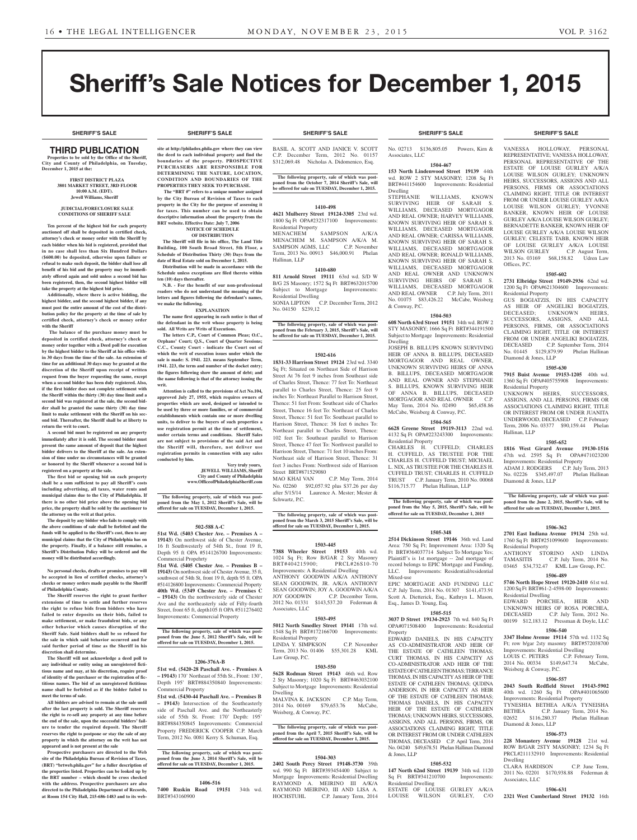# Sheriff's Sale Notices for December 1, 2015

### THIRD PUBLICATION

**Properties to be sold by the Office of the Sheriff, City and County of Philadelphia, on Tuesday, December 1, 2015 at the:** 

#### **FIRST DISTRICT PLAZA 3801 MARKET STREET, 3RD FLOOR 10:00 A.M. (EDT). Jewell Williams, Sheriff**

#### **JUDICIAL/FORECLOSURE SALE CONDITIONS OF SHERIFF SALE**

**Ten percent of the highest bid for each property auctioned off shall be deposited in certified check, attorney's check or money order with the Sheriff by each bidder when his bid is registered, provided that in no case shall less than Six Hundred Dollars (\$600.00) be deposited, otherwise upon failure or refusal to make such deposit, the bidder shall lose all benefit of his bid and the property may be immediately offered again and sold unless a second bid has been registered, then, the second highest bidder will take the property at the highest bid price.**

**Additionally, where there is active bidding, the highest bidder, and the second highest bidder, if any must post the entire amount of the cost of the distribution policy for the property at the time of sale by certified check, attorney's check or money order with the Sheriff**

 **The balance of the purchase money must be deposited in certified check, attorney's check or money order together with a Deed poll for execution by the highest bidder to the Sheriff at his office within 30 days from the time of the sale. An extension of time for an additional 30 days may be granted at the discretion of the Sheriff upon receipt of written request from the buyer requesting the same, except when a second bidder has been duly registered. Also, if the first bidder does not complete settlement with the Sheriff within the thirty (30) day time limit and a second bid was registered at the sale, the second bidder shall be granted the same thirty (30) day time limit to make settlement with the Sheriff on his second bid. Thereafter, the Sheriff shall be at liberty to return the writ to court.**

**A second bid must be registered on any property immediately after it is sold. The second bidder must present the same amount of deposit that the highest bidder delivers to the Sheriff at the sale. An extension of time under no circumstances will be granted or honored by the Sheriff whenever a second bid is registered on a property at the sale.** 

**The first bid or opening bid on each property shall be a sum sufficient to pay all Sheriff's costs including advertising, all taxes, water rents and municipal claims due to the City of Philadelphia. If there is no other bid price above the opening bid price, the property shall be sold by the auctioneer to the attorney on the writ at that price.**

**The deposit by any bidder who fails to comply with the above conditions of sale shall be forfeited and the funds will be applied to the Sheriff's cost, then to any municipal claims that the City of Philadelphia has on the property. Finally, if a balance still remains, a Sheriff's Distribution Policy will be ordered and the money will be distributed accordingly.**

**No personal checks, drafts or promises to pay will be accepted in lieu of certified checks, attorney's checks or money orders made payable to the Sheriff of Philadelphia County.**

**The Sheriff reserves the right to grant further extensions of time to settle and further reserves the right to refuse bids from bidders who have failed to enter deposits on their bids, failed to make settlement, or make fraudulent bids, or any other behavior which causes disruption of the Sheriff Sale. Said bidders shall be so refused for the sale in which said behavior occurred and for said further period of time as the Sheriff in his discretion shall determine.**

**The Sheriff will not acknowledge a deed poll to any individual or entity using an unregistered fictitious name and may, at his discretion, require proof of identity of the purchaser or the registration of fictitious names. The bid of an unregistered fictitious name shall be forfeited as if the bidder failed to meet the terms of sale.**

**All bidders are advised to remain at the sale until after the last property is sold. The Sheriff reserves the right to re-sell any property at any time before the end of the sale, upon the successful bidders' failure to tender the required deposit. The Sheriff reserves the right to postpone or stay the sale of any property in which the attorney on the writ has not appeared and is not present at the sale**

**Prospective purchasers are directed to the Web site of the Philadelphia Bureau of Revision of Taxes, (BRT) "brtweb.phila.gov" for a fuller description of the properties listed. Properties can be looked up by the BRT number – which should be cross checked with the address. Prospective purchasers are also directed to the Philadelphia Department of Records, at Room 154 City Hall, 215-686-1483 and to its web-**

### **SHERIFF'S SALE SHERIFF'S SALE SHERIFF'S SALE SHERIFF'S SALE SHERIFF'S SALE**

**site at http://philadox.phila.gov where they can view the deed to each individual property and find the boundaries of the property. PROSPECTIVE PURCHASERS ARE RESPONSIBLE FOR DETERMINING THE NATURE, LOCATION, CONDITION AND BOUNDARIES OF THE PROPERTIES THEY SEEK TO PURCHASE.**

 **The "BRT #" refers to a unique number assigned by the City Bureau of Revision of Taxes to each property in the City for the purpose of assessing it for taxes. This number can be used to obtain descriptive information about the property from the BRT website. Effective Date: July 7, 2006 NOTICE OF SCHEDULE** 

### **OF DISTRIBUTION**

**The Sheriff will file in his office, The Land Title Building, 100 South Broad Street, 5th Floor, a Schedule of Distribution Thirty (30) Days from the date of Real Estate sold on December 1, 2015. Distribution will be made in accordance with the Schedule unless exceptions are filed thereto within** 

**ten (10) days thereafter. N.B. - For the benefit of our non-professional readers who do not understand the meaning of the letters and figures following the defendant's names, we make the following.**

**EXPLANATION The name first appearing in each notice is that of the defendant in the writ whose property is being** 

**sold. All Writs are Writs of Executions. The letters C.P., Court of Common Pleas; O.C., Orphans' Court; Q.S., Court of Quarter Sessions; C.C., County Court - indicate the Court out of which the writ of execution issues under which the sale is made: S. 1941. 223. means September Term, 1941. 223, the term and number of the docket entry; the figures following show the amount of debt; and the name following is that of the attorney issuing the writ.**

**Attention is called to the provisions of Act No.104, approved July 27, 1955, which requires owners of properties which are used, designed or intended to be used by three or more families, or of commercial establishments which contain one or more dwelling units, to deliver to the buyers of such properties a use registration permit at the time of settlement, under certain terms and conditions. Sheriff Sales are not subject to provisions of the said Act and the Sheriff will, therefore, not deliver use registration permits in connection with any sales conducted by him.**

**Very truly yours, JEWELL WILLIAMS, Sheriff City and County of Philadelphia www.OfficeofPhiladelphiaSheriff.com**

**The following property, sale of which was post-poned from the May 1, 2012 Sheriff's Sale, will be offered for sale on TUESDAY, December 1, 2015.**

### **502-588 A-C**

**51st Wd. (5403 Chester Ave. – Premises A – 19143)** On northwest side of Chester Avenue, 16 ft Southwesterly of 54th St., front 19 ft, Depth 95 ft OPA #514126700 Improvements:

Commercial Propehrty **51st Wd. (5405 Chester Ave. – Premises B – 19143)** On northwest side of Chester Avenue, 35 ft, southwest of 54th St, front 19 ft, depth 95 ft. OPA #514126800 Improvements: Commercial Property **40th Wd. (5349 Chester Ave. – Premises C – 19143)** On the northwesterly side of Chester Ave and the northeasterly side of Fifty-fourth Street, front 65 ft, depth105 ft OPA #511276402 Improvements: Commercial Property

**The following property, sale of which was post-poned from the June 5, 2012 Sheriff's Sale, will be offered for sale on TUESDAY, December 1, 2015.**

### **1206-376A-B**

**51st wd. (5420-28 Paschall Ave. - Premises A – 19143)** 170' Northeast of 55th St., Front: 130', Depth 195' BRT#884350840 Improvements: Commercial Property

**51st wd. (5430-44 Paschall Ave. – Premises B – 19143)** Intersection of the Southeasterly side of Paschall Ave. and the Northeasterly side of 55th St. Front: 170' Depth: 195' BRT#884350845 Improvements: Commercial Property FREDERICK COOPER C.P. March Term, 2012 No. 0081 Kerry S. Schuman, Esq.

**The following property, sale of which was postponed from the June 3, 2014 Sheriff's Sale, will be offered for sale on TUESDAY, December 1, 2015.**

### **1406-516**

**7400 Ruskin Road 19151** 34th wd. BRT#343160900

BASIL A. SCOTT AND JANICE V. SCOTT C.P. December Term, 2012 No. 01157 \$312,069.48 Nicholas A. Didomenico, Esq.

**The following property, sale of which was post-poned from the October 7, 2014 Sheriff's Sale, will be offered for sale on TUESDAY, December 1, 2015.**

### **1410-498**

**4621 Mulberry Street 19124-3305** 23rd wd. 1800 Sq Ft OPA#232317100 Improvements: Residential Property

MENACHEM SAMPSON A/K/A MENACHEM M. SAMPSON A/K/A M. SAMPSON AGMS, LLC C.P. November Term, 2013 No. 00913 \$46,000.91 Phelan Hallinan, LLP

#### **1410-680 811 Arnold Street 19111** 63rd wd. S/D W

B/G 2S Masonry; 1572 Sq Ft BRT#632015700 Subject to Mortgage Improvements: Residential Dwelling SONIA LIPTON C.P. December Term, 2012

No. 04150 \$239,12

**The following property, sale of which was postponed from the February 3, 2015, Sheriff's Sale, will be offered for sale on TUESDAY, December 1, 2015.**

### **1502-616**

**1831-33 Harrison Street 19124** 23rd wd. 3340 Sq Ft; Situated on Northeast Side of Harrison Street At 76 feet 9 inches from Southeast side of Charles Street, Thence: 77 feet To: Northeast parallel to Charles Street, Thence: 25 feet 9 inches To: Northeast Parallel to Harrison Street, Thence: 51 feet From: Southeast side of Charles Street, Thence 16 feet To: Northeast of Charles Street, Thence: 51 feet To: Southeast parallel to Harrison Street, Thence: 38 feet 6 inches To: Northeast parallel to Charles Street, Thence: 102 feet To: Southeast parallel to Harrison Street, Thence 47 feet To: Northwest parallel to Harrison Street, Thence: 71 feet 10 inches From: Northeast side of Harrison Street, Thence: 31 feet 3 inches From: Northwest side of Harrison Street BRT#871529080

MAO KHAI VAN C.P. May Term, 2014 No. 02260 \$92,057.92 plus \$37.26 per day after 5/15/14 Laurence A. Mester; Mester & Schwartz, P.C.

### **The following property, sale of which was post-poned from the March 3, 2015 Sheriff's Sale, will be offered for sale on TUESDAY, December 1, 2015.**

### **1503-445**

**7388 Wheeler Street 19153** 40th wd. 1024 Sq Ft; Row B/GAR 2 Sty Masonry BRT#404215900; PRCL#26S10-70 Improvements: A Residential Dwelling ANTHONY GOODWIN A/K/A ANTHONY SEAN GOODWIN, JR. A/K/A ANTHONY SEAN GOODWIN; JOY A. GOODWIN A/K/A JOY GOODWIN C.P. December Term, 2012 No. 01331 \$143,537.20 Federman & Associates, LLC

### **1503-495**

**5012 North Smedley Street 19141** 17th wd. 1548 Sq Ft BRT#172166700 Improvements: Residential Property LINDA Y. SIMPKSON C.P. November Term, 2013 No. 01406 \$55,301.28 KML Law Group, P.C.

### **1503-550**

**5628 Rodman Street 19143** 46th wd. Row 2 Sty Masonry; 1020 Sq Ft BRT#463032100 Subject to Mortgage Improvements: Residential Dwelling

MALVINA K. JACKSON 2014 No. 00169 \$79,653.76 McCabe, Weisberg, & Conway, P.C.

**The following property, sale of which was post-poned from the April 7, 2015 Sheriff's Sale, will be offered for sale on TUESDAY, December 1, 2015.**

#### **1504-303**

**2402 South Percy Street 19148-3730** 39th wd. 990 Sq Ft BRT#393454400 Subject to Mortgage Improvements: Residential Dwelling RAYMOND A. MEIRINO III A/K/A RAYMOND MEIRINO, III AND LISA A.<br>HOCHSTUHL C.P. January Term. 2014 C.P. January Term, 2014

No. 02713 \$136,805.05 Powers, Kirn & Associates, LLC

### **1504-467**

**153 North Lindenwood Street 19139** 44th wd. ROW 2 STY MASONRY; 1208 Sq Ft BRT#441154600 Improvements: Residential Dwelling

STEPHANIE WILLIAMS, KNOWN SURVIVING HEIR OF SARAH S. WILLIAMS, DECEASED MORTGAGOR AND REAL OWNER; HARVEY WILLIAMS, KNOWN SURVIVING HEIR OF SARAH S. WILLIAMS, DECEASED MORTGAGOR AND REAL OWNER; CARISSA WILLIAMS, KNOWN SURVIVING HEIR OF SARAH S. WILLIAMS, DECEASED MORTGAGOR AND REAL OWNER; RONALD WILLIAMS, KNOWN SURVIVING HEIR OF SARAH S. WILLIAMS, DECEASED MORTGAGOR AND REAL OWNER AND UNKNOWN SURVIVING HEIRS OF SARAH S. WILLIAMS, DECEASED MORTGAGOR AND REAL OWNER C.P. July Term, 2011 No. 01075 \$83,426.22 McCabe, Weisberg & Conway, P.C.

#### **1504-503**

**608 North 63rd Street 19151** 34th wd. ROW 2 STY MASONRY; 1666 Sq Ft BRT#344191500 Subject to Mortgage Improvements: Residential Dwelling

JOSEPH B. BILLUPS KNOWN SURVIVING HEIR OF ANNA B. BILLUPS, DECEASED MORTGAGOR AND REAL OWNER, UNKNOWN SURVIVING HEIRS OF ANNA B. BILLUPS, DECEASED MORTGAGOR AND REAL OWNER AND STEPHANIE S. BILLUPS, KNOWN SURVIVING HEIR OF ANNA B. BILLUPS, DECEASED MORTGAGOR AND REAL OWNER C.P.<br>May Term, 2014 No. 02490 \$65,458.86 May Term, 2014 No. 02490 McCabe, Weisberg & Conway, P.C.

### **1504-565**

**6628 Greene Street 19119-3113** 22nd wd. 4132 Sq Ft OPA#223243300 Improvements: Residential Property

CHARLES H. CUFFELD; CHARLES H. CUFFELD, AS TRUSTEE FOR THE CHARLES H. CUFFELD TRUST; MICHAEL L. NIX, AS TRUSTEE FOR THE CHARLES H. CUFFELD TRUST; CHARLES H. CUFFELD TRUST C.P. January Term, 2010 No. 00068 \$116,715.77 Phelan Hallinan, LLP

**The following property, sale of which was post-poned from the May 5, 2015, Sheriff's Sale, will be offered for sale on TUESDAY, December 1, 2015**

### **1505-348**

**2514 Dickinson Street 19146** 36th wd. Land Area: 750 Sq Ft; Improvement Area: 1320 Sq Ft BRT#364037714 Subject To Mortgage Yes; Plaintiff's is 1st mortgage -- 2nd mortgage of record belongs to EPIC Mortgage and Funding, LLC. Improvements: Residential/residential Mixed-use

EPIC MORTGAGE AND FUNDING LLC C.P. July Term, 2014 No. 01307 \$141,473.91 Scott A. Dietterick, Esq., Kathryn L. Mason, Esq., James D. Young, Esq.

### **1505-515**

**3037 D Street 19134-2923** 7th wd. 840 Sq Ft OPA#071508400 Improvements: Residential Property

EDWARD DANIELS, IN HIS CAPACITY AS CO-ADMINISTRATOR AND HEIR OF THE ESTATE OF CATHLEEN THOMAS; CURT THOMAS, IN HIS CAPACITY AS CO-ADMINISTRATOR AND HEIR OF THE ESTATE OF CATHLEEN THOMAS; TERRANCE THOMAS, IN HIS CAPACITY AS HEIR OF THE ESTATE OF CATHLEEN THOMAS; QUDINA ANDERSON, IN HER CAPACITY AS HEIR OF THE ESTATE OF CATHLEEN THOMAS: THOMAS DANIELS, IN HIS CAPACITY HEIR OF THE ESTATE OF CATHLEEN THOMAS; UNKNOWN HEIRS, SUCCESSORS, ASSIGNS, AND ALL PERSONS, FIRMS, OR ASSOCIATIONS CLAIMING RIGHT, TITLE OR INTEREST FROM OR UNDER CATHLEEN THOMAS, DECEASED C.P. April Term, 2014 No. 04240 \$49,678.51 Phelan Hallinan Diamond & Jones, LLP

#### **1505-532**

**147 North 62nd Street 19139** 34th wd. 1120 Sq Ft BRT#341210700 Improvements:

Residential Dwelling ESTATE OF LOUISE GURLEY A/K/A LOUISE WILSON GURLEY, C/O

VANESSA HOLLOWAY, PERSONAL REPRESENTATIVE; VANESSA HOLLOWAY, PERSONAL REPRESENTATIVE OF THE ESTATE OF LOUISE GURLEY A/K/A LOUISE WILSON GURLEY; UNKNOWN HEIRS, SUCCESSORS, ASSIGNS AND ALL PERSONS, FIRMS OR ASSOCIATIONS CLAIMING RIGHT, TITLE OR INTEREST FROM OR UNDER LOUISE GURLEY A/K/A LOUISE WILSON GURLEY; YVONNE BANKER, KNOWN HEIR OF LOUISE GURLEY A/K/A LOUISE WILSON GURLEY; BERNADETTE BANKER, KNOWN HEIR OF LOUISE GURLEY A/K/A LOUISE WILSON GURLEY; CELESTE TABB, KNOWN HEIR OF LOUISE GURLEY A/K/A LOUISE<br>WILSON GURLEY C.P. August Term, WILSON GURLEY 2013 No. 03169 \$68,158.82 Udren Law Offices, P.C.

### **1505-602**

**2731 Elbridge Street 19149-2936** 62nd wd. 1200 Sq Ft OPA#621304600 Improvements: Residential Property

GUS BOGIATZIS, IN HIS CAPACITY AS HEIR OF ANGELIKI BOGIATZIS,<br>DECEASED: UNKNOWN HEIRS. UNKNOWN HEIRS, SUCCESSORS, ASSIGNS, AND ALL PERSONS, FIRMS, OR ASSOCIATIONS CLAIMING RIGHT, TITLE OR INTEREST FROM OR UNDER ANGELIKI BOGIATZIS, DECEASED C.P. September Term, 2014 No. 01445 \$129,879.99 Phelan Hallinan Diamond & Jones, LLP

#### **1505-630**

**7915 Buist Avenue 19153-1205** 40th wd. 1360 Sq Ft OPA#405755908 Improvements: Residential Property

UNKNOWN HEIRS, SUCCESSORS, ASSIGNS, AND ALL PERSONS, FIRMS OR ASSOCIATIONS CLAIMING RIGHT, TITLE OR INTEREST FROM OR UNDER JUANITA UNDERWOOD, DECEASED C.P. February Term, 2006 No. 03377 \$90,159.44 Phelan Hallinan, LLP

### **1505-652**

**1816 West Girard Avenue 19130-1516**  47th wd. 2595 Sq Ft OPA#471023200 Improvements: Residential Property ADAM J. RODGERS C.P. July Term, 2013 No. 02226 \$345,497.07 Phelan Hallinan Diamond & Jones, LLP

**The following property, sale of which was postponed from the June 2, 2015, Sheriff's Sale, will be offered for sale on TUESDAY, December 1, 2015.**

#### **1506-362**

**2701 East Indiana Avenue 19134** 25th wd. 1760 Sq Ft BRT#251099600 Improvements: Residential Property

ANTHONY STORINO AND LINDA<br>TAMASITIS C.P. July Term. 2014 No. C.P. July Term, 2014 No. 03465 \$34,732.47 KML Law Group, P.C.

**1506-489 5746 North Hope Street 19120-2410** 61st wd. 1200 Sq Ft BRT#61-2-4598-00 Improvements:

EDWARD PORCHEA, HEIR AND UNKNOWN HEIRS OF ROSA PORCHEA, DECEASED C.P. July Term, 2012 No. 00199 \$12,183.12 Pressman & Doyle, LLC **1506-540 3347 Holme Avenue 19114** 57th wd. 1132 Sq Ft; row b/gar 2sty masonry BRT#572038700 Improvements: Residential Dwelling LOUIS C. PETERS C.P. February Term, 2014 No. 00334 \$149,647.74 McCabe,

**1506-557 2043 South Redfield Street 19143-5902**  40th wd. 1260 Sq Ft OPA#401065600 Improvements: Residential Property TYNESHIA BETHEA A/K/A TYNEISHA BETHEA C.P. January Term, 2014 No. 02652 \$116,280.37 Phelan Hallinan

**1506-573 228 Monastery Avenue 19128** 21st wd. ROW B/GAR 2STY MASONRY; 1234 Sq Ft PRCL#211132910 Improvements: Residential

CLARA HARDISON C.P. June Term, 2011 No. 02201 \$170,938.88 Federman &

**1506-631 2321 West Cumberland Street 19132** 16th

Residential Dwelling

Weisberg & Conway, P.C.

Diamond & Jones, LLP

Dwelling

Associates, LLC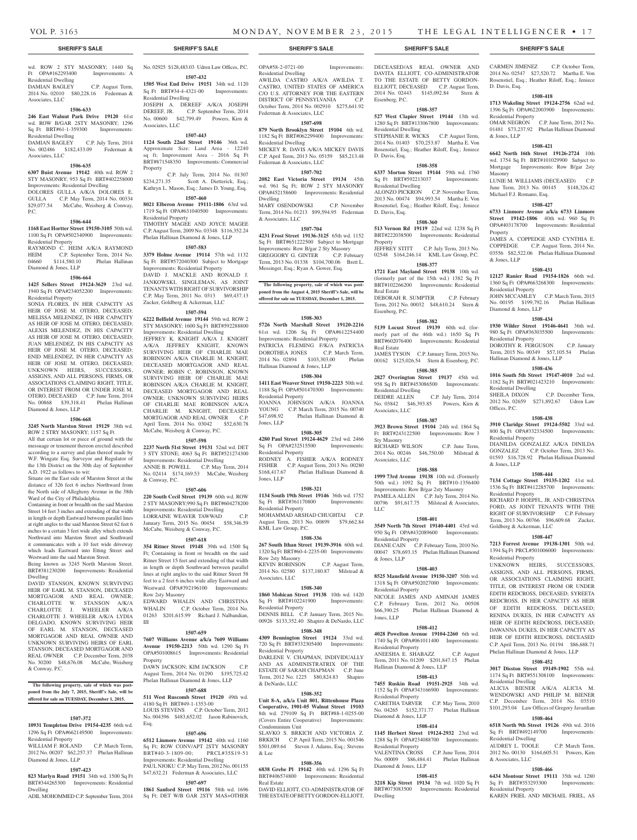wd. ROW 2 STY MASONRY; 1440 Sq Ft OPA#162293400 Improvements: A Residential Dwelling

DAMIAN BAGLEY C.P. August Term, 2014 No. 02010 \$80,228.16 Federman & Associates, LLC

#### **1506-633**

**246 East Walnut Park Drive 19120** 61st wd. ROW B/GAR 2STY MASONRY; 1296 Sq Ft BRT#61-1-359300 Improvements: Residential Dwelling DAMIAN BAGLEY C.P. July Term, 2014

### No. 002486 \$182,433.09 Federman & Associates, LLC

### **1506-635**

**6307 Buist Avenue 19142** 40th wd. ROW 2 STY MASONRY; 953 Sq Ft BRT#402258000 Improvements: Residential Dwelling

DOLORES GULLA A/K/A DOLORES E. GULLA C.P. May Term, 2014 No. 00334 \$29,077.54 McCabe, Weisberg & Conway, P.C.

### **1506-644**

**1168 East Hortter Street 19150-3105** 50th wd. 1100 Sq Ft OPA#502340900 Improvements: Residential Property

RAYMOND C. HEIM A/K/A RAYMOND HEIM C.P. September Term, 2014 No. 04660 \$114,580.10 Phelan Hallinan Diamond & Jones, LLP

### **1506-664**

**1425 Sellers Street 19124-3629** 23rd wd. 1940 Sq Ft OPA#234052200 Improvements: Residential Property

SONIA FLORES, IN HER CAPACITY AS HEIR OF JOSE M. OTERO, DECEASED; MELISSA MELENDEZ, IN HER CAPACITY AS HEIR OF JOSE M. OTERO, DECEASED; ALEXIS MELENDEZ, IN HIS CAPACITY AS HEIR OF JOSE M. OTERO, DECEASED; JUAN MELENDEZ, IN HIS CAPACITY AS HEIR OF JOSE M. OTERO, DECEASED; ENID MELENDEZ, IN HER CAPACITY AS HEIR OF JOSE M. OTERO, DECEASED; UNKNOWN HEIRS, SUCCESSORS, ASSIGNS, AND ALL PERSONS, FIRMS, OR ASSOCIATIONS CLAIMING RIGHT, TITLE, OR INTEREST FROM OR UNDER JOSE M. OTERO, DECEASED C.P. June Term, 2014 No. 00868 \$39,318.41 Phelan Hallinan Diamond & Jones, LLP

### **1506-668**

**3245 North Marston Street 19129** 38th wd. ROW 2 STRY MASONRY: 1157 Sq Ft All that certain lot or piece of ground with the messuage or tenement thereon erected described according to a survey and plan thereof made by W.F. Wingate Esq. Surveyor and Regulator of the 13th District on the 30th day of September A.D. 1922 as follows to wit:

Situate on the East side of Marston Street at the distance of 326 feet 6 inches Northward from the North side of Allegheny Avenue in the 38th Ward of the City of Philadelphia.

Containing in front or breadth on the said Marston Street 14 feet 3 inches and extending of that width in length or depth Eastward between parallel lines at right angles to the said Marston Street 62 feet 6 inches to a certain 3 feet wide alley which extends Northward into Marston Street and Southward it communicates with a 10 feet wide driveway which leads Eastward into Etting Street and Westward into the said Marston Street.

Being known as 3245 North Marston Street. BRT#381230200 Improvements: Residential Dwelling

DAVID STANSON, KNOWN SURVIVING HEIR OF EARL M. STANSON, DECEASED MORTGAGOR AND REAL OWNER; CHARLOTTE W. STANSON A/K/A CHARLOTTE J. WHEELER A/K/A CHARLOTTE J. WHEELER A/K/A LYDIA DELGADO, KNOWN SURVIVING HEIR OF EARL M. STANSON, DECEASED MORTGAGOR AND REAL OWNER AND UNKNOWN SURVIVING HEIRS OF EARL STANSON, DECEASED MORTGAGOR AND REAL OWNER C.P. December Term, 2038 No. 30200 \$48,676.08 McCabe, Weisberg & Conway, P.C.

**The following property, sale of which was postponed from the July 7, 2015, Sheriff's Sale, will be offered for sale on TUESDAY, December 1, 2015.**

### **1507-372**

**10931 Templeton Drive 19154-4235** 66th wd. 1296 Sq Ft OPA#662149500 Improvements:

Residential Property WILLIAM F. ROLAND C.P. March Term, 2012 No. 00207 \$62,257.37 Phelan Hallinan Diamond & Jones, LLP

### **1507-423**

**823 Marlyn Road 19151** 34th wd. 1500 Sq Ft BRT#344265300 Improvements: Residential

Dwelling ADIL MOHOMMED C.P. September Term, 2014 No. 02925 \$128,483.03 Udren Law Offices, P.C. **1507-432**

**1505 West End Drive 19151** 34th wd. 1120 Sq Ft BRT#34-4-4321-00 Improvements: Residential Dwelling

JOSEPH A. DEREEF A/K/A JOSEPH DEREEF, JR. C.P. September Term, 2014 No. 00600 \$42,799.49 Powers, Kirn & Associates, LLC

### **1507-443**

**1124 South 22nd Street 19146** 36th wd. Approximate Size: Land Area - 12240 sq ft; Improvement Area - 2016 Sq Ft BRT#871548350 Improvements: Commercial Property C.P. July Term, 2014 No. 01307

\$234,271.35 Scott A. Dietterick, Esq.; Kathryn L. Mason, Esq.; James D. Young, Esq. **1507-460**

**8021 Elberon Avenue 19111-1806** 63rd wd. 1719 Sq Ft OPA#631040500 Improvements: Residential Property TIMOTHY MAGEE AND JOYCE MAGEE C.P. August Term, 2009 No. 03348 \$116,352.24 Phelan Hallinan Diamond & Jones, LLP

### **1507-583**

**3379 Holme Avenue 19114** 57th wd. 1132 Sq Ft BRT#572040300 Subject to Mortgage Improvements: Residential Property DAVID J. MACKLE AND RONALD J. JANKOWSKI, SINGLEMAN, AS JOINT TENANTS WITH RIGHT OF SURVIVORSHIP C.P. May Term, 2011 No. 0313 \$69,437.13 Zucker, Goldberg & Ackerman, LLC

### **1507-594**

**6222 Belfield Avenue 19144** 59th wd. ROW 2 STY MASONRY; 1600 Sq Ft BRT#592288800 Improvements: Residential Dwelling JEFFREY K. KNIGHT A/K/A J. KNIGHT A/K/A JEFFREY KNIGHT, KNOWN SURVIVING HEIR OF CHARLIE MAE ROBINSON A/K/A CHARLIE M. KNIGHT, DECEASED MORTGAGOR AND REAL OWNER; ROBIN C. ROBINSON, KNOWN SURVIVING HEIR OF CHARLIE MAE ROBINSON A/K/A CHARLIE M. KNIGHT, DECEASED MORTGAGOR AND REAL OWNER; UNKNOWN SURVIVING HEIRS OF CHARLIE MAE ROBINSON A/K/A CHARLIE M. KNIGHT, DECEASED MORTGAGOR AND REAL OWNER April Term, 2014 No. 03042 \$52,630.78 McCabe, Weisberg & Conway, P.C.

### **1507-598**

**2237 North 51st Street 19131** 52nd wd. DET 3 STY STONE; 4063 Sq Ft BRT#521274300 Improvements: Residential Dwelling ANNIE B. POWELL C.P. May Term, 2014 No. 02414 \$174,169.53 McCabe, Weisberg & Conway, P.C.

### **1507-606**

**220 South Cecil Street 19139** 60th wd. ROW 2 STY MASONRY;990 Sq Ft BRT#604278200 Improvements: Residential Dwelling LORRAINE WEAVER TAWWAD C.P. January Term, 2015 No. 00454 \$58,346.59

McCabe, Weisberg & Conway, P.C. **1507-618**

**354 Ritner Street 19148** 39th wd. 1500 Sq Ft; Containing in front or breadth on the said Ritner Street 15 feet and extending of that width in length or depth Southward between parallel lines at right angles to the said Ritner Street 58 feet to a 2 feet 6 inches wide alley Eastward and Westward. OPA#392196100 Improvements: Row 2sty Masonry

EDWARD WHALIN AND CHRISTINA WHALIN C.P. October Term, 2014 No. 01263 \$201,615.99 Richard J. Nalbandian, III

### **1507-659**

**7607 Williams Avenue a/k/a 7609 Williams Avenue 19150-2213** 50th wd. 1290 Sq Ft OPA#501008615 Improvements: Residential Property

DAWN JACKSON; KIM JACKSON C.P. August Term, 2014 No. 01290 \$195,725.42 Phelan Hallinan Diamond & Jones, LLP

### **1507-688**

**511 West Ruscomb Street 19120** 49th wd. **1508-352** 4180 Sq Ft BRT#49-1-1353-00 LOUIS STEVENS C.P. October Term, 2012

No. 004396 \$483,652.02 Jason Rabinovich, Esq.

### **1507-696**

**6512 Linmore Avenue 19142** 40th wd. 1160 Sq Ft; ROW CONV/APT 2STY MASONRY BRT#40-3-1809-00; PRCL#35S19-51 Improvements: Residential Dwelling PAUL NJOKU C.P. May Term, 2012 No. 001155 \$47,632.21 Federman & Associates, LLC

### **1507-697**

**1861 Sanford Street 19116** 58th wd. 1696 Sq Ft; DET W/B GAR 2STY MAS+OTHER OPA#58-2-0721-00 Improvements:

Residential Dwelling AWILDA CASTRO A/K/A AWILDA T. CASTRO, UNITED STATES OF AMERICA C/O U.S. ATTORNEY FOR THE EASTERN DISTRICT OF PENNSYLVANIA October Term, 2014 No. 002910 \$275,641.92 Federman & Associates, LLC

### **1507-698**

**879 North Brooklyn Street 19104** 6th wd. 1182 Sq Ft BRT#062299400 Improvements: Residential Dwelling MICKEY R. DAVIS A/K/A MICKEY DAVIS C.P. April Term, 2013 No. 05159 \$85,213.48 Federman & Associates, LLC

### **1507-702**

**2082 East Victoria Street 19134** 45th wd. 961 Sq Ft; ROW 2 STY MASONRY OPA#452158600 Improvements: Residential Dwelling MARY OSENDOWSKI C.P. November

Term, 2014 No. 01213 \$99,594.95 Federman & Associates, LLC **1507-704**

### **4231 Frost Street 19136-3125** 65th wd. 1152

Sq Ft BRT#651222500 Subject to Mortgage Improvements: Row B/gar 2 Sty Masonry GREGGORY G. GINTER C.P. February Term, 2013 No. 01338 \$104,700.06 Brett L. Messinger, Esq.; Ryan A. Gower, Esq.

**The following property, sale of which was postponed from the August 4, 2015 Sheriff's Sale, will be offered for sale on TUESDAY, December 1, 2015.**

#### **1508-303**

**5726 North Marshall Street 19120-2216**  61st wd. 1206 Sq Ft OPA#612254400 Improvements: Residential Property PATRICIA FLEMING F/K/A PATRICIA DOROTHEA JONES C.P. March Term, 2014 No. 02894 \$103,303.00 Phelan Hallinan Diamond & Jones, LLP

### **1508-304**

**1411 East Weaver Street 19150-2223** 50th wd. 1188 Sq Ft OPA#501470300 Improvements: Residential Property

JOANNA JOHNSON A/K/A JOANNA YOUNG C.P. March Term, 2015 No. 00740<br>\$47,698.92 Phelan Hallinan Diamond & Phelan Hallinan Diamond & Jones, LLP

### **1508-305**

**4280 Paul Street 19124-4629** 23rd wd. 2466 Sq Ft OPA#232515500 Improvements: Residential Property RODNEY A. FISHER A/K/A RODNEY FISHER C.P. August Term, 2013 No. 00280<br>\$168.417.67 Phelan Hallinan Diamond & Phelan Hallinan Diamond & Jones, LLP

### **1508-321**

**1134 South 19th Street 19146** 36th wd. 1752 Sq Ft BRT#361170800 Improvements: Residential Property MOHAMMAD ARSHAD CHUGHTAI CP August Term, 2013 No. 00899 \$79,662.84 KML Law Group, P.C.

#### **1508-336**

**267 South Ithan Street 19139-3916** 60th wd. 1320 Sq Ft BRT#60-4-2235-00 Improvements: Row 2sty Masonry KEVIN ROBINSON C.P. August Term,

2014 No. 02580 \$137,180.87 Milstead & Associates, LLC

### **1508-340**

**1860 Mohican Street 19138** 10th wd. 1420 Sq Ft BRT#102241900 Improvements: Residential Property DENNIS BELL C.P. January Term, 2015 No.

00926 \$133,352.40 Shapiro & DeNardo, LLC **1508-348**

**4309 Bennington Street 19124** 33rd wd. 720 Sq Ft BRT#332305400 Improvements: Residential Property DARLENE V. CHAPMAN, INDIVIDUALLY AND AS ADMINISTRATRIX OF THE

ESTATE OF SARAH CHAPMAN C.P. June Term, 2012 No. 1225 \$80,824.83 Shapiro & DeNardo, LLC

**Unit 8-A, a/k/a Unit 801, Rittenhouse Plaza Cooperative, 1901-05 Walnut Street 19103**  8th wd. 279109 Sq Ft BRT#88-1-0255-00 (Covers Entire Cooperative) Improvements: Condominium Unit

SLAVKO S. BRKICH AND VICTORIA Z. BRKICH C.P. April Term, 2015 No. 001546 \$501,089.64 Steven J. Adams, Esq.; Stevens & Lee

#### **1508-356**

**6838 Grebe Pl 19142** 40th wd. 1296 Sq Ft BRT#406574800 Improvements: Residential Real Estate

DAVID ELLIOTT, CO-ADMINISTRATOR OF THE ESTATE OF BETTY GORDON-ELLIOTT, DECEASED/AS REAL OWNER AND DAVITA ELLIOTT, CO-ADMINISTRATOR TO THE ESTATE OF BETTY GORDON-ELLIOTT, DECEASED C.P. August Term, 2014 No. 02443 \$145,092.84 Stern & Eisenberg, P.C.

CARMEN JIMENEZ C.P. October Term, 2014 No. 02547 \$27,520.72 Martha E. Von Rosenstiel, Esq.; Heather Riloff, Esq.; Jeniece

**1508-418 1713 Wakeling Street 19124-2756** 62nd wd. 1396 Sq Ft OPA#622003900 Improvements:

OMAR NEGRON C.P. June Term, 2012 No. 01481 \$73,237.92 Phelan Hallinan Diamond

**1508-421 6642 North 16th Street 19126-2724** 10th wd. 1754 Sq Ft BRT#101029900 Subject to Mortgage Improvements: Row B/gar 2sty

LUNIE M. WILLIAMS (DECEASED) C.P. June Term, 2013 No. 00145 \$148,326.42

**1508-427 6733 Linmore Avenue a/k/a 6733 Linmore Street 19142-1806** 40th wd. 960 Sq Ft OPA#403178700 Improvements: Residential

JAMES A. COPPEDGE AND CYNTHIA E. COPPEDGE C.P. August Term, 2014 No. 03556 \$82,522.06 Phelan Hallinan Diamond

**1508-431 12127 Ranier Road 19154-1826** 66th wd. 1360 Sq Ft OPA#663268300 Improvements:

JOHN MCCAMLEY C.P. March Term, 2015 No. 00195 \$199,792.16 Phelan Hallinan

**1508-434 1930 Wilder Street 19146-4641** 36th wd. 980 Sq Ft OPA#363035500 Improvements:

DOROTHY R. FERGUSON C.P. January Term, 2015 No. 00349 \$57,105.54 Phelan

**1508-436 1016 South 5th Street 19147-4010** 2nd wd. 1182 Sq Ft BRT#021423210 Improvements:

2012 No. 02659 \$271,892.67 Udren Law

**1508-438 3910 Claridge Street 19124-5502** 33rd wd. 800 Sq Ft OPA#332334500 Improvements:

DIANILDA GONZALEZ A/K/A DINILDA GONZALEZ C.P. October Term, 2013 No. 01593 \$16,728.92 Phelan Hallinan Diamond

**1508-444 7134 Cottage Street 19135-1202** 41st wd. 1536 Sq Ft BRT#412285700 Improvements:

RICHARD P. HOEPFL, JR. AND CHRISTINA FORD, AS JOINT TENANTS WITH THE RIGHT OF SURVIVORSHIP C.P. February Term, 2013 No. 00766 \$96,609.68 Zucker,

**1508-447 7213 Forrest Avenue 19138-1301** 50th wd. 1394 Sq Ft PRCL#501006000 Improvements:

UNKNOWN HEIRS, SUCCESSORS, ASSIGNS, AND ALL PERSONS, FIRMS, OR ASSOCIATIONS CLAIMING RIGHT, TITLE, OR INTEREST FROM OR UNDER EDITH REDCROSS, DECEASED; SYREETA REDCROSS, IN HER CAPACITY AS HEIR OF EDITH REDCROSS, DECEASED; RENINA DUKES, IN HER CAPACITY AS HEIR OF EDITH REDCROSS, DECEASED; DAWANNA DUKES, IN HER CAPACITY AS HEIR OF EDITH REDCROSS, DECEASED C.P. April Term, 2013 No. 01194 \$86,688.71 Phelan Hallinan Diamond & Jones, LLP **1508-452 3017 Disston Street 19149-1902** 55th wd. 1174 Sq Ft BRT#551308100 Improvements:

ALICIA BIENER A/K/A ALICIA M. WENDOWSKI AND PHILIP M. BIENER C.P. December Term, 2014 No. 03510 \$101,293.04 Law Offices of Gregory Javardian **1508-464 6518 North 9th Street 19126** 49th wd. 2016 Sq Ft BRT#492149700 Improvements:

AUDREY L. TOOLE C.P. March Term, 2012 No. 00130 \$164,605.51 Powers, Kirn

**1508-466 6434 Montour Street 19111** 35th wd. 1280 Sq Ft BRT#353293300 Improvements:

KAREN FRIEL AND MICHAEL FRIEL, AS

C.P. December Term,

D. Davis, Esq.

& Jones, LLP

Masonry

Property

& Jones, LLP

Residential Property

Diamond  $&$  Iones, LLP

Residential Property

Residential Dwelling

Residential Property

& Jones, LLP

Residential Property

Residential Property

Residential Dwelling

 $R$ esidential Dwelling

& Associates, LLC

Residential Property

Goldberg & Ackerman, LLC

Offices, P.C.

Hallinan Diamond & Jones, LLP

Residential Property

Michael F.J. Romano, Esq.

### **1508-357**

**527 West Clapier Street 19144** 13th wd. 1280 Sq Ft BRT#133067800 Improvements: Residential Dwelling STEPHANIE R. WICKS C.P. August Term,

2014 No. 01403 \$70,253.87 Martha E. Von Rosenstiel, Esq.; Heather Riloff, Esq.; Jeniece D. Davis, Esq.

### **1508-358 6337 Morton Street 19144** 59th wd. 1760

Sq Ft BRT#592213037 Improvements: Residential Dwelling ALONZO PICKRON C.P. November Term

2013 No. 00474 \$94,993.54 Martha E. Von Rosenstiel, Esq.; Heather Riloff, Esq.; Jeniece D. Davis, Esq. **1508-360**

JEFFREY STITT C.P. July Term, 2013 No. 02548 \$164,246.14 KML Law Group, P.C. **1508-377 1721 East Mayland Street 19138** 10th wd. (formerly part of the 15th wd.) 1382 Sq Ft BRT#102266200 Improvements: Residential

DEBORAH R. SUMPTER C.P. February Term, 2012 No. 00032 \$48,610.24 Stern &

**1508-382 5139 Locust Street 19139** 60th wd. (formerly part of the 46th wd.) 1650 Sq Ft BRT#602076400 Improvements: Residential

JAMES TYSON C.P. January Term, 2015 No. 00162 \$125,026.54 Stern & Eisenberg, P.C. **1508-385 2827 Overington Street 19137** 45th wd. 958 Sq Ft BRT#453086500 Improvements:

No. 03842 \$46,393.85 Powers, Kirn &

**1508-387 3923 Brown Street 19104** 24th wd. 1864 Sq Ft BRT#243122500 Improvements: Row 3

RICHARD WILSON C.P. June Term, 2014 No. 00246 \$46,750.00 Milstead &

**1508-388 1999 73rd Avenue 19138** 10th wd. (Formerly 50th wd.) 1092 Sq Ft BRT#10-1356400 Improvements: Row B/gar 2sty Masonry PAMELA ALLEN C.P. July Term, 2014 No. 00796 \$91,617.75 Milstead & Associates,

**1508-401 3549 North 7th Street 19140-4401** 43rd wd. 950 Sq Ft OPA#432089600 Improvements:

DIANE CAIN C.P. February Term, 2010 No. 00047 \$78,693.15 Phelan Hallinan Diamond

**1508-403 8525 Mansfield Avenue 19150-3207** 50th wd. 1318 Sq Ft OPA#502027000 Improvements:

NICOLE JAMES AND AMINAH JAMES C.P. February Term, 2012 No. 00508 \$66,390.25 Phelan Hallinan Diamond &

**1508-412 4028 Powelton Avenue 19104-2260** 6th wd. 1740 Sq Ft OPA#061011400 Improvements:

ANEESHA E. SHABAZZ C.P. August Term, 2011 No. 01209 \$201,847.15 Phelan

**1508-413 7455 Ruskin Road 19151-2925** 34th wd. 1152 Sq Ft OPA#343166900 Improvements:

CARETHA TARVER C.P. May Term, 2010 No. 04265 \$152,371.77 Phelan Hallinan

**1508-414 1145 Herbert Street 19124-2932** 23rd wd. 1288 Sq Ft OPA#234088700 Improvements:

VALENTINA CROSS C.P. June Term, 2014 No. 00009 \$86,484.41 Phelan Hallinan

**1508-415 3218 Kip Street 19134** 7th wd. 1020 Sq Ft BRT#073083500 Improvements: Residential

C.P. July Term, 2014

### **513 Vernon Rd 19119** 22nd wd. 1238 Sq Ft BRT#222038500 Improvements: Residential

Property

Real Estate

Eisenberg, P.C.

Real Estate

Residential Dwelling<br>DEIDRE ALLEN

Associates, LLC

Sty Masonry

LLC

Associates, LLC

Residential Property

Residential Property

Residential Property

Residential Property

Diamond & Jones, LLP

Residential Property

Dwelling

Diamond & Jones, LLP

Hallinan Diamond & Jones, LLP

& Jones, LLP

Jones, LLP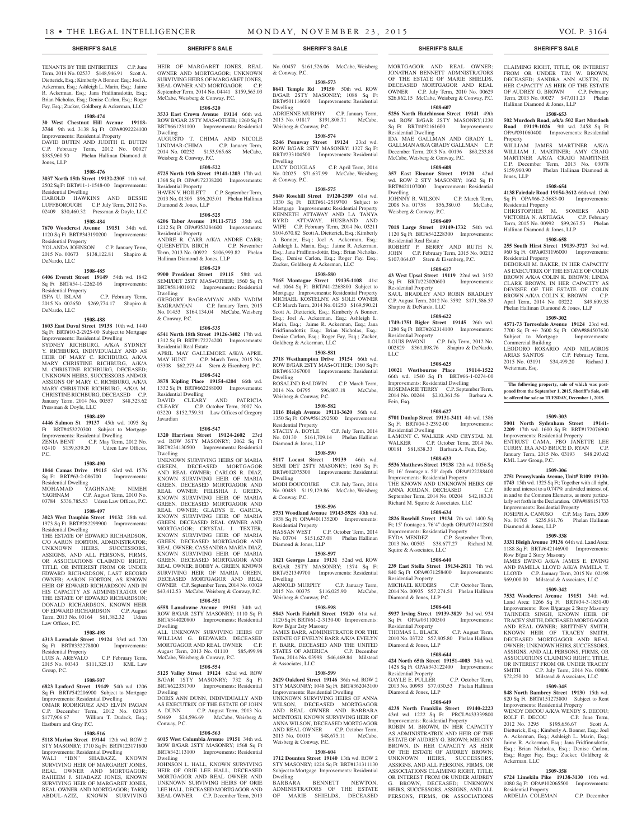### TENANTS BY THE ENTIRETIES C.P. June Term, 2014 No. 02537 \$148,946.91 Scott A. Dietterick, Esq.; Kimberly A Bonner, Esq.; Joel A. Ackerman, Esq.; Ashleigh L. Marin, Esq.; Jaime R. Ackerman, Esq.; Jana Fridfinnsdottir, Esq.; Brian Nicholas, Esq.; Denise Carlon, Esq.; Roger Fay, Esq.; Zucker, Goldberg & Ackerman, LLC

### **1508-474**

**30 West Chestnut Hill Avenue 19118- 3744** 9th wd. 3138 Sq Ft OPA#092224100 Improvements: Residential Property DAVID BUTEN AND JUDITH E. BUTEN C.P. February Term, 2012 No. 00027 \$385,960.50 Phelan Hallinan Diamond & Jones, LLP

### **1508-476**

**3037 North 15th Street 19132-2305** 11th wd.

2502 Sq Ft BRT#11-1-1548-00 Improvements: Residential Dwelling HAROLD HAWKINS AND BESSIE

LUFFBOROUGH C.P. July Term, 2012 No. 02409 \$30,460.32 Pressman & Doyle, LLC

### **1508-484**

**7670 Woodcrest Avenue 19151** 34th wd. 1120 Sq Ft BRT#343190200 Improvements: Residential Property

YOLANDA JOHNSON C.P. January Term, 2015 No. 00673 \$138,122.81 Shapiro & DeNardo, LLC

### **1508-485**

**6406 Everett Street 19149** 54th wd. 1842 Sq Ft BRT#54-1-2262-05 Improvements: Residential Property<br>ISFA U. ISLAM C.P. February Term,

2015 No. 002650 \$269,774.17 Shapiro & DeNardo, LLC

### **1508-488**

**1603 East Duval Street 19138** 10th wd. 1440 Sq Ft BRT#10-2-2925-00 Subject to Mortgage Improvements: Residential Dwelling SYDNEY RICHBURG, A/K/A SYDNEY Y. RICHBURG, INDIVIDUALLY AND AS HEIR OF MARY C. RICHBURG, A/K/A MARY CHRISTINE RICHBURG, A/K/A M. CHRISTINE RICHBURG, DECEASED; UNKNOWN HEIRS, SUCCESSORS AND/OR ASSIGNS OF MARY C. RICHBURG, A/K/A MARY CHRISTINE RICHBURG, A/K/A M. CHRISTINE RICHBURG, DECEASED C.P. January Term, 2014 No. 00557 \$48,323.62 Pressman & Doyle, LLC

### **1508-489**

**4446 Salmon St 19137** 45th wd. 1095 Sq Ft BRT#453270300 Subject to Mortgage

Improvements: Residential Dwelling ZENIA BENT C.P. May Term, 2012 No.<br>02410 \$139,839.20 Udren Law Offices, 02410 \$139,839.20

### **1508-490**

P.C.

**1044 Camas Drive 19115** 63rd wd. 1576 Sq Ft BRT#63-2-086700 Improvements: Residential Dwelling

MOHAMAD YAGHNAM; NIMEH YAGHNAM C.P. August Term, 2010 No. 03784 \$336,785.53 Udren Law Offices, P.C.

### **1508-497**

**3023 West Dauphin Street 19132** 28th wd. 1973 Sq Ft BRT#282299900 Improvements: Residential Dwelling

THE ESTATE OF EDWARD RICHARDSON C/O AARON HORTON, ADMINISTRATOR; UNKNOWN HEIRS, SUCCESSORS, ASSIGNS, AND ALL PERSONS, FIRMS, OR ASSOCIATIONS CLAIMING RIGHT, TITLE, OR INTEREST FROM OR UNDER EDWARD RICHARDSON, LAST RECORD OWNER; AARON HORTON, AS KNOWN HEIR OF EDWARD RICHARDSON AND IN HIS CAPACITY AS ADMINISTRATOR OF THE ESTATE OF EDWARD RICHARDSON; DONALD RICHARDSON, KNOWN HEIR OF EDWARD RICHARDSON C.P. August Term, 2013 No. 03164 \$61,382.32 Udren Law Offices, P.C.

#### **1508-498**

**4313 Lawndale Street 19124** 33rd wd. 720 Sq Ft BRT#332278800 Residential Property

LUIS A. AREVALO C.P. February Term, 2015 No. 00343 \$111,325.13 KML Law Group, P.C.

### **1508-507**

**6823 Lynford Street 19149** 54th wd. 1206 Sq Ft BRT#542206900 Subject to Mortgage **Improvements: Residential Dwelling** OMAIR RODRIGUEZ AND ELVIN PAGAN C.P. December Term, 2012 No. 02933 \$177,906.67 William T. Dudeck, Esq.; Eastburn and Gray P.C.

### **1508-516**

**5118 Marion Street 19144** 12th wd. ROW 2 STY MASONRY; 1710 Sq Ft BRT#123171600 Improvements: Residential Dwelling<br>WALI "IBN" SHABAZZ, KNOWN

WALI "IBN" SHABAZZ, SURVIVING HEIR OF MARGARET JONES, REAL OWNER AND MORTGAGOR. RAHEEM J. SHABAZZ JONES, KNOWN SURVIVING HEIR OF MARGARET JONES, REAL OWNER AND MORTGAGOR; TARIO ABDUL-AZIZ, KNOWN SURVIVING HEIR OF MARGARET JONES, REAL. OWNER AND MORTGAGOR; UNKNOWN SURVIVING HEIRS OF MARGARET JONES, REAL OWNER AND MORTGAGOR C.P. September Term, 2014 No. 04441 \$159,565.03 McCabe, Weisberg & Conway, P.C.

### **1508-520**

**3533 East Crown Avenue 19114** 66th wd. ROW B/GAR 2STY MAS+OTHER; 1260 Sq Ft BRT#661231100 Improvements: Residential Dwelling AUGUSTO T. CHIMA AND NICOLE

LINDMAR-CHIMA C.P. January Term, 2014 No. 00232 \$153,965.68 McCabe, Weisberg & Conway, P.C. **1508-522**

### **5725 North 19th Street 19141-1203** 17th wd. 1368 Sq Ft OPA#172338200 Improvements:

Residential Property HAVEN V. HOILETT C.P. September Term, 2013 No. 01305 \$96,205.01 Phelan Hallinan Diamond & Jones, LLP

### **1508-525**

**6206 Tabor Avenue 19111-5715** 35th wd. 1212 Sq Ft OPA#353284600 Improvements: Residential Property ANDRE R. CARR A/K/A ANDRE CARR; QUEENETTA BIRCH C.P. November Term, 2013 No. 00922 \$106,993.82 Phelan Hallinan Diamond & Jones, LLP

#### **1508-529**

**9900 President Street 19115** 58th wd. SEMI/DET 2STY MAS+OTHER; 1560 Sq Ft BRT#581401602 Improvements: Residential Dwelling GREGORY BAGRAMYAN AND VADIM BAGRAMYAN C.P. January Term, 2015 No. 01453 \$164,134.04 McCabe, Weisberg & Conway, P.C.

#### **1508-535**

**6541 North 18th Street 19126-3402** 17th wd. 1312 Sq Ft BRT#172274200 Improvements: Residential Real Estate

APRIL MAY GALLEMORE A/K/A APRIL<br>MAY HUNT C.P. March Term. 2015 No. C.P. March Term, 2015 No. 03308 \$62,273.44 Stern & Eisenberg, P.C. **1508-542**

**3878 Kipling Place 19154-4204** 66th wd. 1332 Sq Ft BRT#662288000 Improvements: Residential Dwelling

DAVID CLEARY AND PATRICIA CLEARY C.P. October Term, 2007 No. 03220 \$152,759.31 Law Offices of Gregory Javardian

### **1508-547**

**1320 Harrison Street 19124-2602** 23rd wd. ROW 3STY MASONRY; 2062 Sq Ft BRT#234130500 Improvements: Residential Dwelling UNKNOWN SURVIVING HEIRS OF MARIA GREEN, DECEASED MORTGAGOR AND REAL OWNER; CARLOS R. DIAZ, KNOWN SURVIVING HEIR OF MARIA GREEN, DECEASED MORTGAGOR AND REAL OWNER; FELISHIA J. GREEN, KNOWN SURVIVING HEIR OF MARIA GREEN, DECEASED MORTGAGOR AND REAL OWNER; GLADYS E. GARCIA,

KNOWN SURVIVING HEIR OF MARIA GREEN, DECEASED REAL OWNER AND MORTGAGOR; CRYSTAL J. TEXTER, KNOWN SURVIVING HEIR OF MARIA GREEN, DECEASED MORTGAGOR AND REAL OWNER; CASSANDRA MARIA DIAZ, KNOWN SURVIVING HEIR OF MARIA GREEN, DECEASED MORTGAGOR AND REAL OWNER; BOBBY A. GREEN, KNOWN SURVIVING HEIR OF MARIA GREEN, DECEASED MORTGAGOR AND REAL OWNER C.P. September Term, 2014 No. 03029 \$43,412.53 McCabe, Weisberg & Conway, P.C.

#### **1508-551**

**6558 Lansdowne Avenue 19151** 34th wd. ROW B/GAR 2STY MASONRY; 1110 Sq Ft BRT#344020800 Improvements: Residential Dwelling

ALL UNKNOWN SURVIVING HEIRS OF WILLIAM G. BEDWARD, DECEASED MORTGAGOR AND REAL OWNER C.P. August Term, 2013 No. 01110 \$85,499.98 McCabe, Weisberg & Conway, P.C.

### **1508-554**

**5125 Valley Street 19124** 62nd wd. ROW B/GAR 1STY MASONRY; 732 Sq Ft BRT#622331700 Improvements: Residential Dwelling

DORIS ANN DUNN, INDIVIDUALLY AND AS EXECUTRIX OF THE ESTATE OF JOHN A. DUNN C.P. August Term, 2013 No. 50469 \$24,596.69 McCabe, Weisberg & Conway, P.C.

#### **1508-563**

**6015 West Columbia Avenue 19151** 34th wd. ROW B/GAR 2STY MASONRY; 1568 Sq Ft BRT#342113100 Improvements: Residential Dwelling

JOHNSON L. HALL, KNOWN SURVIVING HEIR OF ORIE LEE HALL, DECEASED MORTGAGOR AND REAL OWNER AND UNKNOWN SURVIVING HEIRS OF ORIE LEE HALL, DECEASED MORTGAGOR AND REAL OWNER C.P. December Term, 2013

No. 00457 \$161,526.06 McCabe, Weisberg & Conway, P.C.

**1508-573 8641 Temple Rd 19150** 50th wd. ROW B/GAR 2STY MASONRY; 1088 Sq Ft BRT#501114600 Improvements: Residential

Dwelling ADRIENNE MURPHY C.P. January Term, 2013 No. 01817 \$191,808.71 McCabe, Weisberg & Conway, P.C.

### **1508-574**

**5246 Pennway Street 19124** 23rd wd. ROW B/GAR 2STY MASONRY; 1327 Sq Ft BRT#233104500 Improvements: Residential Dwelling LUCY DOUGLAS C.P. April Term, 2014 No. 02025 \$71,637.99 McCabe, Weisberg & Conway, P.C.

### **1508-575**

**5640 Rosehill Street 19120-2509** 61st wd. 1330 Sq Ft BRT#61-2519700 Subject to Mortgage Improvements: Residential Property KENNETH ATTAWAY AND LA TANYA BYRD ATTAWAY, HUSBAND AND WIFE C.P. February Term, 2014 No. 03211 \$104,670.82 Scott A. Dietterick, Esq.; Kimberly A Bonner, Esq.; Joel A. Ackerman, Esq.; Ashleigh L. Marin, Esq.; Jaime R. Ackerman, Esq.; Jana Fridfinnsdottir, Esq.; Brian Nicholas, Esq.; Denise Carlon, Esq.; Roger Fay, Esq.; Zucker, Goldberg & Ackerman, LLC

### **1508-580**

**7165 Montague Street 19135-1108** 41st wd. 1064 Sq Ft BRT#41-2263800 Subject to Mortgage Improvements: Residential Property MICHAEL KOSTELNY, AS SOLE OWNER C.P. March Term, 2014 No. 01250 \$169,590.21 Scott A. Dietterick, Esq.; Kimberly A Bonner, Esq.; Joel A. Ackerman, Esq.; Ashleigh L. Marin, Esq.; Jaime R. Ackerman, Esq.; Jana Fridfinnsdottir, Esq.; Brian Nicholas, Esq.; Denise Carlon, Esq.; Roger Fay, Esq.; Zucker, Goldberg & Ackerman, LLC

#### **1508-581**

**3718 Westhampton Drive 19154** 66th wd. ROW B/GAR 2STY MAS+OTHER; 1360 Sq Ft BRT#663367000 Improvements: Residential Dwelling ROSALIND BALDWIN C.P. March Term,

2014 No. 04795 \$96,807.18 McCabe, Weisberg & Conway, P.C. **1508-582**

**1116 Bleigh Avenue 19111-3620** 56th wd. 1350 Sq Ft OPA#561292500 Improvements: Residential Property STACEY A. BOYLE C.P. July Term, 2014 No. 03130 \$161,709.14 Phelan Hallinan Diamond & Jones, LLP

### **1508-590**

**5117 Locust Street 19139** 46th wd. SEMI DET 2STY MASONRY; 1650 Sq Ft BRT#602075300 Improvements: Residential Dwelling MODI DOUCOURE C.P. July Term, 2014 No. 00483 \$119,129.86 McCabe, Weisberg & Conway, P.C.

### **1508-596**

**5731 Woodland Avenue 19143-5928** 40th wd. 1938 Sq Ft OPA#401135200 Improvements: Residential Property HASSAN WEST C.P. October Term, 2014 No. 03704 \$151,627.08 Phelan Hallinan Diamond & Jones, LLP

#### **1508-597**

**1821 Georges Lane 19131** 52nd wd. ROW B/GAR 2STY MASONRY; 1374 Sq Ft BRT#521349700 Improvements: Residential Dwelling

ARNOLD MURPHY C.P. January Term, 2015 No. 00375 \$116,025.90 McCabe, Weisberg & Conway, P.C.

### **1508-598**

**5843 North Fairhill Street 19120** 61st wd. 1120 Sq Ft BRT#61-2-3130-00 Improvements: Row B/gar 2sty Masonry

JAMES BARR, ADMINISTRATOR FOR THE ESTATE OF EVELYN BARR A/K/A EVELYN F. BARR, DECEASED AND THE UNITED STATES OF AMERICA C.P. December Term, 2014 No. 03998 \$46,469.84 Milstead & Associates, LLC

### **1508-599**

**2629 Oakford Street 19146** 36th wd. ROW 2 STY MASONRY; 1048 Sq Ft BRT#362043100 Improvements: Residential Dwelling

UNKNOWN SURVIVING HEIRS OF WILSON, DECEASED MORTGAGOR AND REAL OWNER AND BARBARA MCINTOSH, KNOWN SURVIVING HEIR OF ANNA WILSON, DECEASED MORTGAGOR AND REAL OWNER C.P. October Term, 2013 No. 01015 \$48,675.11 McCabe, Weisberg & Conway, P.C.

### **1508-604**

**1712 Dounton Street 19140** 13th wd. ROW 2 STY MASONRY; 1224 Sq Ft BRT#131311130 Subject to Mortgage Improvements: Residential Dwelling

BARBARA BENNETT NEWTON, ADMINISTRATORS OF THE ESTATE OF MARIE SHIELDS, DECEASED

### **SHERIFF'S SALE SHERIFF'S SALE SHERIFF'S SALE SHERIFF'S SALE SHERIFF'S SALE**

MORTGAGOR AND REAL OWNER; JONATHAN BENNETT ADMNISTRATORS OF THE ESTATE OF MARIE SHIELDS, DECEASED MORTGAGOR AND REAL OWNER C.P. July Term, 2010 No. 00629 \$26,862.15 McCabe, Weisberg & Conway, P.C.

CLAIMING RIGHT, TITLE, OR INTEREST FROM OR UNDER TIM W. BROWN, DECEASED; SANDRA ANN AUSTIN, IN HER CAPACITY AS HEIR OF THE ESTATE OF AUDREY G. BROWN C.P. February Term, 2013 No. 00027 \$47,011.23 Phelan

**1508-653 502 Murdoch Road, a/k/a 502 East Murdoch Road 19119-1026** 9th wd. 2458 Sq Ft OPA#091060400 Improvements: Residential

WILLIAM JAMES MARTINER A/K/A WILLIAM J. MARTINER; AMY CRAIG MARTINER A/K/A CRAIG MARTINER C.P. December Term, 2013 No. 03078 \$159,960.90 Phelan Hallinan Diamond &

**1508-654 4138 Fairdale Road 19154-3612** 66th wd. 1260 Sq Ft OPA#66-2-5683-00 Improvements:

CHRISTOPHER M. SOMERS AND VICTORIA N. ARTEAGA C.P. February Term, 2015 No. 00992 \$99,267.53 Phelan

**1508-658 255 South Hirst Street 19139-3727** 3rd wd. 960 Sq Ft OPA#031196000 Improvements:

DEBORAH M. BAKER, IN HER CAPACITY AS EXECUTRIX OF THE ESTATE OF COLIN BROWN A/K/A COLIN K. BROWN; LINDA CLARK BROWN, IN HER CAPACITY AS DEVISEE OF THE ESTATE OF COLIN BROWN A/K/A COLIN K. BROWN C.P. April Term, 2014 No. 03222 \$49,609.35 Phelan Hallinan Diamond & Jones, LLP **1509-302 4571-73 Torresdale Avenue 19124** 23rd wd. 7700 Sq Ft +/- 7600 Sq Ft OPA#884507630 Subject to Mortgage Improvements:

LEODORO ROSARIO AND MILAGROS ARIAS SANTOS C.P. February Term, 2015 No. 03191 \$34,499.20 Richard J.

**The following property, sale of which was postponed from the September 1, 2015, Sheriff's Sale, will be offered for sale on TUESDAY, December 1, 2015.**

**1509-303 5001 North Sydenham Street 19141- 2209** 17th wd. 1600 Sq Ft BRT#172076900 Improvements: Residential Property ENTRUST CAMA, FBO JANETTE LEE CURRY, IRA AND BRUCE D. RYAN January Term, 2015 No. 03193 \$48,293.62

**1509-306 2751 Pennsylvania Avenue, Unit# B109 19130- 1743** 15th wd. 1325 Sq Ft; Together with all right, title and interest to a 0.747% undivided interest of, in and to the Common Elements, as more particularly set forth in the Declaration. OPA#888151733

JOSEPH A. CANUSO C.P. May Term, 2009 No. 01765 \$235,861.76 Phelan Hallinan

**1509-338 3331 Bleigh Avenue 19136** 64th wd. Land Area: 1188 Sq Ft BRT#642146900 Improvements:

JAMES EWING A/K/A JAMES E. EWING AND PAMELA LLOYD A/K/A PAMELA T. LLOYD C.P. January Term, 2015 No. 02198 \$69,000.00 Milstead & Associates, LLC **1509-342 7532 Woodcrest Avenue 19151** 34th wd. Land Area: 1266 Sq Ft BRT#34-3-1851-00 Improvements: Row B/garage 2 Story Masonry TAJINDER SINGH, KNOWN HEIR OF TRACEY SMITH, DECEASED MORTGAGOR AND REAL OWNER; BRITTNEY SMITH, KNOWN HEIR OF TRACEY SMITH, DECEASED MORTGAGOR AND REAL OWNER: UNKNOWN HEIRS, SUCCESSORS ASSIGNS, AND ALL PERSONS, FIRMS, OR ASSOCIATIONS CLAIMING RIGHT, TITLE, OR INTEREST FROM OR UNDER TRACEY SMITH C.P. July Term, 2014 No. 00806 \$72,250.00 Milstead & Associates, LLC **1509-345 848 North Bambrey Street 19130** 15th wd. 820 Sq Ft BRT#151275800 Subj Improvements: Residential Property WENDY DECOU A/K/A WENDY S. DECOU; ROLF F. DECOU C.P. June Term, 2012 No. 3295 \$195,656.67 Scott A. Dietterick, Esq.; Kimberly A. Bonner, Esq.; Joel A. Ackerman, Esq.; Ashleigh L. Marin, Esq.; Jaime R. Ackerman, Esq.; Jana Fridfinnsdottir, Esq.; Brian Nicholas, Esq.; Denise Carlon, Esq.; Roger Fay, Esq.; Zucker, Goldberg &

Improvements: Residential Property

Hallinan Diamond & Jones, LLP

Property

Jones, LLP

Residential Property

Residential Property

Commercial Building

KML Law Group, P.C.

Diamond & Jones, LLP

Row B/gar 2 Story Masonry

Ackerman, LLC

Residential Property

**1509-358 6724 Limekiln Pike 19138-3130** 10th wd. 1080 Sq Ft OPA#102065500 Improvements:

ARDELIA COLEMAN C.P. December

Weitzman, Esq.

Hallinan Diamond & Jones, LLP

### **1508-607**

**5256 North Hutchinson Street 19141** 49th wd. ROW B/GAR 2STY MASONRY;1230 Sq Ft BRT#492161600 Improvements: Residential Dwelling

IDA MAE GALLMAN AND GRADY L. GALLMAN A/K/A GRADY GALLMAN C.P. December Term, 2013 No. 00196 \$63,233.88 McCabe, Weisberg & Conway, P.C.

#### **1508-608 357 East Eleanor Street 19120** 42nd

wd. ROW 2 STY MASONRY; 1662 Sq Ft BRT#421107000 Improvements: Residential Dwelling

JOHNNY R. WILSON C.P. March Term, 2008 No. 01758 \$56,380.03 McCabe, Weisberg & Conway, P.C.

#### **1508-609 7018 Large Street 19149-1732** 54th wd. 1120 Sq Ft BRT#542228300 Improvements:

ROBERT P. BERRY AND RUTH N. JOHN C.P. February Term, 2015 No. 00212 \$107,064.07 Stern & Eisenberg, P.C. **1508-617 43 West Upsal Street 19119** 22nd wd. 3152 Sq Ft BRT#223020600 Improvements:

SAUL BRADLEY AND ROBIN BRADLEY C.P. August Term, 2012 No. 3592 \$171,586.57

**1508-622 1749-1751 Bigler Street 19145** 26th wd. 1280 Sq Ft BRT#262314100 Improvements:

LOUIS PAVONI C.P. July Term, 2012 No. 002829 \$361,898.76 Shapiro & DeNardo,

**1508-625 10021 Westbourne Place 19114-1522**  66th wd. 1540 Sq Ft BRT#66-1-0274-00 Improvements: Residential Dwelling ROSEMARIE TERRY C.P. September Term, 2014 No. 00244 \$210,361.56 Barbara A.

**1508-627 5701 Dunlap Street 19131-3411** 4th wd. 1386 Sq Ft BRT#04-3-2392-00 Improvements:

LAMONT C. WALKER AND CRYSTAL M. WALKER C.P. October Term, 2014 No. 00181 \$81,838.33 Barbara A. Fein, Esq. **1508-633 5536 Matthews Street 19138** 12th wd. 1056 Sq Ft; 16' frontage x. 50' depth OPA#122288400 Improvements: Residential Property THE KNOWN AND UNKNOWN HEIRS OF ANNA JORDAN, DECEASED C.P. September Term, 2014 No. 00204 \$42,183.31 Richard M. Squire & Associates, LLC **1508-634 2826 Rosehill Street 19134** 7th wd. 1400 Sq Ft; 15' frontage x. 76'4" depth OPA#071412800 Improvements: Residential Property EYDA MENDEZ C.P. September Term, 2013 No. 00505 \$38,677.27 Richard M.

Residential Real Estate

Residential Property

Residential Property

LLC

Fein, Esq.

Residential Dwelling

Squire & Associates, LLC

Residential Property

Diamond & Jones, LLP

Sq Ft OPA#031100500 Residential Property

Diamond & Jones, LLP

Residential Property

Diamond & Jones, LLP

**1508-640 239 East Stella Street 19134-2811** 7th wd. 840 Sq Ft OPA#071258400 Improvements:

MICHAEL KUDERS C.P. October Term. 2014 No. 00935 \$57,274.51 Phelan Hallinan

**1508-641 5937 Irving Street 19139-3829** 3rd wd. 934

THOMAS L. BLACK C.P. August Term, 2010 No. 03722 \$57,805.80 Phelan Hallinan

**1508-644 424 North 65th Street 19151-4003** 34th wd. 1428 Sq Ft OPA#343122400 Improvements:

GAYLE E. PULLER C.P. October Term, 2013 No. 00993 \$77,030.53 Phelan Hallinan

**1508-649 4238 North Franklin Street 19140-2223**  43rd wd. 1222 Sq Ft PRCL#433339800 Improvements: Residential Property ROBIN M. BROWN, IN HER CAPACITY AS ADMINISTRATRIX AND HEIR OF THE ESTATE OF AUDREY G. BROWN; MELONY BROWN, IN HER CAPACITY AS HEIR OF THE ESTATE OF AUDREY BROWN; UNKNOWN HEIRS, SUCCESSORS, ASSIGNS, AND ALL PERSONS, FIRMS, OR ASSOCIATIONS CLAIMING RIGHT, TITLE, OR INTEREST FROM OR UNDER AUDREY G. BROWN, DECEASED; UNKNOWN HEIRS, SUCCESSORS, ASSIGNS, AND ALL PERSONS, FIRMS, OR ASSOCIATIONS

Shapiro & DeNardo, LLC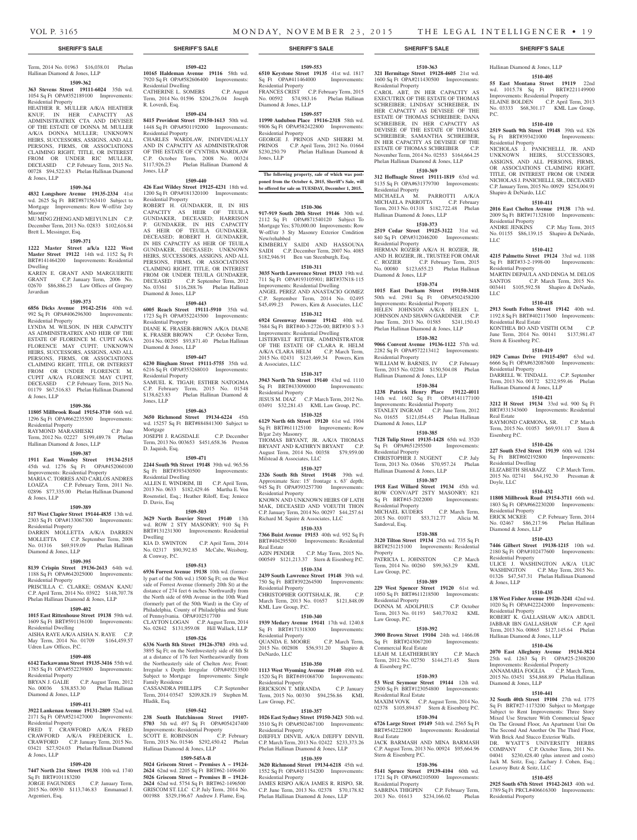### Term, 2014 No. 01963 \$16,038.01 Phelan Hallinan Diamond & Jones, LLP

### **1509-362 363 Stevens Street 19111-6024** 35th wd.

1054 Sq Ft OPA#352189100 Improvements: Residential Property HEATHER R. MULLER A/K/A HEATHER KNUF, IN HER CAPACITY AS ADMINISTRATRIX CTA AND DEVISEE OF THE ESTATE OF DONNA M. MULLER A/K/A DONNA MULLER; UNKNOWN HEIRS, SUCCESSORS, ASSIGNS, AND ALL PERSONS, FIRMS, OR ASSOCIATIONS CLAIMING RIGHT, TITLE, OR INTEREST FROM OR UNDER RIC MULLER, DECEASED C.P. February Term, 2015 No. 00728 \$94,522.83 Phelan Hallinan Diamond & Jones, LLP

### **1509-364**

**4832 Longshore Avenue 19135-2334** 41st wd. 2625 Sq Ft BRT#871563410 Subject to Mortgage Improvements: Row W-off/str 2sty Masonry

MU MING ZHENG AND MEI YUN LIN C.P. December Term, 2013 No. 02833 \$102,616.84 Brett L. Messinger, Esq.

#### **1509-371**

**1222 Master Street a/k/a 1222 West Master Street 19122** 14th wd. 1152 Sq Ft BRT#141464200 Improvements: Residential Dwelling

KAREN E. GRANT AND MARGUERITE<br>GRANT CP January Term 2006 No C.P. January Term, 2006 No. 02670 \$86,886.23 Law Offices of Gregory Javardian

### **1509-373**

**6856 Dicks Avenue 19142-2516** 40th wd. 992 Sq Ft OPA#406296300 Improvements: Residential Property

LYNDA M. WILSON, IN HER CAPACITY AS ADMINISTRATRIX AND HEIR OF THE ESTATE OF FLORENCE M. CUPIT A/K/A FLORENCE MAY CUPIT; UNKNOWN HEIRS, SUCCESSORS, ASSIGNS, AND ALL PERSONS, FIRMS, OR ASSOCIATIONS CLAIMING RIGHT, TITLE, OR INTEREST FROM OR UNDER FLORENCE M. CUPIT A/K/A FLORENCE MAY CUPIT, DECEASED C.P. February Term, 2015 No. 01179 \$67,516.83 Phelan Hallinan Diamond & Jones, LLP

### **1509-386**

**11805 Millbrook Road 19154-3710** 66th wd.

#### 1296 Sq Ft OPA#662235500 Improvements: Residential Property

RAYMOND MARASHESKI C.P. June Term, 2012 No. 02227 \$199,489.78 Phelan Hallinan Diamond & Jones, LLP

#### **1509-387**

**1911 East Wensley Street 19134-2515**  45th wd. 1276 Sq Ft OPA#452060100 Improvements: Residential Property MARIA C. TORRES AND CARLOS ANDRES LOAIZA C.P. February Term, 2011 No. 02896 \$77,335.00 Phelan Hallinan Diamond

### **1509-389**

& Jones, LLP

**517 West Clapier Street 19144-4835** 13th wd. 2303 Sq Ft OPA#133067300 Improvements: Residential Property DARRIN MOLLETTA A/K/A DARREN MOLLETTA C.P. September Term, 2008

### No. 01316 \$69,919.09 Phelan Hallinan Diamond & Jones, LLP **1509-395**

**8139 Crispin Street 19136-2613** 64th wd. 1188 Sq Ft OPA#642025000 Improvements: Residential Property PRISCILLA C. CLARKE; OSMAN KANU

C.P. April Term, 2014 No. 03922 \$148,707.78 Phelan Hallinan Diamond & Jones, LLP

### **1509-402**

**1015 East Rittenhouse Street 19138** 59th wd. 1609 Sq Ft BRT#591136100 Improvements: Residential Dwelling

AISHA RAYE A/K/A AISHA N. RAYE C.P. May Term, 2014 No. 01709 \$164,459.57 Udren Law Offices, P.C.

### **1509-408**

**6142 Tackawanna Street 19135-3416** 55th wd. 1785 Sq Ft OPA#552239800 Improvements:

Residential Property BRYAN J. GALIE C.P. August Term, 2012 No. 00036 \$38,853.30 Phelan Hallinan Diamond & Jones, LLP

#### **1509-411**

**3922 Lankenau Avenue 19131-2809** 52nd wd. 2171 Sq Ft OPA#521427000 Improvements: Residential Property

FRED T. CRAWFORD A/K/A FRED CRAWFORD A/K/A FREDERICK L. CRAWFORD C.P. January Term, 2015 No. 03421 \$27,924.03 Phelan Hallinan Diamond & Jones, LLP

#### **1509-420**

**7447 North 21st Street 19138** 10th wd. 1740 Sq Ft BRT#101183200<br>JORGE FAGUNDES

C.P. January Term, 2015 No. 00930 \$113,746.83 Emmanuel J. Argentieri, Esq.

### **1509-422**

**10165 Haldeman Avenue 19116** 58th wd. 7920 Sq Ft OPA#582606400 Improvements: Residential Dwelling CATHERINE L. SOMERS C.P. August Term, 2014 No. 01596 \$204,276.04 Joseph R. Loverdi, Esq.

### **1509-434**

**8415 Provident Street 19150-1613** 50th wd. 1448 Sq Ft OPA#501192000 Improvements: Residential Property CHARLES WARDLAW, INDIVIDUALLY

AND IN CAPACITY AS ADMINISTRATOR OF THE ESTATE OF CYNTHIA WARDLAW C.P. October Term, 2008 No. 00324 \$117,926.23 Phelan Hallinan Diamond & Jones, LLP

### **1509-440**

**426 East Wildey Street 19125-4231** 18th wd. 1200 Sq Ft OPA#181320100 Improvements: Residential Property ROBERT H. GUNDAKER, II, IN HIS CAPACITY AS HEIR OF TEUILA GUNDAKER, DECEASED; HARRISON P. GUNDAKER, IN HIS CAPACITY AS HEIR OF TEUILA GUNDAKER, DECEASED; ROBERT H. GUNDAKER, IN HIS CAPACITY AS HEIR OF TEUILA GUNDAKER, DECEASED; UNKNOWN HEIRS, SUCCESSORS, ASSIGNS, AND ALL PERSONS, FIRMS, OR ASSOCIATIONS CLAIMING RIGHT, TITLE, OR INTEREST FROM OR UNDER TEUILA GUNDAKER,

### DECEASED C.P. September Term, 2012 No. 03361 \$116,288.76 Phelan Hallinan Diamond & Jones, LLP

**1509-443 6005 Reach Street 19111-5910** 35th wd. 1723 Sq Ft OPA#352243500 Improvements: Residential Property DIANE K. FRASER-BROWN A/K/A DIANE

K. FRASER BROWN C.P. October Term, 2014 No. 00295 \$93,871.40 Phelan Hallinan Diamond & Jones, LLP **1509-447**

**6230 Bingham Street 19111-5755** 35th wd. 6216 Sq Ft OPA#353268010 Improvements: Residential Property SAMUEL K. TIGAH; ESTHER NATOGMA C.P. February Term, 2015 No. 01548 \$138,623.83 Phelan Hallinan Diamond & Jones, LLP

### **1509-463**

**3650 Richmond Street 19134-6224** 45th wd. 15257 Sq Ft BRT#884841300 Subject to Mortgage JOSEPH J. RAGSDALE C.P. December Term, 2013 No. 003653 \$451,658.36 Preston D. Jaquish, Esq.

### **1509-471**

**2244 South 9th Street 19148** 39th wd. 965.56 Sq Ft BRT#393430500 Improvements: Residential Dwelling ALLEN E. WINDRIM, III C.P. April Term, 2013 No. 0633 \$182,429.46 Martha E. Von Rosenstiel, Esq.; Heather Riloff, Esq; Jeniece D. Davis, Esq

#### **1509-503**

**3629 North Bouvier Street 19140** 13th wd. ROW 2 STY MASONRY; 910 Sq Ft BRT#131231300 Improvements: Residential Dwelling KIA D. SWINTON C.P. April Term, 2014 No. 02317 \$90,392.85 McCabe, Weisberg, & Conway, P.C.

### **1509-513**

**6936 Forrest Avenue 19138** 10th wd. (formerly part of the 50th wd.) 1500 Sq Ft; on the West side of Forrest Avenue (formerly 20th St) at the distance of 274 feet 6 inches Northwardly from the North side of 69th Avenue in the 10th Ward (formerly part of the 50th Ward) in the City of Philadelphia, County of Philadelphia and State of Pennsylvania. OPA#102517700 CLAYTON LOGAN C.P. August Term, 2014 No. 02842 \$131,959.08 Hill Wallack, LLP

### **1509-526**

**6336 North 8th Street 19126-3703** 49th wd. 3895 Sq Ft; on the Northwesterly side of 8th St at a distance of 176 feet Northeastwardly from the Northeasterly side of Chelten Ave; Front: Irregular x Depth: Irregular OPA#49213500 Subject to Mortgage Improvements: Single Family Residence CASSANDRA PHILLIPS C.P. September Term, 2014 03547 \$209,828.19 Stephen M.

### **1509-542**

Hladik, Esq.

**238 South Hutchinson Street 19107- 5703** 5th wd. 497 Sq Ft OPA#054247400 Improvements: Residential Property<br>SCOTT E. ROBINSON C.P. February  $S\overline{C}$ OTT E. ROBINSON

Term, 2015 No. 01546 \$292,450.42 Phelan Hallinan Diamond & Jones, LLP **1509-545A-B**

**5024 Griscom Street – Premises A – 19124- 2624** 62nd wd. 2205 Sq Ft BRT#62-1496400 **5026 Griscom Street – Premises B – 19124- 2624** 62nd wd. 5754 Sq Ft BRT#62-1496500 GRISCOM ST. LLC C.P. July Term, 2014 No. 001988 \$329,196.67 Andrew J. Flame, Esq.

### **1509-553**

**6510 Keystone Street 19135** 41st wd. 1817 Sq Ft OPA#411464000 Improvements: Residential Property FRANCES CRIST C.P. February Term, 2015 No. 00592 \$74,983.16 Phelan Hallinan Diamond & Jones, LLP

### **1509-557 11990 Audubon Place 19116-2318** 58th wd. 9806 Sq Ft OPA#582422800 Improvements:

Residential Property GEORGE J. PRINOS AND SHERRI M. PRINOS C.P. April Term, 2012 No. 01664 \$230,250.79 Phelan Hallinan Diamond & Jones, LLP

**The following property, sale of which was postponed from the October 6, 2015, Sheriff's Sale, will be offered for sale on TUESDAY, December 1, 2015.**

#### **1510-306**

**917-919 South 20th Street 19146** 30th wd. 2112 Sq Ft OPA#871540120 Subject To Mortgage Yes; \$70,000.00 Improvements: Row W-off/str 3 Sty Masonry Exterior Condition New/rehabbed

KIMBERLY SAIDI AND HASSOUNA SAIDI C.P. December Term, 2007 No. 4085 \$182,946.91 Ben van Steenburgh, Esq.

### **1510-311 3035 North Lawerence Street 19133** 19th wd. 711 Sq Ft OPA#193105901; BRT#37N18-115 Improvements: Residential Dwelling ANGEL PEREZ AND ANASTACIO GOMEZ

C.P. September Term, 2014 No. 02495 \$45,499.23 Powers, Kirn & Associates, LLC **1510-312**

**6924 Greenway Avenue 19142** 40th wd. 7684 Sq Ft BRT#40-3-2726-00; BRT#30 S 3-3 Improvements: Residential Dwelling LISTERVELT RITTER, ADMINISTRATOR OF THE ESTATE OF CLARA R. HELM A/K/A CLARA HELM C.P. March Term, 2015 No. 02431 \$123,469.34 Powers, Kirn & Associates, LLC

### **1510-317**

**3943 North 7th Street 19140** 43rd wd. 1110<br>Sq Ft BRT#433090000 Improvements: Sq Ft BRT#433090000 Residential Property JESUS M. DIAZ C.P. March Term, 2012 No. 03491 \$32,281.43 KML Law Group, P.C.

### **1510-325**

**6129 North 6th Street 19120** 61st wd. 1904 Sq Ft BRT#611125100 Improvements: Row B/gar 2sty Masonry THOMAS BRYANT, JR. A/K/A THOMAS BRYANT AND KATHRYN BRYANT C.P. August Term, 2014 No. 00358 \$79,959.00

## **1510-327**

Milstead & Associates, LLC

**2326 South 8th Street 19148** 39th wd. Approximate Size: 15' frontage x. 63' depth; 945 Sq Ft OPA#393257700 Improvements: Residential Property KNOWN AND UNKNOWN HEIRS OF LATH MAK, DECEASED AND VOEUTH THON C.P. January Term, 2014 No. 00297 \$44,257.61 Richard M. Squire & Associates, LLC

### **1510-333**

**7366 Buist Avenue 19153** 40th wd. 952 Sq Ft BRT#404295500 Improvements: Residential Real Estate AZIN PENDER C.P. May Term, 2015 No. 000549 \$121,213.37 Stern & Eisenberg P.C.

#### **1510-334 2439 South Lawrence Street 19148** 39th wd. 750 Sq Ft BRT#392264500 Improvements: Residential Property CHRISTOPHER GOTTSHALK, JR. C.P. March Term, 2013 No. 01657 \$121,848.09

KML Law Group, P.C. **1510-340**

**1939 Medary Avenue 19141** 17th wd. 1240.8<br>Sq Ft BRT#171318300 Improvements: Sq Ft BRT#171318300 Residential Property QUANDA E. MOORE C.P. March Term, 2015 No. 002808 \$56,931.20 Shapiro & DeNardo, LLC

### **1510-350**

**1113 West Wyoming Avenue 19140** 49th wd. 1520 Sq Ft BRT#491068700 Improvements: Residential Property ERICKSON T. MIRANDA C.P. January Term, 2015 No. 00330 \$94,256.86 KML

### Law Group, P.C. **1510-357**

**1026 East Sydney Street 19150-3423** 50th wd. 3510 Sq Ft OPA#502467100 Improvements: Residential Property DJEFFLY DINVIL A/K/A DJEFFY DINVIL C.P. March Term, 2013 No. 02422 \$233,373.26

### Phelan Hallinan Diamond & Jones, LLP **1510-359**

Phelan Hallinan Diamond & Jones, LLP

**3620 Richmond Street 19134-6218** 45th wd. 1552 Sq Ft OPA#451154200 Improvements: Residential Property JAMES RISPO A/K/A JAMES R. RISPO, SR. C.P. June Term, 2013 No. 02378 \$70,178.82

### **1510-363**

Hallinan Diamond & Jones, LLP **1510-405 55 East Montana Street 19119** 22nd wd. 1015.78 Sq Ft BRT#221149900 Improvements: Residential Property ELAINE BOLDEN C.P. April Term, 2013 No. 03333 \$68,301.17 KML Law Group,

**1510-410 2519 South 9th Street 19148** 39th wd. 826 Sq Ft BRT#393421000 Improvements:

NICHOLAS J. PANICHELLI, JR. AND UNKNOWN HEIRS, SUCCESSORS, ASSIGNS, AND ALL PERSONS, FIRMS, OR ASSOCIATIONS CLAIMING RIGHT, TITLE, OR INTEREST FROM OR UNDER NICHOLAS J. PANICHELLI, SR., DECEASED C.P. January Term, 2015 No. 00929 \$254,004.91

**1510-411 2016 East Chelten Avenue 19138** 17th wd. 2009 Sq Ft BRT#171328100 Improvements:

ANDRE JENKINS C.P. May Term, 2015 No. 01155 \$86,139.15 Shapiro & DeNardo,

**1510-412 4215 Palmetto Street 19124** 33rd wd. 1188 Sq Ft BRT#33-2-1998-00 Improvements:

MARTIN DEPAULA AND DINGA M. DELOS SANTOS C.P. March Term, 2015 No. 003441 \$105,592.58 Shapiro & DeNardo,

**1510-418 2913 South Felton Street 19142** 40th wd. 1192.8 Sq Ft BRT#402117600 Improvements:

KONTHEA BO AND VISITH OUM C.P. June Term, 2014 No. 00141 \$137,981.47

**1510-419 1029 Camas Drive 19115-4507** 63rd wd. 6666 Sq Ft OPA#632087600 Improvements:

DARRELL W. TINDALL C.P. September Term, 2013 No. 00172 \$232,959.46 Phelan

**1510-421 3212 H Street 19134** 33rd wd. 900 Sq Ft BRT#331343600 Improvements: Residential

RAYMOND CARMONA, SR. C.P. March Term, 2015 No. 01053 \$69,931.17 Stern &

**1510-426 227 South 53rd Street 19139** 60th wd. 1284<br>Sq Ft BRT#602192800 Improvements:

ELIZABETH SHABAZZ C.P. March Term, 2015 No. 02741 \$64,192.30 Pressman &

**1510-432 11808 Millbrook Road 19154-3711** 66th wd. 1803 Sq Ft OPA#662230200 Improvements:

ERICK MCKEE C.P. February Term, 2014 No. 02467 \$86,217.96 Phelan Hallinan

**1510-433 7446 Gilbert Street 19138-1215** 10th wd. 2180 Sq Ft OPA#102477600 Improvements:

ULICE J. WASHINGTON A/K/A ULIC WASHINGTON C.P. May Term, 2015 No. 01326 \$47,547.31 Phelan Hallinan Diamond

**1510-435 138 West Fisher Avenue 19120-3241** 42nd wd. 1020 Sq Ft OPA#422242000 Improvements:

ROBERT K. GALLASHAW A/K/A ABDUL JABBAR IBN GALLASHAW C.P. April Term, 2013 No. 00865 \$127,145.64 Phelan

**1510-436 2070 East Allegheny Avenue 19134-3824**  25th wd. 1263 Sq Ft OPA#25-2308200 Improvements: Residential Property ANNAMARIA FOGLIA C.P. March Term, 2015 No. 03451 \$54,868.89 Phelan Hallinan

**1510-441 32 South 40th Street 19104** 27th wd. 1775 Sq Ft BRT#27-1173200 Subject to Mortgage Subject to Rent Improvements: Three Story Mixed Use Structure With Commercial Space On The Ground Floor, An Apartment Unit On The Second And Another On The Third Floor, With Brick And Stucco Exterior Walls. DR. WYATT'S UNIVERSITY HERBS COMPANY C.P. October Term, 2011 No. 04041 \$230,428.40 (plus interest and costs) Jack M. Seitz, Esq.; Zachary J. Cohen, Esq.;

**1510-455 2925 South 67th Street 19142-2613** 40th wd. 1789 Sq Ft PRCL#406616300 Improvements:

P.C.

Residential Property

Shapiro & DeNardo, LLC

Residential Property

Residential Property

Residential Real Estate

Stern & Eisenberg P.C.

Residential Property

Real Estate

Eisenberg P.C.

Doyle, LLC

Residential Property

Diamond & Jones, LLP

Residential Property

Residential Property

Diamond & Jones, LLP

Lesavoy Butz & Seitz, LLC

Residential Property

Hallinan Diamond & Jones, LLP

& Jones, LLP

Sq Ft BRT#602192800 Residential Dwelling

Hallinan Diamond & Jones, LLP

LLC

LLC

**321 Hermitage Street 19128-4605** 21st wd. 1600 Sq Ft OPA#211430500 Improvements: Residential Property CAROL ABT, IN HER CAPACITY AS EXECUTRIX OF THE ESTATE OF THOMAS SCHREIBER; LINDSAY SCHREIBER, IN HER CAPACITY AS DEVISEE OF THE ESTATE OF THOMAS SCHREIBER; DANA SCHREIBER, IN HER CAPACITY AS DEVISEE OF THE ESTATE OF THOMAS SCHREIBER; SAMANTHA SCHREIBER, IN HER CAPACITY AS DEVISEE OF THE ESTATE OF THOMAS SCHREIBER C.P. November Term, 2014 No. 02553 \$164,664.25 Phelan Hallinan Diamond & Jones, LLP

### **1510-369**

**312 Hoffnagle Street 19111-1819** 63rd wd. 5135 Sq Ft OPA#631379700 Improvements: Residential Property<br>MICHAELA M. PARROTTI A/K/A MICHAELA M. PARROTTI A/K/A MICHAELA PARROTTA C.P. February Term, 2013 No. 01318 \$182,722.48 Phelan Hallinan Diamond & Jones, LLP

### **1510-373**

**2519 Cedar Street 19125-3122** 31st wd. 840 Sq Ft OPA#312046200 Improvements: Residential Property HERMAN ROZIER A/K/A H. ROZIER, JR. AND H. ROZIER, JR., TRUSTEE FOR OMAR C. ROZIER C.P. February Term, 2015 No. 00080 \$123,655.23 Phelan Hallinan Diamond & Jones, LLP

**1510-374 1015 East Durham Street 19150-3418**  50th wd. 2981 Sq Ft OPA#502458200 Improvements: Residential Property

HELEN JOHNSON A/K/A HELEN L. JOHNSON AND SHAWN GARDINER C.P. June Term, 2013 No. 01585 \$241,150.43 Phelan Hallinan Diamond & Jones, LLP **1510-382 9066 Convent Avenue 19136-1122** 57th wd. 2282 Sq Ft OPA#572213412 Improvements:

WILLIAM W. BARNES, IV C.P. February Term, 2015 No. 02204 \$150,504.08 Phelan

**1510-384 1238 Patrick Henry Place 19122-4011**  14th wd. 1602 Sq Ft OPA#141177100 Improvements: Residential Property STANLEY INGRAM C.P. June Term, 2012 No. 01655 \$121,054.45 Phelan Hallinan

**1510-385 7128 Tulip Street 19135-1428** 65th wd. 3520 Sq Ft OPA#651295500 Improvements:

CHRISTOPHER J. NUGENT C.P. July Term, 2013 No. 03646 \$70,957.24 Phelan

**1510-387 1918 East Willard Street 19134** 45th wd. ROW CONV/APT 2STY MASONRY; 821 Sq Ft BRT#45-2022000 Improvements:

MICHAEL KUDERS C.P. March Term, 2015 No. 01071 \$53,712.77 Alicia M.

**1510-388 3120 Tilton Street 19134** 25th wd. 735 Sq Ft BRT#251215100 Improvements: Residential

PATRICIA L. JOHNSTON C.P. March Term, 2014 No. 00260 \$99,363.29 KML

**1510-389 229 West Spencer Street 19120** 61st wd. 1050 Sq Ft BRT#611218500 Improvements:

DONNA M. ADOLPHUS C.P. October Term, 2013 No. 01193 \$40,770.82 KML

**1510-392 3900 Brown Street 19104** 24th wd. 1466.08 Sq Ft BRT#243067200 Improvements:

LEAH M. LEATHERBURY C.P. March Term, 2012 No. 02750 \$144,271.45 Stern

**1510-393 53 West Seymour Street 19144** 12th wd. 2500 Sq Ft BRT#123054800 Improvements:

MAXIM VOVK C.P. August Term, 2014 No. 02378 \$105,894.87 Stern & Eisenberg P.C. **1510-394 6726 Large Street 19149** 54th wd. 2565 Sq Ft BRT#542222800 Improvements: Residential

JACK BARMASH AND MINA BARMASH C.P. August Term, 2013 No. 00924 \$95,664.96

**1510-396 5141 Spruce Street 19139-4104** 60th wd. 1721 Sq Ft OPA#602105000 Improvements:

SABRINA THIGPEN C.P. February Term,<br>2013 No. 01613 \$234,166.02 Phelan 2013 No. 01613 \$234,166.02 Phelan

Residential Property

Diamond & Jones, LLP

Residential Property

Residential Property

Sandoval, Esq.

Law Group, P.C.

Residential Property

Commercial Real Estate

Law Group, P.C.

& Eisenberg P.C.

Residential Real Estate

Stern & Eisenberg P.C.

Residential Property

Real Estate

Property

Hallinan Diamond & Jones, LLP

Hallinan Diamond & Jones, LLP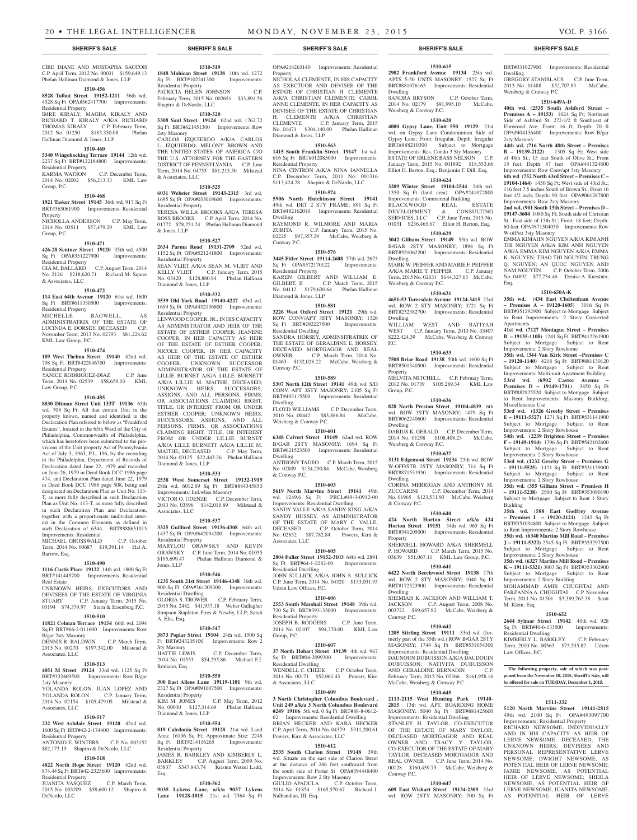CIRE DIANE AND MUSTAPHA SACCOH C.P. April Term, 2012 No. 00031 \$159,649.13 Phelan Hallinan Diamond & Jones, LLP

### **1510-456**

**8528 Tolbut Street 19152-1211** 56th wd. 4528 Sq Ft OPA#562417700 Improvements: Residential Property IMRE KIRALY; MAGDA KIRALY AND RICHARD T. KIRALY A/K/A RICHARD THOMAS KIRALY C.P. February Term, 2012 No. 01250 \$185,330.08 Phelan Hallinan Diamond & Jones, LLP

### **1510-460**

**5340 Wingohocking Terrace 19144** 12th wd. 2237 Sq Ft BRT#122184800 Improvements:

Residential Property<br>KARMA WATSON C.P. December Term, 2014 No. 02002 \$56,213.33 KML Law Group, P.C.

### **1510-468**

**1921 Tasker Street 19145** 36th wd. 917 Sq Ft BRT#363061900 Improvements: Residential Property NICHOLLA ANDERSON C.P. May Term,

2014 No. 03511 \$57,479.29 KML Law Group, P.C.

### **1510-471**

**426-28 Sentner Street 19120** 35th wd. 4500 Sq Ft OPA#351227900 Residential Property GIA M. BALLARD C.P. August Term, 2014

No. 2126 \$218,620.71 Richard M. Squire & Associates, LLC

### **1510-472**

**114 East 64th Avenue 19120** 61st wd. 1600<br>Sq Ft BRT#611330500 Improvements: Sq Ft BRT#611330500 Residential Property

MICHELLE BAGWELL, AS ADMINISTRATRIX OF THE ESTATE OF LUCINDA E. DORSEY, DECEASED C.P. November Term, 2013 No. 02793 \$81,228.62 KML Law Group, P.C.

### **1510-474**

**189 West Thelma Street 19140** 42nd wd. 798 Sq Ft BRT#422046700 Improvements: Residential Property YANICE RODRIGUEZ-DIAZ C.P. June

### Term, 2014 No. 02539 \$58,659.03 KML Law Group, P.C.

**1510-485**

## **8030 Ditman Street Unit 133T 19136** 65th

wd. 708 Sq Ft; All that certain Unit in the property known, named and identified in the Declaration Plan referred to below as "Frankford Estates", located in the 65th Ward of the City of Philadelphia, Commonwealth of Philadelphia which has heretofore been submitted to the provisions of the Unit property Act of Pennsylvania Act of July 3, 1963, P.L. 196, by the recording in the Philadelphia, Department of Records of Declaration dated June 22, 1979 and recorded on June 26, 1979 in Deed Book DCC 1986 page 474, and Declaration Plan dated June 22, 1979 in Deed Book DCC 1986 page 508, being and designated on Declaration Plan as Unit No. 113- T, as more fully described in such Declaration Plan as Unit No. 113-T, as more fully described in such Declaration Plan and Declaration, together with a proportionate undivided interest in the Common Elements as defined in such Declaration of 6344. BRT#888651013 Improvements: Residential

MICHAEL GROSSWALD C.P. October Term, 2014 No. 00687 \$19,391.14 Hal A. Barrow, Esq.

#### **1510-490**

**1116 Custis Place 19122** 14th wd. 1800 Sq Ft BRT#141445700 Improvements: Residential Real Estate

### UNKNOWN HEIRS, EXECUTORS AND DEVISEES OF THE ESTATE OF VIRGINIA STUART C.P. January Term, 2015 No. 03194 \$74,379.97 Stern & Eisenberg P.C.

### **1510-510**

**11821 Colman Terrace 19154** 66th wd. 2094 Sq Ft BRT#66-2-011600 Improvements: Row B/gar 2sty Masonry

DENNIS R. BALDWIN C.P. March Term, 2015 No. 00270 \$197,342.00 Milstead & Associates, LLC

### **1510-513**

**4051 M Street 19124** 33rd wd. 1125 Sq Ft BRT#332469500 Improvements: Row B/gar 2sty Masonry YOLANDA ROLON, JUAN LOPEZ AND YOLANDA ROLON C.P. January Term,

### 2014 No. 02154 \$105,479.05 Milstead & Associates, LLC

### **1510-517**

**232 West Ashdale Street 19120** 42nd wd. 1600 Sq Ft BRT#42-2-174400 Improvements: Residential Property ANTONIO E. WINTERS C.P. No. 003152 \$82,173.19 Shapiro & DeNardo, LLC

### **1510-518**

**4822 North Hope Street 19120** 42nd wd. 874.44 Sq Ft BRT#42-2325600 Improvements: Residential Property<br>JUANITA VASOUEZ

JUANITA VASQUEZ C.P. March Term, 2015 No. 003209 \$58,600.12 Shapiro & DeNardo, LLC

**1848 Mohican Street 19138** 10th wd. 1272 Sq Ft BRT#102241300 Improvements: Residential Property PATRICIA HELEN JOHNSON C.P. February Term, 2015 No. 002651 \$33,891.56 Shapiro & DeNardo, LLC

**1510-519**

**1510-520 5308 Saul Street 19124** 62nd wd. 1762.72 Sq Ft BRT#621451300 Improvements: Row 2sty Masonry

CARLOS IZQUIERDO A/K/A CARLOS L. IZQUIERDO; MELONY BROWN AND THE UNITED STATES OF AMERICA C/O THE U.S. ATTORNEY FOR THE EASTERN DISTRICT OF PENNSYLVANIA C.P. June Term, 2014 No. 04753 \$81,215.50 Milstead & Associates, LLC

### **1510-525**

**6031 Webster Street 19143-2315** 3rd wd. 1695 Sq Ft OPA#033019600 Improvements: Residential Property

TERESA WILLA BROOKS A/K/A TERESA ROSS BROOKS C.P. April Term, 2014 No. 01772 \$78,251.24 Phelan Hallinan Diamond & Jones, LLP

### **1510-527**

**2634 Parma Road 19131-2709** 52nd wd. 1152 Sq Ft OPA#521241800 Improvements: Residential Property SEAN VLIET A/K/A SEAN M. VLIET AND KELLY VLIET C.P. January Term, 2015 No. 03420 \$128,880.84 Phelan Hallinan

### Diamond & Jones, LLP **1510-532**

**3539 Old York Road 19140-4227** 43rd wd. 1699 Sq Ft OPA#432156800 Improvements: Residential Property

LENWOOD COOPER, JR., IN HIS CAPACITY AS ADMINISTRATOR AND HEIR OF THE ESTATE OF ESTHER COOPER; JEANENE COOPER, IN HER CAPACITY AS HEIR OF THE ESTATE OF ESTHER COOPER; NICOLE COOPER, IN HER CAPACITY AS HEIR OF THE ESTATE OF ESTHER COOPER; UNKNOWN SUCCESSOR ADMINISTRATOR OF THE ESTATE OF LILLIE BURNET A/K/A LILLE BURNETT A/K/A LILLIE M. MAITHE, DECEASED; UNKNOWN HEIRS, SUCCESSORS, ASSIGNS, AND ALL PERSONS, FIRMS, OR ASSOCIATIONS CLAIMING RIGHT, TITLE, OR INTEREST FROM OR UNDER ESTHER COOPER; UNKNOWN HEIRS, SUCCESSORS, ASSIGNS, AND ALL PERSONS, FIRMS, OR ASSOCIATIONS CLAIMING RIGHT, TITLE, OR INTEREST FROM OR UNDER LILLIE BURNET A/K/A LILLE BURNETT A/K/A LILLIE M. MAITHE, DECEASED C.P. May Term, 2014 No. 03125 \$22,443.26 Phelan Hallinan Diamond & Jones, LLP

### **1510-533**

**2538 West Somerset Street 19132-1919**  28th wd. 6012.69 Sq Ft BRT#884345850 Improvements: Ind.whse Masonry VICTOR O. UDENZE C.P. December Term, 2013 No. 03596 \$142,019.89 Milstead &

### Associates, LLC **1510-537**

**3325 Guilford Street 19136-4308** 64th wd. 1437 Sq Ft OPA#642094200 Improvements: Residential Property MARYLOU ORAWSKY AND KEVIN ORAWSKY C.P. June Term, 2014 No. 01055 \$195,699.47 Phelan Hallinan Diamond & Jones, LLP

### **1510-546**

**1235 South 21st Street 19146-4348** 36th wd. 900 Sq Ft OPA#361209300 Improvements: Residential Dwelling GLORIA S. TROWER C.P. February Term, 2015 No. 2482 \$41,957.18 Weber Gallagher Simpson Stapleton Fires & Newby, LLP; Sarah A. Elia, Esq.

### **1510-547**

**3873 Poplar Street 19104** 24th wd. 1500 Sq Ft BRT#243205100 Improvements: Row 2 Sty Masonry C.P. December Term, 2014 No. 01553 \$54,295.86 Michael F.J. Romano, Esq.

#### **1510-550**

**300 East Allens Lane 19119-1101** 9th wd. 2327 Sq Ft OPA#091007500 Improvements: Residential Property KIM M. JONES C.P. May Term, 2012 No. 00030 \$127,314.69 Phelan Hallinan Diamond & Jones, LLP

### **1510-554**

**819 Caledonia Street 19128** 21st wd. Land Area: 16196 Sq Ft; Approximate Size: 2248<br>Sq Ft BRT#214116265 Improvements:  $Sq$  Ft BRT#214116265 Residential Property JAMES R. BARKLEY AND KIMBERLY L. BARKLEY C.P. August Term, 2009 No. 03837 \$347,843.74 Kristen Wetzel Ladd,

### **1510-562**

Esq.

**9035 Lykens Lane, a/k/a 9037 Lykens Lane 19128-1015** 21st wd. 7564 Sq Ft OPA#214263140 Improvements: Residential Property NICHOLAS CLEMENTE, IN HIS CAPACITY

AS EXECTUOR AND DEVISEE OF THE ESTATE OF CHRISTIAN H. CLEMENTE A/K/A CHRISTIAN CLEMENTE; CAROL ANNE CLEMENTE, IN HER CAPACITY AS DEVISEE OF THE ESTATE OF CHRISTIAN H. CLEMENTE A/K/A CHRISTIAN CLEMENTE C.P. January Term, 2015 No. 01471 \$304,140.00 Phelan Hallinan Diamond & Jones, LLP

### **1510-563**

**1415 South Franklin Street 19147** 1st wd. 616 Sq Ft BRT#012085000 Improvements: Residential Property NINA CINTRON A/K/A NINA IANNELLA

### C.P. December Term, 2011 No. 001316 \$113,424.28 Shapiro & DeNardo, LLC

**1510-574 5906 North Hutchinson Street 19141**  49th wd. DET 2 STY FRAME; 891 Sq Ft BRT#492162010 Improvements: Residential Dwelling RAYMOND R. WILMORE AND MARIA

ZURITA C.P. January Term, 2015 No. 02225 \$97,357.29 McCabe, Weisberg & Conway P.C.

### **1510-576**

**3445 Fitler Street 19114-2608** 57th wd. 2673 Sq Ft OPA#572170122 Improvements: Residential Property KAREN GILBERT AND WILLIAM E. GILBERT, II C.P. March Term, 2015

### No. 04112 \$179,630.64 Phelan Hallinan Diamond & Jones, LLP **1510-581**

**3226 West Oxford Street 19121** 29th wd. ROW CONV/APT 3STY MASONRY; 1326<br>Sq Ft BRT#292227500 Improvements: Sq Ft BRT#292227500 Residential Dwelling SANDRA HORSEY, ADMINSITRATRIX OF THE ESTATE OF GERALDINE E. HORSEY, DECEASED MORTGAGOR AND REAL<br>OWNER C.P. March Term. 2014 No. C.P. March Term, 2014 No. 01463 \$132,028.22 McCabe, Weisberg & Conway P.C.

#### **1510-589**

**5307 North 12th Street 19141** 49th wd. S/D CONV. APT 3STY MASONRY; 2105 Sq Ft BRT#493115500 Improvements: Residential Dwelling

FLOYD WILLIAMS C.P. December Term, 2010 No. 00442 \$83,886.84 McCabe, Weisberg & Conway P.C.

### **1510-601**

**6348 Calvert Street 19149** 62nd wd. ROW B/GAR 2STY MASONRY; 1694 Sq Ft BRT#621523500 Improvements: Residential Dwelling ANTHONY TADEO C.P. March Term, 2015 No. 02809 \$134,290.84 McCabe, Weisberg

### **1510-603**

& Conway P.C.

**5619 North Marvine Street 19141** 49th wd. 1249.6 Sq Ft PRCL#49-3-0912-00 Improvements: Residential Dwelling SANDY VALLE A/K/A SANDY KING A/K/A SANDY HUSSEY, AS ADMINISTRATOR OF THE ESTATE OF MARY C. VALLE, DECEASED C.P. October Term, 2014 No. 02652 \$87,782.84 Powers, Kirn & Associates, LLC

### **1510-605**

**2804 Fuller Street 19152-3103** 64th wd. 2891 Sq Ft BRT#64-1-2282-00 Improvements: Residential Dwelling JOHN SULLICK A/K/A JOHN S. SULLICK C.P. June Term, 2014 No. 04320 \$133,031.95 Udren Law Offices, P.C.

### **1510-606**

**2553 South Marshall Street 19148** 39th wd. 720 Sq Ft BRT#393133000 Improvements: Residential Property JOSEPH B. RODGERS C.P. June Term,

2014 No. 02107 \$94,370.00 KML Law Group, P.C.

### **1510-607**

**37 North Hobart Street 19139** 4th wd. 967 Sq Ft BRT#04-2099300 Improvements: Residential Dwelling

WENDELL C. CHEEK C.P. October Term, 2014 No. 00171 \$52,061.43 Powers, Kirn & Associates, LLC

#### **1510-609 3 North Christopher Columbus Boulevard ,**

**Unit 249 a/k/a 3 North Columbus Boulevard #249 19106** 5th wd. 0 Sq Ft BRT#88-8-0612- 62 Improvements: Residential Dwelling BRIAN HECKER AND KARA HECKER C.P. April Term, 2014 No. 04379 \$311,200.61

### Powers, Kirn & Associates, LLC **1510-612**

**2535 South Clarion Street 19148** 39th wd. Situate on the east side of Clarion Street at the distance of 246 feet southward from the south side of Porter St OPA#394448400 Improvements: Row 2 Sty Masonry GIULIO APADULA C.P. October Term, 2014 No. 01854 \$165,570.67 Richard J. Nalbandian, III, Esq.

### **SHERIFF'S SALE SHERIFF'S SALE SHERIFF'S SALE SHERIFF'S SALE SHERIFF'S SALE**

### **1510-615**

BRT#331027900 Improvements: Residential

GREGORY STANISLAUS C.P. June Term, 2013 No. 01488 \$52,707.83 McCabe,

**1510-649A-D 40th wd. (2535 South Ashford Street – Premises A – 19153)** 1024 Sq Ft; Northeast Side of Ashford St. 272-1/2 ft Southeast of Elmwood Ave; Front: 16 ft; Depth: 70 ft OPA#404136400 Improvements: Row B/gar

**44th wd. (716 North 48th Street – Premises B – 19139-2122)** . 1305 Sq Ft; West side of 48th St.; 15 feet South of Olive St.; Front 15 feet; Depth: 87 feet OPA#441324800 Improvements: Row Conv/apt 3sty Masonry **6th wd (752 North 43rd Street – Premises C – 19104-1464)** 1450 Sq Ft; West side of 43rd St.; 116 feet 7.5 inches South of Brown St.; Front 16 feet 1/2 inch; Depth: 90 feet OPA#061287800 Improvements: Row 2sty Masonry **2nd wd. (901 South 13th Street – Premises D – 19147-3604** 1080 Sq Ft; South side of Christian St.; East side of 13th St.; Front: 18 feet; Depth: 60 feet OPA#871504030 Improvements: Row

EMMA KIMAHN NGUYEN A/K/A KIM ANH THI NGUYEN A/K/A KIM ANH NGUYEN A/K/A EMMA KIM NGUYEN A/K/A EMMA K. NGUYEN; THAO THI NGUYEN; TRUNG Q. NGUYEN; AN QUOC NGUYEN AND NAM NGUYEN C.P. October Term, 2006 No. 04892 \$77,734.46 Denise A. Kuestner,

**1510-650A-K 35th wd. (434 East Cheltenham Avenue – Premises A – 19120-1605)** 3016 Sq Ft BRT#351292900 Subject to Mortgage Subject to Rent Improvements: 2 Story Converted

**41st wd. (7127 Montague Street – Premises B – 19135-1108)** 1241 Sq Ft BRT#412261900 Subject to Mortgage Subject to Rent

**35th wd. (344 Van Kirk Street –Premises C – 19120-1140)** 4218 Sq Ft BRT#881130120 Subject to Mortgage Subject to Rent Improvements: Multi-unit Apartment Building **53rd wd. (6902 Castor Avenue – Premises D – 19149-1701)** 3850 Sq Ft BRT#882925520 Subject to Mortgage Subject to Rent Improvements: Masonry Building;

**53rd wd. (1326 Greeby Street – Premises E – 19111-5527)** 1271 Sq Ft BRT#531141900 Subject to Mortgage Subject to Rent

**54th wd. (2239 Brighton Street – Premises F – 19149-1914)** 1796 Sq Ft BRT#542102600 Subject to Mortgage Subject to Rent

**53rd wd. (1232 Greeby Street – Premises G – 19111-5525)** 1121 Sq Ft BRT#531139000 Subject to Mortgage Subject to Rent

**35th wd. (355 Gilham Street – Premises H – 19111-5238)** 2500 Sq Ft BRT#353090190 Subject to Mortgage Subject to Rent 1 Story

**35th wd.** (**588 East Godfrey Avenue – Premises I – 19120-2121)** 1242 Sq Ft  $BRT#351094800$  Subject to Mortgage Subject to Rent Improvements: 2 Story Rowhouse **35th wd. (6340 Martins Mill Road – Premises J – 19111-5322)** 2545 Sq Ft BRT#353297500 Subject to Mortgage Subject to Rent Improvements: 2 Story Rowhouse **35th wd. (6327 Martins Mill Road – Premises K – 19111-5321)** 3003 Sq Ft BRT#353302900 Subject to Mortgage Subject to Rent

MOHAMMAD AMIR CHUGHTAI AND FARZANNA A. CHUGHTAI C.P. November Term, 2011 No. 01501 \$3,389,762.38 Scott

**1510-652 2644 Sylmar Street 19142** 40th wd. 928 Sq Ft BRT#40-6-133500 Improvements:

KIMBERLY L. BARKLEY C.P. February Term, 2010 No. 00563 \$75,535.82 Udren

**The following property, sale of which was postponed from the November 10, 2015, Sheriff's Sale, will be offered for sale on TUESDAY, December 1, 2015.**

**1511-332 5120 North Marvine Street 19141-2815**  49th wd. 2100 Sq Ft OPA#493097700 Improvements: Residential Property RICHARD NEWSOME, INDIVIDUALLY AND IN HIS CAPACITY AS HEIR OF LERVE NEWSOME, DECEASED; THE UNKNOWN HEIRS, DEVISEES AND PERSONAL REPRESENTATIVE LERVE NEWSOME; DWIGHT NEWSOME, AS POTENTIAL HEIR OF LERVE NEWSOME; JAMIE NEWSOME, AS POTENTIAL HEIR OF LERVE NEWSOME; SHEILA NEWSOME, AS POTENTIAL HEIR OF LERVE NEWSOME; JUANITA NEWSOME, AS POTENTIAL HEIR OF LERVE

Improvements: 2 Story Rowhome

Improvements: 2 Story Rowhouse

Improvements: 2 Story Rowhouse

Improvements: 2 Story Rowhouse

Improvements: 2 Story Building

M. Klein, Esq.

Residential Dwelling

Law Offices, P.C.

Dwelling

2sty Masonry

W-off/str 3sty Masonry

Esq.

**Apartments** 

Miscellaneous Use

Building

Weisberg & Conway P.C.

**2902 Frankford Avenue 19134** 25th wd. APTS 5-50 UNTS MASONRY; 1527 Sq Ft BRT#881076165 Improvements: Residential Dwelling SANDRA BRYSON C.P. October Term,

2014 No. 02179 \$91,995.10 McCabe, Weisberg & Conway P.C.

#### **1510-620 4000 Gypsy Lane, Unit 550 19129** 21st

wd. on Gypsy Lane Condominium Side of Gypsy Lane; Front: Irregular, Depth: Irregular BRT#888210300 Subject to Mortgage Improvements: Res. Condo 3 Sty Masonry ESTATE OF ERLENE BASS NELSON C.P. January Term, 2015 No. 001892 \$18,553.66 Elliot H. Berton, Esq.; Benjamin F. Dill, Esq.

**1510-624 3209 Winter Street 19104-2544** 24th wd. 1350 Sq Ft (land area) OPA#241072800 Improvements: Commercial Building BLACKWOOD REAL ESTATE DEVELOPMENT & CONSULTING SERVICES, LLC C.P. June Term, 2015 No. 01031 \$236,465.67 Elliot H. Berton, Esq. **1510-629 3042 Gilham Street 19149** 55th wd. ROW B/GAR 2STY MASONRY; 1898 Sq Ft BRT#551062200 Improvements: Residential

MARK W. PEIFFER AND MARIE F. PEIFFER A/K/A MARIE T. PEIFFER C.P. January Term, 2015 No. 02631 \$144,327.63 McCabe,

**1510-631 4651-53 Torresdale Avenue 19124-3415** 23rd wd. ROW 2 STY MASONRY; 3721 Sq Ft BRT#232382700 Improvements: Residential

WILLIAM WEST AND BATIYAH<br>WEST CP January Term 2010 No. 03407 C.P. January Term, 2010 No. 03407 \$222,424.39 McCabe, Weisberg & Conway

**1510-633 7508 Briar Road 19138** 50th wd. 1600 Sq Ft BRT#501340500 Improvements: Residential

MELVITA MITCHELL C.P. February Term, 2012 No. 01739 \$105,289.34 KML Law

**1510-636 828 North Preston Street 19104-4839** 6th wd. ROW 3STY MASONRY; 1479 Sq Ft BRT#062240600 Improvements: Residential

DARIUS K. GERALD C.P. December Term, 2014 No. 01298 \$108,408.23 McCabe,

**1510-637 3131 Edgemont Street 19134** 25th wd. ROW W-OFF/STR 2STY MASONRY; 714 Sq Ft BRT#871531930 Improvements: Residential

CORINA MERRIGAN AND ANTHONY M. ZUCCARINI C.P. December Term, 2014 No. 01965 \$123,531.93 McCabe, Weisberg

**1510-640 424 North Horton Street a/k/a 424 Horton Street 19151** 34th wd. 965 Sq Ft BRT#341205000 Improvements: Residential

SHERMELL HOWARD A/K/A SHERMELL P. HOWARD C.P. March Term, 2015 No. 03639 \$51,067.11 KML Law Group, P.C. **1510-641 6422 North Beechwood Street 19138** 17th wd. ROW 2 STY MASONRY; 1040 Sq Ft BRT#172523900 Improvements: Residential

SHEMIAH K. JACKSON AND WILLIAM T. JACKSON C.P. August Term, 2008 No. 003722 \$89,657.82 McCabe, Weisberg &

**1510-642 1205 Stirling Street 19111** 53rd wd. (formerly part of the 35th wd.) ROW B/GAR 2STY MASONRY; 1744 Sq Ft BRT#531054300 Improvements: Residential Dwelling DAUNOUN DUBUISSON A/K/A DAUDOUIN DUBUISSON; NATIVITA DUBUISSON AND GERALDINE BERNADIN C.P. February Term, 2015 No. 02366 \$161,958.16

**1510-645 2113-2115 West Hunting Park 19140- 2815** 13th wd. APT. BOARDING HOME MASONRY; 5040 Sq Ft BRT#881425600 Improvements: Residential Dwelling STANLEY H. TAYLOR, CO-EXECUTOR OF THE ESTATE OF MARY TAYLOR, DECEASED MORTGAGOR AND REAL OWNER AND TRACY Y. TAYLOR, CO-EXECUTOR OF THE ESTATE OF MARY TAYLOR, DECEASED MORTGAGOR AND REAL OWNER C.P. June Term, 2014 No. 00128 \$160,459.75 McCabe, Weisberg &

**1510-647 609 East Wishart Street 19134-2309** 33rd wd. ROW 2STY MASONRY; 700 Sq Ft

McCabe, Weisberg & Conway P.C.

Dwelling

Dwelling

P.C.

Property

Group, P.C.

Dwelling

Dwelling

Property

Dwelling

Conway P.C.

Conway P.C.

& Conway P.C.

Weisberg & Conway P.C.

Weisberg & Conway P.C.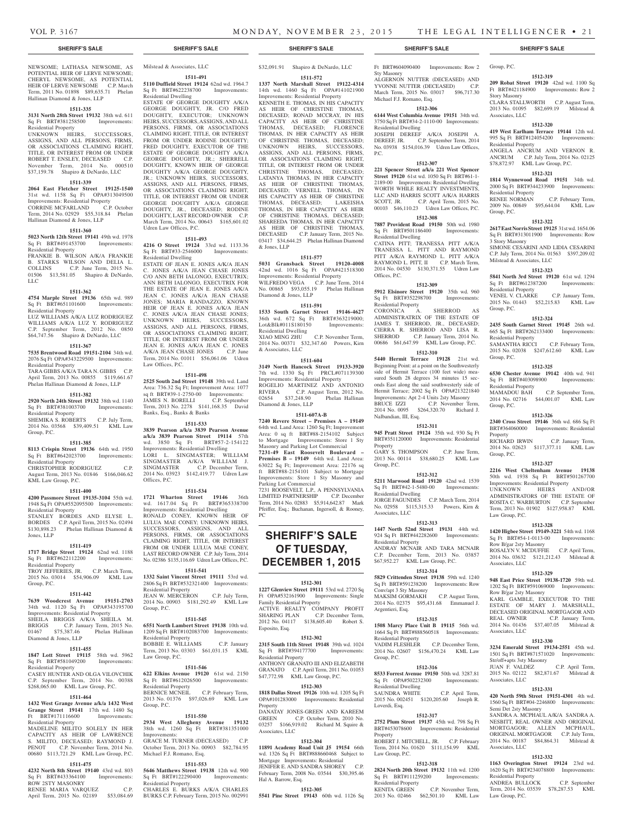NEWSOME; LATHASA NEWSOME, AS POTENTIAL HEIR OF LERVE NEWSOME; CHERYL NEWSOME, AS POTENTIAL HEIR OF LERVE NEWSOME C.P. March Term, 2011 No. 01898 \$89,635.71 Phelan Hallinan Diamond & Jones, LLP

### **1511-335**

**3131 North 28th Street 19132** 38th wd. 611 Sq Ft BRT#381258500 Improvements: Residential Property UNKNOWN HEIRS, SUCCESSORS,

ASSIGNS, AND ALL PERSONS, FIRMS, OR ASSOCIATIONS CLAIMING RIGHT, TITLE, OR INTEREST FROM OR UNDER ROBERT T. ENSLEY, DECEASED C.P. November Term, 2014 No. 000510 \$37,159.78 Shapiro & DeNardo, LLC

### **1511-339**

**2064 East Fletcher Street 19125-1540**  31st wd. 1158 Sq Ft OPA#313049500 Improvements: Residential Property CORRINE MCFARLAND C.P. October Term, 2014 No. 02929 \$55,318.84 Phelan Hallinan Diamond & Jones, LLP

#### **1511-360**

**5023 North 12th Street 19141** 49th wd. 1978 Sq Ft BRT#491453700 Improvements: Residential Property FRANKIE B. WILSON A/K/A FRANKIE B. STARKS WILSON AND DELIA L.

### COLLINS C.P. June Term, 2015 No. 01506 \$13,581.05 Shapiro & DeNardo, LLC **1511-362**

**4754 Marple Street 19136** 65th wd. 989 Sq Ft BRT#651101600 Improvements: Residential Property

LUZ WILLIAMS A/K/A LUZ RODRIGUEZ WILLIAMS A/K/A LUZ Y. RODRIGUEZ C.P. September Term, 2012 No. 0850 \$64,747.56 Shapiro & DeNardo, LLC

### **1511-367**

**7535 Brentwood Road 19151-2104** 34th wd. 2076 Sq Ft OPA#343229500 Improvements: Residential Property

TARA GIBBS A/K/A TARA N. GIBBS C.P. April Term, 2013 No. 00855 \$119,661.67 Phelan Hallinan Diamond & Jones, LLP

### **1511-382**

**2920 North 24th Street 19132** 38th wd. 1140 Sq Ft BRT#381003700 Improvements: Residential Property SHEMIKA S. ROBERTS C.P. July Term, 2014 No. 03568 \$39,409.51 KML Law

### **1511-385**

Group, P.C.

**8113 Crispin Street 19136** 64th wd. 1950 Sq Ft BRT#642023700 Improvements:

Residential Property CHRISTOPHER RODRIGUEZ C.P.

August Term, 2013 No. 01846 \$166,046.62 KML Law Group, P.C.

#### **1511-400**

**4200 Passmore Street 19135-3104** 55th wd. 1948 Sq Ft OPA#552095500 Improvements: Residential Property STANLEY BORDES AND ELYSE L. BORDES C.P. April Term, 2015 No. 02494

\$130,898.23 Phelan Hallinan Diamond & Jones, LLP

### **1511-419**

**1717 Bridge Street 19124** 62nd wd. 1188 Sq Ft BRT#622112200 Improvements: Residential Property TROY JEFFERIES, JR. C.P. March Term, 2015 No. 03014 \$54,906.09 KML Law

### **1511-442**

Group, P.C.

**7639 Woodcrest Avenue 19151-2703**  34th wd. 1120 Sq Ft OPA#343195700 Improvements: Residential Property SHEILA BRIGGS A/K/A SHEILA M. BRIGGS C.P. January Term, 2015 No. 01467 \$75,387.46 Phelan Hallinan Diamond & Jones, LLP

#### **1511-455**

**1847 Lott Street 19115** 58th wd. 5962 Sq Ft BRT#581049200 Improvements: Residential Property

CASEY HUNTER AND OLGA VILOVCHIK C.P. September Term, 2014 No. 00388 \$268,065.00 KML Law Group, P.C.

### **1511-464**

**1432 West Grange Avenue a/k/a 1432 West Grange Street 19141** 17th wd. 1480 Sq<br>Ft BRT#171116600 Improvements: BRT#171116600 Residential Property

MADELINE MILITO SOLELY IN HER CAPACITY AS HEIR OF LAWRENCE S. MILITO, DECEASED; RAYMOND J. PENOT C.P. November Term, 2014 No. 00680 \$113,721.29 KML Law Group, P.C.

### **1511-475**

**4232 North 8th Street 19140** 43rd wd. 803 Sq Ft BRT#433364100 ROW 2STY MASONRY RENEE MARIA VARQUEZ C.P.<br>April Term, 2015 No. 02189 \$53,084.69 April Term, 2015 No. 02189

Milstead & Associates, LLC **1511-491**

#### **5110 Duffield Street 19124** 62nd wd. 1964.7 Sq Ft BRT#622238700 Improvements: Residential Dwelling

ESTATE OF GEORGE DOUGHTY A/K/A GEORGE DOUGHTY, JR. C/O FRED DOUGHTY, EXECUTOR; UNKNOWN HEIRS, SUCCESSORS, ASSIGNS, AND ALL PERSONS, FIRMS, OR ASSOCIATIONS CLAIMING RIGHT, TITLE, OR INTEREST FROM OR UNDER RODINE DOUGHTY; FRED DOUGHTY, EXECUTOR OF THE ESTATE OF GEORGE DOUGHTY A/K/A GEORGE DOUGHTY, JR.; SHERRELL DOUGHTY, KNOWN HEIR OF GEORGE DOUGHTY A/K/A GEORGE DOUGHTY, JR.; UNKNOWN HEIRS, SUCCESSORS, ASSIGNS, AND ALL PERSONS, FIRMS, OR ASSOCIATIONS CLAIMING RIGHT TITLE, OR INTEREST FROM OR UNDER GEORGE DOUGHTY A/K/A GEORGE DOUGHTY, JR., DECEASED; RODINE DOUGHTY, LAST RECORD OWNER C.P. March Term, 2014 No. 00643 \$165,601.02 Udren Law Offices, P.C.

**1511-493**

**4216 O Street 19124** 33rd wd. 1133.36<br>Sq Ft BRT#33-2546000 Improvements: Sq Ft BRT#33-2546000 Residential Dwelling

ESTATE OF JEAN E. JONES A/K/A JEAN C. JONES A/K/A JEAN CHASE JONES C/O ANN BETH IALONGO, EXECUTRIX; ANN BETH IALONGO, EXECUTRIX FOR THE ESTATE OF JEAN E. JONES A/K/A JEAN C. JONES A/K/A JEAN CHASE JONES; MARIA RANDAZZO, KNOWN HEIR OF JEAN E. JONES A/K/A JEAN C. JONES A/K/A JEAN CHASE JONES; UNKNOWN HEIRS, SUCCESSORS, ASSIGNS, AND ALL PERSONS, FIRMS, OR ASSOCIATIONS CLAIMING RIGHT TITLE, OR INTEREST FROM OR UNDER JEAN E. JONES A/K/A JEAN C. JONES A/K/A JEAN CHASE JONES C.P. June Term, 2014 No. 01011 \$56,061.06 Udren Law Offices, P.C.

### **1511-498**

**2525 South 2nd Street 19148** 39th wd. Land Area: 736.32 Sq Ft; Improvement Area: 1077 sq ft BRT#39-1-2750-00 Improvements: JAMES N. BORELLI C.P. September Term, 2013 No. 2278 \$141,168.35 David Banks, Esq., Banks & Banks

### **1511-533**

**3839 Pearson a/k/a 3839 Pearson Avenue a/k/a 3839 Pearson Street 19114** 57th wd. 3850 Sq Ft BRT#57-2-154122 Improvements: Residential Dwelling LORI L. SINGMASTER; WILLIAM SINGMASTER A/K/A WILLIAM J. SINGMASTER C.P. December Term, 2014 No. 03923 \$142,419.77 Udren Law Offices, P.C.

#### **1511-534**

**1721 Wharton Street 19146** 36th wd. 1617.04 Sq Ft BRT#365338700 Improvements: Residential Dwelling RONALD CONEY, KNOWN HEIR OF LULUA MAE CONEY; UNKNOWN HEIRS, SUCCESSORS, ASSIGNS, AND ALL PERSONS, FIRMS, OR ASSOCIATIONS CLAIMING RIGHT, TITLE, OR INTEREST FROM OR UNDER LULUA MAE CONEY, LAST RECORD OWNER C.P. July Term, 2014 No. 02386 \$135,116.69 Udren Law Offices, P.C.

### **1511-541**

**1332 Saint Vincent Street 19111** 53rd wd. 2806 Sq Ft BRT#532321400 Improvements: Residential Property JEAN W. MERCERON C.P. July Term, 2014 No. 00903 \$181,292.49 KML Law Group, P.C.

### **1511-545**

**6551 North Lambert Street 19138** 10th wd. 1209 Sq Ft BRT#102083700 Improvements: Residential Property BOBBIE E. WILLIAMS C.P. January Term, 2013 No. 03303 \$61,031.15 KML Law Group, P.C.

### **1511-546**

**622 Elkins Avenue 19120** 61st wd. 2150 Sq Ft BRT#612026500 Improvements: Residential Property BERNICE MCNEIL C.P. February Term, 2013 No. 01376 \$97,026.69 KML Law Group, P.C.

### **1511-550**

**2934 West Allegheny Avenue 19132**  38th wd. 1260 Sq Ft BRT#381351000 Improvements: GRACE M. TURNER (DECEASED) C.P.

October Term, 2013 No. 00903 \$82,784.95 Michael F.J. Romano, Esq.

### **1511-553**

**5646 Matthews Street 19138** 12th wd. 900 Sq Ft BRT#122290400 Improvements: Residential Property

CHARLES E. BURKS A/K/A CHARLES BURKS C.P. February Term, 2015 No. 002991 \$32,091.91 Shapiro & DeNardo, LLC **1511-572**

**1337 North Marshall Street 19122-4314**  14th wd. 1460 Sq Ft OPA#141021900 Improvements: Residential Property KENNETH E. THOMAS, IN HIS CAPACITY AS HEIR OF CHRISTINE THOMAS, DECEASED; RONAD MCCRAY, IN HIS CAPACITY AS HEIR OF CHRISTINE THOMAS, DECEASED; FLORENCE THOMAS, IN HER CAPACITY AS HEIR OF CHRISTINE THOMAS, DECEASED; UNKNOWN HEIRS, SUCCESSORS, ASSIGNS, AND ALL PERSONS, FIRMS, OR ASSOCIATIONS CLAIMING RIGHT, TITLE, OR INTEREST FROM OR UNDER CHRISTINE THOMAS, DECEASED; LATANYA THOMAS, IN HER CAPACITY AS HEIR OF CHRISTINE THOMAS, DECEASED; VERNELL THOMAS, IN HIS CAPACITY AS HEIR OF CHRISTINE THOMAS, DECEASED; LAKEISHA THOMAS, IN HER CAPACITY AS HEIR OF CHRISTINE THOMAS, DECEASED; SHAREEDA THOMAS, IN HER CAPACITY AS HEIR OF CHRISTINE THOMAS, DECEASED C.P. January Term, 2015 No. 03417 \$34,644.25 Phelan Hallinan Diamond & Jones, LLP

### **1511-577**

**5031 Gransback Street 19120-4008**  42nd wd. 1016 Sq Ft OPA#421518300 Improvements: Residential Property WILFREDO VEGA C.P. June Term, 2014 No. 00865 \$93,055.19 Phelan Hallinan Diamond & Jones, LLP

### **1511-591**

**1533 South Garnet Street 19146-4627**  36th wd. 672 Sq Ft BRT#363219000; Lot&Blk#011S180150 Improvements: Residential Dwelling XIAO MING ZHU C.P. November Term, 2014 No. 00371 \$32,347.60 Powers, Kirn & Associates, LLC

#### **1511-604**

**3149 North Hancock Street 19133-3920**  7th wd. 1330 Sq Ft PRCL#071139300 Improvements: Residential Property ROGELIO MARTINEZ AND ANTONIO RIVERA C.P. August Term, 2012 No. 02654 \$37,248.90 Phelan Hallinan Diamond & Jones, LLP

### **1511-607A-B**

**7240 Revere Street – Premises A – 19149**  64th wd. Land Area: 1260 Sq Ft; Improvement Area: 0 sq ft BRT#88-2154102 Subject to Mortgage Improvements: Store 1 Sty Masonry and Parking Lot Commercial **7231-49 East Roosevelt Boulevard – Premises B – 19149** 64th wd. Land Area: 63022 Sq Ft; Improvement Area: 22176 sq ft BRT#88-2154101 Subject to Mortgage Improvements: Store 1 Sty Masonry and Parking Lot Commercial 7231 ROOSEVELT, L.P., A PENNSYLVANIA LIMITED PARTNERSHIP C.P. December

Term, 2014 No. 02883 \$5,914,642.87 Mark Pfeiffer, Esq.; Buchanan, Ingersoll, & Rooney, PC

## **SHERIFF'S SALE OF TUESDAY, DECEMBER 1, 2015**

### **1512-301**

**1227 Glenview Street 19111** 53rd wd. 2720 Sq Ft OPA#532161900 Improvements: Single Family Residential Property ACTIVE REALTY COMPANY PROFIT SHARING PLAN C.P. December Term, 2012 No. 04117 \$138,605.40 Robert S. Esposito, Esq.

#### **1512-302**

**2315 South 11th Street 19148** 39th wd. 1024 Sq Ft BRT#394177700 Improvements: Residential Property ANTHONY GRANATO III AND ELIZABETH GRANATO C.P. April Term, 2011 No. 01053 \$47,772.98 KML Law Group, P.C.

### **1512-303**

**1818 Dallas Street 19126** 10th wd. 1205 Sq Ft OPA#101283000 Improvements: Reside Property DANATAY JONES-GREEN AND KAREEM

GREEN C.P. October Term, 2010 No. 03257 \$166,919.02 Richard M. Squire & Associates, LLC

### **1512-304**

**11891 Academy Road Unit J5 19154** 66th wd. 1326 Sq Ft BRT#888660468 Subject to Mortgage Improvements: Residential JENIFER E. AND SANDRA SHOREY C.P. February Term, 2008 No. 03544 \$30,395.46 Hal A. Barrow, Esq.

### **1512-305**

**5541 Pine Street 19143** 60th wd. 1126 Sq

Group, P.C.

Story Masonry

Associates, LLC

Residential Property

Residential Property<br>RENEE NORMAN

Group, P.C.

3 Story Masonry

Milstead & Associates, LLC

Residential Property

Residential Property

Residential Property

Property<br>RICHARD IRWIN

Group, P.C.

Group, P.C.

Group, P.C.

Group, P.C.

Law Group, P.C.

Associates, LLC

Associates, LLC

Associates, LLC

Associates, LLC

Residential Property

Law Group, P.C.

Row B/gar 2sty Masonry

Row B/gar 2sty Masonry

Str/off+apts 3sty Masonry

Semi Det 2sty Masonry

**1512-319 209 Robat Street 19120** 42nd wd. 1100 Sq Ft BRT#421184900 Improvements: Row 2

CLARA STALLWORTH C.P. August Term, 2013 No. 01095 \$82,699.19 Milstead &

**1512-320 419 West Earlham Terrace 19144** 12th wd. 995 Sq Ft BRT#124054200 Improvements:

ANGELA ANCRUM AND VERNON R. ANCRUM C.P. July Term, 2014 No. 02125 \$78,872.97 KML Law Group, P.C. **1512-321 1814 Wynnewood Road 19151** 34th wd. 2000 Sq Ft BRT#344233900 Improvements:

2009 No. 00849 \$95,644.04 KML Law

**1512-322 2617 East Norris Street 19125** 31st wd. 1654.06 Sq Ft BRT#313011900 Improvements: Row

SIMONE CESARINI AND LIDIA CESARINI C.P. July Term, 2014 No. 01563 \$397,209.02

**1512-323 5841 North 3rd Street 19120** 61st wd. 1294 Sq Ft BRT#612387200 Improvements:

VENEL V. CLARKE C.P. January Term, 2015 No. 01443 \$52,215.83 KML Law

**1512-324 2435 South Garnet Street 19145** 26th wd. 665 Sq Ft BRT#262133400 Improvements:

SAMANTHA RICCI C.P. February Term, 2015 No. 02038 \$247,612.60 KML Law

**1512-325 6530 Chester Avenue 19142** 40th wd. 941 Sq Ft BRT#403098900 Improvements:

2014 No. 02716 \$44,001.07 KML Law

**1512-326 2340 Cross Street 19146** 36th wd. 686 Sq Ft BRT#364060000 Improvements: Residential

2014 No. 02623 \$117,377.11 KML Law

**1512-327 2216 West Cheltenham Avenue 19138** 50th wd. 1938 Sq Ft BRT#501267700 Improvements: Residential Property UNKNOWN HEIRS AND/OR ADMINISTRATORS OF THE ESTATE OF ROSITA C. WARBURTON C.P. September Term, 2013 No. 01902 \$127,958.87 KML

**1512-328 1420 Higbee Street 19149-3221** 54th wd. 1168 Sq Ft BRT#54-1-0113-00 Improvements:

ROSALYN V. MCDUFFIE C.P. April Term, 2014 No. 03632 \$121,212.43 Milstead &

**1512-329 948 East Price Street 19138-1720** 59th wd. 1202 Sq Ft BRT#591069000 Improvements:

KARL GAMBLE, EXECUTOR TO THE ESTATE OF MARY J. MARSHALL, DECEASED ORIGINAL MORTGAGOR AND REAL OWNER C.P. January Term, 2014 No. 01436 \$37,407.05 Milstead &

**1512-330 3234 Emerald Street 19134-2551** 45th wd.<br>1501 Sq Ft BRT#871571020 Improvements: 1501 Sq Ft BRT#871571020 Improvements:

JUAN F. VALDEZ C.P. April Term, 11 JUAN F. VALDEZ C.P. April Term,<br>2015 No. 02122 \$82,871.67 Milstead &

**1512-331 420 North 59th Street 19151-4301** 4th wd. 1560 Sq Ft BRT#04-2246800 Improvements:

SANDRA A. MCPHAUL A/K/A SANDRA A. NESBITT, REAL OWNER AND ORIGINAL MORTGAGOR; ALLEN MCPHAUL, ORIGINAL MORTGAGOR C.P. July Term, 2014 No. 00187 \$84,864.31 Milstead &

**1512-332 1163 Overington Street 19124** 23rd wd. 1620 Sq Ft BRT#234078800 Improvements:

ANDREA BULLOCK C.P. September Term, 2014 No. 03539 \$78,287.53 KML

C.P. September Term,

C.P. January Term,

C.P. February Term,

Ft BRT#604090400 Improvements: Row 2 Sty Masonry ALGERNON NUTTER (DECEASED) AND YVONNE NUTTER (DECEASED) C.P. March Term, 2015 No. 03017 \$96,717.30 Michael F.J. Romano, Esq.

### **1512-306**

**6144 West Columbia Avenue 19151** 34th wd. 3750 Sq Ft BRT#34-2-1110-00 Improvements: Residential Dwelling

JOSEPH DEREEF A/K/A JOSEPH A. DEREEF, JR. C.P. September Term, 2014 No. 03938 \$154,016.39 Udren Law Offices, P.C.

### **1512-307**

**221 Spencer Street a/k/a 221 West Spencer Street 19120** 61st wd. 1050 Sq Ft BRT#61-1-2189-00 Improvements: Residential Dwelling WORTH WHILE REALTY INVESTMENTS, LLC AND HARRIS SCOTT A/K/A HARRIS SCOTT, JR. C.P. April Term, 2015 No. 00103 \$46,110.23 Udren Law Offices, P.C. **1512-308**

### **7887 Provident Road 19150** 50th wd. 1980

Sq Ft BRT#501186400 Improvements: Residential Dwelling CATINA PITT; TRANESSA PITT A/K/A TRANESSA L. PITT AND RAYMOND PITT A/K/A RAYMOND L. PITT A/K/A RAYMOND L. PITT, II C.P. March Term, 2014 No. 04530 \$130,371.55 Udren Law Offices, P.C.

### **1512-309**

**5912 Elsinore Street 19120** 35th wd. 960 Sq Ft BRT#352298700 Improvements: Residential Property CORONICA A. SHERROD AS ADMINISTRATRIX OF THE ESTATE OF JAMES T. SHERROD, JR., DECEASED; CIERRA R. SHERROD AND LISA R. SHERROD C.P. January Term, 2014 No. 00686 \$61,647.99 KML Law Group, P.C.

### **1512-310**

**5440 Hermit Terrace 19128** 21st wd. Beginning Point: at a point on the Southwesterly side of Hermit Terrace (100 feet wide) measured South 28 degrees 34 minutes 15 seconds East along the said southwesterly side of Hermit Terrace; 2002 Sq Ft OPA#213221840 Improvements: Apt 2-4 Units 2sty Masonry BRUCE IZZI C.P. November Term, 2014 No. 0095 \$264,320.70 Richard J. Nalbandian, III, Esq.

### **1512-311**

Group, P.C.

Residential Dwelling

Associates, LLC

Residential Property

Conv/apt 3 Sty Masonry

Argentieri, Esq.

Residential Property

Residential Dwelling

Group, P.C.

Loverdi, Esq.

Property

Law Group, P.C.

Residential Property

**945 Pratt Street 19124** 35th wd. 930 Sq Ft BRT#351120000 Improvements: Residential Property GARY S. THOMPSON C.P. June Term, 2013 No. 00114 \$38,680.25 KML Law

**1512-312 5211 Marwood Road 19120** 42nd wd. 1539 Sq Ft BRT#42-1-5480-00 Improvements:

JORGE FAGUNDES C.P. March Term, 2014 No. 02958 \$115,315.33 Powers, Kirn &

**1512-313 1447 North 52nd Street 19131** 44th wd. 924 Sq Ft BRT#442282600 Improvements:

ANDRAY MCNAIR AND TARA MCNAIR C.P. December Term, 2013 No. 03857 \$67,952.27 KML Law Group, P.C. **1512-314 5829 Crittenden Street 19138** 59th wd. 1240 Sq Ft BRT#591238200 Improvements: Row

MAKSIM GORMAKH C.P. August Term, 2014 No. 02375 \$95,431.68 Emmanuel J.

**1512-315 1508 Marcy Place Unit B 19115** 56th wd. 1664 Sq Ft BRT#888560518 Improvements:

VADIM FLESHLER C.P. December Term, 2014 No. 02607 \$156,470.24 KML Law

**1512-316 8533 Forrest Avenue 19150** 50th wd. 3287.81 Sq Ft OPA#502232300 Improvements:

SAUNDRA WHITE C.P. April Term, 2015 No. 002451 \$120,205.60 Joseph R.

**1512-317 2752 Plum Street 19137** 45th wd. 798 Sq Ft BRT#453078600 Improvements: Residential

ROBERT J. MITCHELL, JR. C.P. February Term, 2014 No. 01620 \$111,154.99 KML

**1512-318 2824 North 20th Street 19132** 11th wd. 1200 Sq Ft BRT#111259200 Improvements:

KENITA GREEN C.P. November Term, 2013 No. 02466 \$62,501.10 KML Law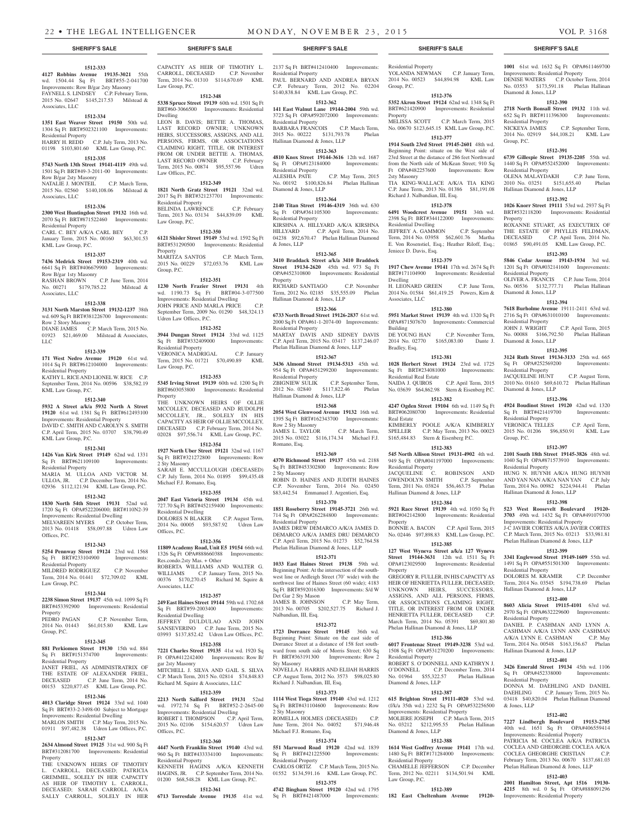C.P. September Term,

**1001** 61st wd. 1632 Sq Ft OPA#611469700 Improvements: Residential Property

DENISE WATERS C.P. October Term, 2014 No. 03553 \$173,591.18 Phelan Hallinan

**1512-390 2718 North Bonsall Street 19132** 11th wd. 652 Sq Ft BRT#111396300 Improvements:

2014 No. 02919 \$44,108.21 KML Law

**1512-391 6739 Gillespie Street 19135-2205** 55th wd. 1440 Sq Ft OPA#552452000 Improvements:

OLENA MALAYDAKH C.P. June Term, 2010 No. 03251 \$151,655.40 Phelan

**1512-392 1026 Knorr Street 19111** 53rd wd. 2937 Sq Ft BRT#532118200 Improvements: Residential

ROXANNE STUART, AS EXECUTRIX OF THE ESTATE OF PHYLLIS FELDMAN, DECEASED C.P. April Term, 2014 No. 01865 \$90,491.05 KML Law Group, P.C. **1512-393 5846 Cedar Avenue 19143-1934** 3rd wd. 1201 Sq Ft OPA#032141600 Improvements:

OLIVER A. FRANCIS C.P. June Term, 2014 No. 00536 \$132,777.71 Phelan Hallinan

**1512-394 7618 Burholme Avenue** 19111-2411 63rd wd. 2716 Sq Ft OPA#631010100 Improvements:

JOHN J. WRIGHT C.P. April Term, 2015 No. 00088 \$166,792.50 Phelan Hallinan

**1512-395 3124 Ruth Street 19134-3133** 25th wd. 665<br>
Sq Ft OPA#252569200 Improvements:

JACQUELINE HUNT C.P. August Term, 2010 No. 01610 \$69,610.72 Phelan Hallinan

**1512-396 4924 Boudinot Street 19120** 42nd wd. 1320 Sq Ft BRT#421419700 Improvements:

VERONICA TELLES C.P. April Term, 2015 No. 01206 \$96,850.91 KML Law

**1512-397 2101 South 18th Street 19145-3826** 48th wd. 1040 Sq Ft OPA#871573910 Improvements:

HUNG N. HUYNH A/K/A HUNG HUYNH AND YAN NAN A/K/A NAN YAN C.P. July Term, 2014 No. 00982 \$224,944.41 Phelan

**1512-398 523 West Roosevelt Boulevard 19120- 3703** 49th wd. 1432 Sq Ft OPA#491079700

DOLORES M. KRAMER C.P. December Term, 2014 No. 03545 \$194,738.69 Phelan

**1512-400 8603 Alicia Street 19115-4101** 63rd wd. 2970 Sq Ft OPA#632229600 Improvements:

DANIEL P. CASHMAN AND LYNN A. CASHMAN A/K/A LYNN ANN CASHMAN A/K/A LYNN E. CASHMAN C.P. May Term, 2014 No. 00548 \$163,156.67 Phelan

**1512-401 3426 Emerald Street 19134** 45th wd. 1106 Sq Ft OPA#452338000 Improvements:

DONNA M. DAEHLING AND DANIEL DAEHLING C.P. January Term, 2015 No. 03418 \$40,820.04 Phelan Hallinan Diamond

**1512-402 7227 Lindbergh Boulevard 19153-2705** 40th wd. 1651 Sq Ft OPA#406559414

Improvements: Residential Property PATRICIA M. COCLEA A/K/A PATRICIA COCLEA AND GHEORGHE COCLEA A/K/A COCLEA GHEORGHE CRISTIAN February Term, 2013 No. 00670 \$137,681.03 Phelan Hallinan Diamond & Jones, LLP **1512-403 2001 Hamilton Street, Apt 1516 19130- 4215** 8th wd. 0 Sq Ft OPA#888091296

Improvements: Residential Property

Diamond & Jones, LLP

Residential Property<br>NICKEYA JAMES

Residential Property<br>OLENA MALAYDAKH

Hallinan Diamond & Jones, LLP

Group, P.C.

Property

Residential Property

Diamond & Jones, LLP

Residential Property

Diamond & Jones, LLP

Sq Ft OPA#252569200 Residential Property

Diamond & Jones, LLP

Residential Property

Residential Property

Residential Property

Residential Property

Residential Property

& Jones, LLP

Hallinan Diamond & Jones, LLP

Improvements: Residential Property J-C JAVIER CORTES A/K/A JAVIER CORTES C.P. March Term, 2015 No. 03213 \$33,981.81 Phelan Hallinan Diamond & Jones, LLP **1512-399 3341 Englewood Street 19149-1609** 55th wd. 1491 Sq Ft OPA#551501300 Improvements:

Hallinan Diamond & Jones, LLP

Hallinan Diamond & Jones, LLP

Group, P.C.

#### **SHERIFF'S SALE SHERIFF'S SALE SHERIFF'S SALE SHERIFF'S SALE SHERIFF'S SALE**

#### **1512-333**

**4127 Robbins Avenue 19135-3021** 55th wd. 1504.44 Sq Ft BRT#55-2-041700 Improvements: Row B/gar 2sty Masonry FAYNELL S. LINDSEY C.P. February Term, 2015 No. 02647 \$145,217.53 Milstead & Associates, LLC

### **1512-334**

**1351 East Weaver Street 19150** 50th wd. 1304 Sq Ft BRT#502321100 Improvements: Residential Property HARRY H. REDD C.P. July Term, 2013 No.

### 01198 \$103,801.60 KML Law Group, P.C. **1512-335**

**5743 North 13th Street 19141-4119** 49th wd. 1501 Sq Ft BRT#49-3-2011-00 Improvements: Row B/gar 2sty Masonry

NATALIE J. MONTEIL C.P. March Term, 2015 No. 02560 \$140,108.06 Milstead & Associates, LLC

### **1512-336**

**2300 West Huntingdon Street 19132** 16th wd. 2070 Sq Ft BRT#871522460 Improvements: Residential Property CARL C. BEY A/K/A CARL BEY C.P. January Term, 2015 No. 00160 \$63,301.53

KML Law Group, P.C. **1512-337**

### **7436 Medrick Street 19153-2319** 40th wd. 6641 Sq Ft BRT#406679900 Improvements: Row B/gar 1sty Masonry RASHAN BROWN C.P. June Term, 2014

No. 00271 \$179,785.22 Milstead & Associates, LLC

### **1512-338**

**3131 North Marston Street 19132-1237** 38th wd. 609 Sq Ft BRT#381226700 Improvements: Row 2 Story Masonry DIANE JAMES C.P. March Term, 2015 No. 01923 \$21,469.00 Milstead & Associates. LLC

#### **1512-339**

**171 West Nedro Avenue 19120** 61st wd. 1014 Sq Ft BRT#612104000 Improvements: Residential Property KATHY L. RICE AND LIONEL W. RICE C.P. September Term, 2014 No. 00596 \$38,582.19

KML Law Group, P.C. **1512-340**

### **5932 A Street a/k/a 5932 North A Street 19120** 61st wd. 1381 Sq Ft BRT#612493100

Improvements: Residential Property DAVID C. SMITH AND CAROLYN S. SMITH C.P. April Term, 2015 No. 03707 \$38,790.49 KML Law Group, P.C.

### **1512-341**

**1426 Van Kirk Street 19149** 62nd wd. 1331 Sq Ft BRT#621109100 Improvements: Residential Property

MARIA M. ULLOA AND VICTOR M. ULLOA, JR. C.P. December Term, 2014 No. 02936 \$112,121.94 KML Law Group, P.C.

### **1512-342**

**1830 North 54th Street 19131** 52nd wd. 1720 Sq Ft OPA#522206000; BRT#110N2-39 Improvements: Residential Dwelling MELVAREEN MYERS C.P. October Term, 2013 No. 01418 \$58,097.88 Udren Law

Offices, P.C.

#### **1512-343 5254 Pennway Street 19124** 23rd wd. 1568

Sq Ft BRT#233104900 Improvements: Residential Property MILDRED RODRIGUEZ C.P. November Term, 2014 No. 01441 \$72,709.02 KML

### Law Group, P.C. **1512-344**

### **2238 Simon Street 19137** 45th wd. 1099 Sq Ft

BRT#453392900 Improvements: Residential Property<br>PEDRO PAGAN C.P. November Term,

### 2014 No. 01443 \$61,015.80 KML Law Group, P.C.

### **1512-345**

**881 Perkiomen Street 19130** 15th wd. 884 Sq Ft BRT#151374700 Improvements: Residential Property JANET FRIEL, AS ADMINISTRATRIX OF THE ESTATE OF ALEXANDER FRIEL,

DECEASED C.P. June Term, 2014 No. 00153 \$220,877.45 KML Law Group, P.C. **1512-346**

### **4013 Claridge Street 19124** 33rd wd. 1040

Sq Ft BRT#33-2-3498-00 Subject to Mortgage Improvements: Residential Dwelling MARLON SMITH C.P. May Term, 2015 No. 01911 \$97,482.38 Udren Law Offices, P.C.

### **1512-347**

**2634 Almond Street 19125** 31st wd. 900 Sq Ft BRT#312081700 Improvements: Residential Property

THE UNKNOWN HEIRS OF TIMOTHY L. CARROLL, DECEASED; PATRICIA GREMMEL, SOLELY IN HER CAPACITY AS HEIR OF TIMOTHY L. CARROLL, DECEASED; SARAH CARROLL A/K/A SALLY CARROLL, SOLELY IN HER CAPACITY AS HEIR OF TIMOTHY L. CARROLL, DECEASED C.P. November Term, 2014 No. 01310 \$114,670.69 KML Law Group, P.C.

### **1512-348 5338 Spruce Street 19139** 60th wd. 1501 Sq Ft BRT#60-3066500 Improvements: Residential

Dwelling LEON B. DAVIS; BETTIE A. THOMAS, LAST RECORD OWNER; UNKNOWN HEIRS, SUCCESSORS, ASSIGNS, AND ALL PERSONS, FIRMS, OR ASSOCIATIONS CLAIMING RIGHT, TITLE, OR INTEREST FROM OR UNDER BETTIE A. THOMAS, LAST RECORD OWNER C.P. February Term, 2015 No. 00874 \$95,557.96 Udren Law Offices, P.C.

### **1512-349**

**1821 North Gratz Street 19121** 32nd wd. 2017 Sq Ft BRT#321237701 Improvements: Residential Property BELINDA LAWRENCE C.P. February Term, 2013 No. 03134 \$44,839.09 KML Law Group, P.C.

### **1512-350**

**6121 Shisler Street 19149** 53rd wd. 1592 Sq Ft BRT#531290500 Improvements: Residential Property<br>MARITZA SANTOS C.P. March Term, 2015 No. 00229 \$72,053.76 KML Law Group, P.C.

### **1512-351**

**1230 North Frazier Street 19131** 4th wd. 1190.73 Sq Ft BRT#04-3-077500 Improvements: Residential Dwelling JOHN PRICE AND MARLA PRICE C.P. September Term, 2009 No. 01290 \$48,324.13 Udren Law Offices, P.C.

#### **1512-352**

**3944 Dungan Street 19124** 33rd wd. 1125 Sq Ft BRT#332409000 Improvements: Residential Property VERONICA MADRIGAL C.P. January Term, 2015 No. 01721 \$70,490.89 KML Law Group, P.C.

### **1512-353**

**5345 Irving Street 19139** 60th wd. 1200 Sq Ft BRT#603053800 Improvements: Residential Property THE UNKNOWN HEIRS OF OLLIE MCCOLLEY, DECEASED AND RUDOLPH MCCOLLEY, JR., SOLELY IN HIS CAPACITY AS HEIR OF OLLIE MCCOLLEY, DECEASED C.P. February Term, 2014 No. 02028 \$97,556.74 KML Law Group, P.C. **1512-354**

## **1927 North Uber Street 19121** 32nd wd. 1167

Sq Ft BRT#321272800 Improvements: Row 2 Sty Masonry SARAH E. MCCULLOUGH (DECEASED) C.P. July Term, 2014 No. 01895 \$99,435.48 Michael F.J. Romano, Esq.

### **1512-355**

**2047 East Victoria Street 19134** 45th wd. 727.70 Sq Ft BRT#452159400 Improvements: Residential Dwelling DOLORES N BLAKER C.P. August Term, 2014 No. 00005 \$93,587.92 Udren Law

#### **1512-356**

Offices, P.C.

**11809 Academy Road, Unit E5 19154** 66th wd. 1326 Sq Ft OPA#888660388 Improvements: Res.condo.2sty Mas. + Other ROBERTA WILLIAMS AND WALTER G. WILLIAMS C.P. January Term, 2015 No. 00376 \$170,270.45 Richard M. Squire & Associates, LLC

### **1512-357**

**249 East Haines Street 19144** 59th wd. 1702.68 Sq Ft BRT#59-2003400 Improvements: Residential Dwelling JEFFREY DULDULAO AND JOHN SANSEVERINO C.P. June Term, 2015 No. 03993 \$137,852.42 Udren Law Offices, P.C.

### **1512-358**

**7221 Charles Street 19135** 41st wd. 1920 Sq Ft OPA#412242400 Improvements: Row B/ gar 2sty Masonry MITCHELL J. SILVA AND GAIL S. SILVA C.P. March Term, 2015 No. 02814 \$74,848.83 Richard M. Squire & Associates, LLC

### **1512-359**

wd. 1972.74 Sq Ft BRT#52-2-2645-00 Improvements: Residential Dwelling ROBERT I. THOMPSON C.P. April Term, 2015 No. 02106 \$154,620.57 Udren Law Offices, P.C.

### **1512-360**

**4447 North Franklin Street 19140** 43rd wd. 960 Sq Ft BRT#433334100 Improvements: Residential Property KENNETH HAGINS A/K/A KENNETH HAGINS, JR. C.P. September Term, 2014 No.

## 01200 \$68,548.28 KML Law Group, P.C.

**1512-361 6713 Torresdale Avenue 19135** 41st wd. 2137 Sq Ft BRT#412410400 Improvements: Residential Property PAUL BERNARD AND ANDREA BRYAN C.P. February Term, 2012 No. 02204

## \$140,838.84 KML Law Group, P.C.

Residential Property

Group, P.C.

Property

2sty Masonry

Residential Dwelling

Jeniece D. Davis, Esq.

Dwelling<br>H LEONARD GREEN

Associates, LLC

Building

Bradley, Esq.

Real Estate

Residential Property

Property

Property

Residential Property

Diamond & Jones, LLP

Diamond & Jones, LLP

Residential Property

Law Group, P.C.

Hallinan Diamond & Jones, LLP

Residential Real Estate

YOLANDA NEWMAN C.P. January Term, 2014 No. 00523 \$44,894.98 KML Law

**1512-376 5352 Akron Street 19124** 62nd wd. 1348 Sq Ft BRT#621420900 Improvements: Residential

MELISSA SCOTT C.P. March Term, 2015 No. 00670 \$123,645.15 KML Law Group, P.C. **1512-377 1914 South 23rd Street 19145-2601** 48th wd. Beginning Point: situate on the West side of 23rd Street at the distance of 286 feet Northward from the North side of McKean Street; 910 Sq Ft OPA#482257600 Improvements: Row

TIA KING-WALLACE A/K/A TIA KING C.P. June Term, 2013 No. 01386 \$81,191.08

**1512-378 6491 Woodcrest Avenue 19151** 34th wd. 2398 Sq Ft BRT#344122000 Improvements:

JEFFREY A. GAMMON C.P. September Term, 2014 No. 03958 \$62,601.76 Martha E. Von Rosenstiel, Esq.; Heather Riloff, Esq.;

**1512-379 1917 Chew Avenue 19141** 17th wd. 2674 Sq Ft BRT#171104900 Improvements: Residential

H. LEONARD GREEN C.P. June Term, 2014 No. 01584 \$61,419.25 Powers, Kirn &

**1512-380 5951 Market Street 19139** 4th wd. 1320 Sq Ft OPA#871507670 Improvements: Commercial

DE YOUNG HAN C.P. November Term, 2014 No. 02770 \$165,083.00 Dante J.

**1512-381 1028 Herbert Street 19124** 23rd wd. 1725 Sq Ft BRT#234081000 Improvements:

NAIDA J. QUIROS C.P. April Term, 2015 No. 03639 \$64,862.98 Stern & Eisenberg P.C. **1512-382 4247 Ogden Street 19104** 6th wd. 1149 Sq Ft BRT#062080700 Improvements: Residential

KIMBERLY POOLE A/K/A KIMBERLY SPELLER C.P. May Term, 2013 No. 00023 \$165,484.83 Stern & Eisenberg P.C. **1512-383 545 North Allison Street 19131-4902** 4th wd. 949 Sq Ft OPA#041197000 Improvements:

JACQUELINE C. ROBINSON AND GWENDOLYN SMITH C.P. September Term, 2011 No. 03824 \$56,463.75 Phelan

**1512-384 5921 Race Street 19139** 4th wd. 1050 Sq Ft BRT#042142800 Improvements: Residential

BONNIE A. BACON C.P. April Term, 2015 No. 02446 \$97,898.83 KML Law Group, P.C. **1512-385 127 West Wyneva Street a/k/a 127 Wyneva Street 19144-3631** 12th wd. 1511 Sq Ft OPA#123029500 Improvements: Residential

GREGORY R. FULLER, IN HIS CAPACITY AS HEIR OF HENRIETTA FULLER, DECEASED; UNKNOWN HEIRS, SUCCESSORS, ASSIGNS, AND ALL PERSONS, FIRMS, OR ASSOCIATIONS CLAIMING RIGHT, TITLE, OR INTEREST FROM OR UNDER HENRIETTA FULLER, DECEASED C.P. March Term, 2014 No. 05391 \$69,801.80 Phelan Hallinan Diamond & Jones, LLP **1512-386 6017 Frontenac Street 19149-3238** 53rd wd. 1508 Sq Ft OPA#531270200 Improvements:

ROBERT S. O'DONNELL AND KATHRYN J. O'DONNELL C.P. December Term, 2014 No. 01964 \$55,322.57 Phelan Hallinan

**1512-387**

(f/k/a 35th wd.) 2232 Sq Ft OPA#532256500 Improvements: Residential Property MOLIERE JOSEPH C.P. March Term, 2015 No. 03212 \$212,995.55 Phelan Hallinan

**1512-388 1614 West Godfrey Avenue 19141** 17th wd. 1480 Sq Ft BRT#171284000 Improvements:

CHAMELLE **JEFFERSON** C.P. December Term, 2012 No. 02211 \$134,501.94 KML

**1512-389 182 East Cheltenham Avenue 19120-**

**615 Brighton Street 19111-4020** 53rd wd.

Richard J. Nalbandian, III, Esq.

**1512-362 141 East Walnut Lane 19144-2004** 59th wd. 3723 Sq Ft OPA#592072000 Improvements: Residential Property BARBARA FRANCOIS C.P. March Term, 2015 No. 00222 \$131,793.78 Phelan

Hallinan Diamond & Jones, LLP **1512-363**

### **4810 Knox Street 19144-3616** 12th wd. 1687 Sq Ft OPA#123184000 Improvements: Residential Property ALESHIA PATE C.P. May Term, 2015 No. 00192 \$100,826.84 Phelan Hallinan

Diamond & Jones, LLP **1512-364**

#### **2140 Titan Street 19146-4319** 36th wd. 630 Sq Ft OPA#361105300 Improvements: Residential Property KIRSHNA A. HILLYARD A/K/A KIRSHNA<br>HILLYARD C.P. April Term, 2014 No. C.P. April Term, 2014 No. 04238 \$92,670.47 Phelan Hallinan Diamond & Jones, LLP

**1512-365**

**3410 Braddack Street a/k/a 3410 Braddock Street 19134-2620** 45th wd. 973 Sq Ft OPA#452310800 Improvements: Residential Property RICHARD SANTIAGO C.P. November

Term, 2012 No. 02185 \$35,555.09 Phelan Hallinan Diamond & Jones, LLP **1512-366**

### **6733 North Broad Street 19126-2837** 61st wd. 2000 Sq Ft OPA#61-1-2074-00 Improvements: Residential Property

MARTAY DAVIS AND SIDNEY DAVIS C.P. April Term, 2015 No. 03417 \$137,246.07 Phelan Hallinan Diamond & Jones, LLP

### **1512-367 3436 Almond Street 19134-5313** 45th wd. 954 Sq Ft OPA#451299200 Improvements:

Residential Property C.P. September Term, 2012 No. 02840 \$117,822.46 Phelan Hallinan Diamond & Jones, LLP

## **1512-368**

**2054 West Glenwood Avenue 19132** 16th wd. 1395 Sq Ft BRT#162343700 Improvements: Row 2 Sty Masonry JAMES L. TAYLOR C.P. March Term, 2015 No. 03022 \$116,174.34 Michael F.J. Romano, Esq.

### **1512-369**

**4370 Richmond Street 19137** 45th wd. 2188 Sq Ft BRT#453302800 Improvements: Row 2 Sty Masonry ROBIN D. HAINES AND JUDITH HAINES C.P. November Term, 2014 No. 02450

### \$83,442.54 Emmanuel J. Argentieri, Esq. **1512-370**

**1851 Roseberry Street 19145-3721** 26th wd. 714 Sq Ft OPA#262284800 Improvements:

#### Residential Property JAMES DREW DEMARCO A/K/A JAMES D. DEMARCO A/K/A JAMES DRU DEMARCO C.P. April Term, 2015 No. 01273 \$52,764.58 Phelan Hallinan Diamond & Jones, LLP

**1512-371**

### **1033 East Haines Street 19138** 59th wd. Beginning Point: At the intersection of the southwest line or Ardleigh Street (70' wide) with the northwest line of Haines Street (60 wide); 4183 Sq Ft BRT#592016300 Improvements: S/d W Det Gar 2 Sty Mason JAMES B. JOHNSON C.P. May Term,

2013 No. 00705 \$202,527.75 Richard J. Nalbandian, III, Esq.

### **1512-372**

**1723 Dorrance Street 19145** 36th wd. Beginning Point: Situate on the east side of Dorrance Street at a distance of 158 feet southward from south side of Morris Street; 630 Sq Ft BRT#363191300 Improvements: Row 2 Sty Masonry NOVELLA J. HARRIS AND ELIJAH HARRIS

C.P. August Term, 2012 No. 3573 \$98,025.80 Richard J. Nalbandian, III, Esq. **1512-373**

#### **2213 North Salford Street 19131** 52nd **19140** 43rd wd. 1212 **615 Brighton** Sq Ft BRT#431104600 Improvements: Row 2 Sty Masonry ROMELLA HOLMES (DECEASED) C.P.

June Term, 2014 No. 04052 \$71,946.48

**1512-374 551 Marwood Road 19120** 42nd wd. 1839 Sq Ft BRT#421225500 Improvements:

CARLOS ORTIZ C.P. March Term, 2015 No. 01552 \$134,591.16 KML Law Group, P.C. **1512-375 4742 Bingham Street 19120** 42nd wd. 1795

Michael F.J. Romano, Esq.

Residential Property

Sq Ft BRT#421487000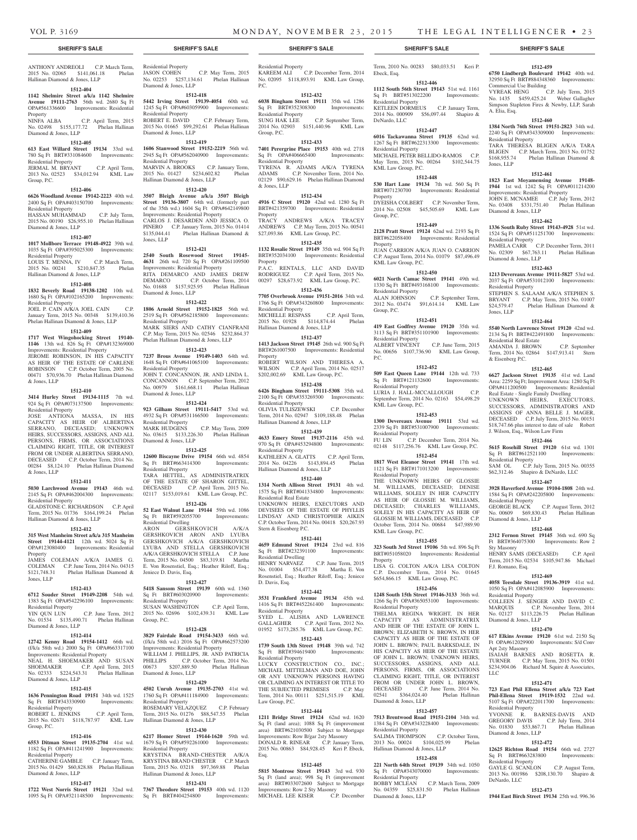Ebeck, Esq.

Residential Property

Residential Property

KML Law Group, P.C.

KML Law Group, P.C.

Residential Property

Residential Property

Residential Property

KML Law Group, P.C.

Residential Property

Residential Property

KML Law Group, P.C.

Residential Property

Diamond & Jones, LLP

Residential Property

Residential Property

Diamond & Jones, LLP

Hallinan Diamond & Jones, LLP

Property

Group, P.C.

P.C.

Property

Property

Group, P.C.

DeNardo, LLC

Term, 2010 No. 00283 \$80,033.51 Keri P.

**1512-459 6750 Lindbergh Boulevard 19142** 40th wd. 32950 Sq Ft BRT#884348360 Improvements:

VYREAK HENG C.P. July Term, 2015 No. 1435 \$459,425.24 Weber Gallagher Simpson Stapleton Fires & Newby, LLP, Sarah

**1512-460 1384 North 76th Street 19151-2823** 34th wd. 2240 Sq Ft OPA#343309000 Improvements:

TARA THERESA BLIGEN A/K/A TARA BLIGEN C.P. March Term, 2013 No. 01752 \$168,955.74 Phelan Hallinan Diamond &

**1512-461 1823 East Moyamensing Avenue 19148- 1944** 1st wd. 1242 Sq Ft OPA#011214200 Improvements: Residential Property JOHN E. MCNAMEE C.P. July Term, 2012 No. 03408 \$331,751.40 Phelan Hallinan

**1512-462 1336 South Ruby Street 19143-4928** 51st wd. 1524 Sq Ft OPA#511251700 Improvements:

PAMELA CARR C.P. December Term, 2011 No. 02309 \$67,763.11 Phelan Hallinan

**1512-463 1213 Devereaux Avenue 19111-5827** 53rd wd. 2037 Sq Ft OPA#531012100 Improvements:

STEPHEN S. SALAAM A/K/A STEPHEN S. BRYANT C.P. May Term, 2015 No. 01007 \$24,579.47 Phelan Hallinan Diamond &

**1512-464 5540 North Lawrence Street 19120** 42nd wd. 2134 Sq Ft BRT#422491800 Improvements:

AMANDA J. BROWN C.P. September Term, 2014 No. 02864 \$147,913.41 Stern

**1512-465 6627 Jackson Street 19135** 41st wd. Land Area: 2259 Sq Ft; Improvement Area: 1280 Sq Ft<br>OPA#411200500 Improvements: Residential

Real Estate - Single Family Dwelling UNKNOWN HEIRS, EXECUTORS, SUCCESSORS, ADMINISTRATORS AND ASSIGNS OF ANNA BELLE J. MAGER, DECEASED C.P. July Term, 2015 No. 00151 \$18,747.66 plus interest to date of sale Robert

J. Wilson, Esq., Wilson Law Firm

Residential Property

Residential Property

Sty Masonry

F.J. Romano, Esq.

Residential Property

Diamond & Jones, LLP

Apt 2sty Masonry

Residential Property

Diamond & Jones, LLP

DeNardo, LLC

Sq Ft BRT#663283800 Residential Property

LLC

Diamond & Jones, LLP

**1512-466 5615 Rosehill Street 19120** 61st wd. 1301 Sq Ft BRT#612521100 Improvements:

SAM OL C.P. July Term, 2015 No. 00355 \$62,312.46 Shapiro & DeNardo, LLC **1512-467 3928 Haverford Avenue 19104-1808** 24th wd. 1584 Sq Ft OPA#242205800 Improvements:

GEORGE BLACK C.P. August Term, 2012 No. 00609 \$69,830.43 Phelan Hallinan

**1512-468 2312 Fernon Street 19145** 36th wd. 690 Sq Ft BRT#364075300 Improvements: Row 2

HENRY SAMS (DECEASED) C.P. April Term, 2015 No. 02534 \$105,947.86 Michael

**1512-469 4058 Teesdale Street 19136-3919** 41st wd. 1050 Sq Ft OPA#412085900 Improvements:

COLLEEN J. SENGER AND DAVID C. MARQUIS C.P. November Term, 2014 No. 02127 \$113,226.75 Phelan Hallinan

**1512-470 617 Elkins Avenue 19120** 61st wd. 2150 Sq Ft OPA#612029900 Improvements: S/d Conv

ISAIAH BARNES AND ROSETTA R. TURNER C.P. May Term, 2015 No. 01501 \$234,904.06 Richard M. Squire & Associates,

**1512-471 723 East Phil Ellena Street a/k/a 723 East Phil-Ellena Street 19119-1532** 22nd wd. 5107 Sq Ft OPA#222011700 Improvements:

YVONNE R. BARNES-DAVIS AND GREGORY DAVIS C.P. July Term, 2014 No. 01830 \$53,867.71 Phelan Hallinan

**1512-472 12625 Richton Road 19154** 66th wd. 2727<br>Sq Ft BRT#663283800 Improvements:

GAYLE G. SCANLON C.P. August Term, 2013 No. 001986 \$208,130.70 Shapiro &

**1512-473 1944 East Birch Street 19134** 25th wd. 996.36

Improvements: Residential

Commercial Use Building

A. Elia, Esq.

Jones, LLP

Residential Property

Diamond & Jones, LLP

Residential Property

Diamond & Jones, LLP

Residential Property

Residential Real Estate

& Eisenberg P.C.

Jones, LLP

**1512-446 1112 South 56th Street 19143** 51st wd. 1161 Sq Ft BRT#513022200 Improvements:

KETLEEN DORMEUS C.P. January Term, 2014 No. 000909 \$56,097.44 Shapiro &

**1512-447 6016 Tackawanna Street 19135** 62nd wd. 1267 Sq Ft BRT#622313300 Improvements:

MICHAEL PETER BELLIDO-RAMOS C.P. May Term, 2015 No. 00264 \$102,544.75

**1512-448 530 Hart Lane 19134** 7th wd. 560 Sq Ft BRT#071230700 Improvements: Residential

DYEISHA COLBERT C.P. November Term, 2014 No. 02508 \$45,505.69 KML Law

**1512-449 2128 Pratt Street 19124** 62nd wd. 2193 Sq Ft BRT#622058400 Improvements: Residential

JUAN CARRION A/K/A JUAN O. CARRION C.P. August Term, 2014 No. 01079 \$87,496.49

**1512-450 6021 North Camac Street 19141** 49th wd. 1330 Sq Ft BRT#493168100 Improvements:

ALAN JOHNSON C.P. September Term, 2012 No. 03474 \$91,614.14 KML Law

**1512-451 419 East Godfrey Avenue 19120** 35th wd. 3113 Sq Ft BRT#351101900 Improvements:

ALBERT VINCENT C.P. June Term, 2015 No. 00656 \$107,736.90 KML Law Group,

**1512-452 509 East Queen Lane 19144** 12th wd. 733 Sq Ft BRT#121132600 Improvements:

LURIA J. HALL-MCCALLOUGH C.P. September Term, 2014 No. 02163 \$54,498.29

**1512-453 1300 Devereaux Avenue 19111** 53rd wd. 2339 Sq Ft BRT#531007900 Improvements:

FU LIN C.P. December Term, 2014 No. 02148 \$117,256.76 KML Law Group, P.C. **1512-454 1817 West Eleanor Street 19141** 17th wd. 1121 Sq Ft BRT#171013200 Improvements:

THE UNKNOWN HEIRS OF GLOSSIE M. WILLIAMS, DECEASED; DENISE WILLIAMS, SOLELY IN HER CAPACITY AS HEIR OF GLOSSIE M. WILLIAMS, DECEASED; CHARLES WILLIAMS, SOLELY IN HIS CAPACITY AS HEIR OF GLOSSIE M. WILLIAMS, DECEASED C.P. October Term, 2014 No. 00684 \$47,989.90

**1512-455 323 South 3rd Street 19106** 5th wd. 896 Sq Ft BRT#051058020 Improvements: Residential

LISA G. COLTON A/K/A LISA COLTON C.P. December Term, 2014 No. 01645 \$654,866.15 KML Law Group, P.C. **1512-456 1248 South 15th Street 19146-3133** 36th wd. 1266 Sq Ft OPA#365053100 Improvements:

THELMA REGINA WRIGHT, IN HER CAPACITY AS ADMINISTRATRIX AND HEIR OF THE ESTATE OF JOHN L. BROWN; ELIZABETH N. BROWN, IN HER CAPACITY AS HEIR OF THE ESTATE OF JOHN L. BROWN; PAUL BARKSDALE, IN HIS CAPACITY AS HEIR OF THE ESTATE OF JOHN L. BROWN; UNKNOWN HEIRS, SUCCESSORS, ASSIGNS, AND ALL PERSONS, FIRMS, OR ASSOCIATIONS CLAIMING RIGHT, TITLE, OR INTEREST FROM OR UNDER JOHN L. BROWN, DECEASED C.P. June Term, 2014 No. 02541 \$364,024.40 Phelan Hallinan

**1512-457 7513 Brentwood Road 19151-2104** 34th wd. 1384 Sq Ft OPA#343228400 Improvements:

SALIMA THOMPSON C.P. October Term, 2013 No. 00024 \$104,025.99 Phelan

**1512-458 221 North 64th Street 19139** 34th wd. 1050 Sq Ft OPA#343070000 Improvements:

BOBBY MCLEAN C.P. March Term, 2009 No. 04359 \$25,831.50 Phelan Hallinan

### **SHERIFF'S SALE SHERIFF'S SALE SHERIFF'S SALE SHERIFF'S SALE SHERIFF'S SALE**

ANTHONY ANDREOLI C.P. March Term, 2015 No. 02065 \$141,061.18 Phelan Hallinan Diamond & Jones, LLP

#### **1512-404**

**1142 Shelmire Street a/k/a 1142 Shelmire Avenue 19111-2763** 56th wd. 2680 Sq Ft OPA#561336600 Improvements: Residential Property<br>NINFA ALBA

NINFA ALBA C.P. April Term, 2015 No. 02498 \$155,177.72 Phelan Hallinan Diamond & Jones, LLP

### **1512-405**

**613 East Willard Street 19134** 33rd wd. 780 Sq Ft BRT#331084600 Improvements: Residential Property JERMAL M. BRYANT C.P. April Term,

2013 No. 02523 \$34,012.94 KML Law Group, P.C.

### **1512-406**

**6626 Woodland Avenue 19142-2223** 40th wd. 2400 Sq Ft OPA#403150700 Improvements: Residential Property HASSAN MUHAMMAD C.P. July Term,

2015 No. 00190 \$26,955.10 Phelan Hallinan Diamond & Jones, LLP **1512-407**

**1017 Mollbore Terrace 19148-4922** 39th wd. 1035 Sq Ft OPA#395025300 Improvements: Residential Property LOUIS T. MENNA, IV C.P. March Term, 2015 No. 00241 \$210,847.35 Phelan

## **1512-408**

Hallinan Diamond & Jones, LLP

**1832 Beverly Road 19138-1202** 10th wd. 1680 Sq Ft OPA#102165200 Improvements: Residential Property

JOEL P. CAIN A/K/A JOEL CAIN C.P. January Term, 2015 No. 00348 \$139,410.36 Phelan Hallinan Diamond & Jones, LLP

### **1512-409**

**1717 West Wingohocking Street 19140- 1146** 13th wd. 826 Sq Ft OPA#132369000 Improvements: Residential Property

JEROME ROBINSON, IN HIS CAPACITY AS HEIR OF THE ESTATE OF CARLENE ROBINSON C.P. October Term, 2005 No. 00471 \$70,936.70 Phelan Hallinan Diamond & Jones, LLP

### **1512-410**

**3414 Hurley Street 19134-1115** 7th wd. 924 Sq Ft OPA#073137500 Improvements: Residential Property

JOSE ANTIONA MASSA, IN HIS CAPACITY AS HEIR OF ALBERTINA SERRANO, DECEASED; UNKNOWN HEIRS, SUCCESSORS, ASSIGNS, AND ALL PERSONS, FIRMS, OR ASSOCIATIONS CLAIMING RIGHT, TITLE, OR INTEREST FROM OR UNDER ALBERTINA SERRANO, DECEASED C.P. October Term, 2014 No. 00284 \$8,124.10 Phelan Hallinan Diamond & Jones, LLP

### **1512-411**

**5030 Larchwood Avenue 19143** 46th wd. 2145 Sq Ft OPA#462004300 Improvements: Residential Property

GLADSTONE C. RICHARDSON C.P. April Term, 2015 No. 01736 \$164,199.24 Phelan Hallinan Diamond & Jones, LLP

#### **1512-412**

**315 West Manheim Street a/k/a 315 Manheim Street 19144-4121** 12th wd. 5024 Sq Ft OPA#123080400 Improvements: Residential Property

JAMES COLEMAN A/K/A JAMES G. COLEMAN C.P. June Term, 2014 No. 04315 \$121,748.31 Phelan Hallinan Diamond & Jones, LLP

### **1512-413**

**6712 Souder Street 19149-2208** 54th wd.

#### 1383 Sq Ft OPA#542296100 Improvements: Residential Property

YIN QUN LUN C.P. June Term, 2012 No. 01534 \$135,490.71 Phelan Hallinan Diamond & Jones, LLP

### **1512-414**

**12742 Kenny Road 19154-1412** 66th wd. (f/k/a 58th wd.) 2000 Sq Ft OPA#663317100 Improvements: Residential Property NEAL H. SHOEMAKER AND SUSAN SHOEMAKER C.P. April Term, 2015 No. 02333 \$224,543.31 Phelan Hallinan Diamond & Jones, LLP

### **1512-415**

**1636 Pennington Road 19151** 34th wd. 1525 Sq Ft BRT#343330900 Imp Residential Property

ROBERT L. JENKINS C.P. April Term, 2015 No. 02671 \$118,787.97 KML Law Group, P.C.

### **1512-416**

**6553 Ditman Street 19135-2704** 41st wd. 1182 Sq Ft OPA#411241900 Improvements: Residential Property CATHERINE GAMBLE C.P. January Term,

2015 No. 01429 \$60,828.88 Phelan Hallinan Diamond & Jones, LLP

### **1512-417**

**1722 West Norris Street 19121** 32nd wd. 1095 Sq Ft OPA#321148500 Improvements: Residential Property<br>JASON COHEN C.P. May Term, 2015 No. 02253 \$257,134.61 Phelan Hallinan Diamond & Jones, LLP

#### **1512-418 5442 Irving Street 19139-4054** 60th wd. 1245 Sq Ft OPA#603059900 Improvements:

Residential Property ROBERT E. DAVID C.P. February Term, 2015 No. 01665 \$99,292.61 Phelan Hallinan Diamond & Jones, LLP

### **1512-419**

**1606 Stanwood Street 19152-2219** 56th wd. 2945 Sq Ft OPA#562040900 Improvements: Residential Property MARVIN A. BROOKS C.P. January Term, 2015 No. 01427 \$234,602.82 Phelan

### **1512-420**

Hallinan Diamond & Jones, LLP

**3507 Bleigh Avenue a/k/a 3507 Bleigh Street 19136-3807** 64th wd. (formerly part of the 35th wd.) 1604 Sq Ft OPA#642149800 Improvements: Residential Property CARLOS J. DESARDEN AND JESSICA O. PINERO C.P. January Term, 2015 No. 01414 \$135,044.41 Phelan Hallinan Diamond & Jones, LLP

### **1512-421**

**2540 South Rosewood Street 19145- 4631** 26th wd. 720 Sq Ft OPA#261109500 Improvements: Residential Property RITA DEMARCO AND JAMES DREW DEMARCO C.P. October Term, 2014 No. 01688 \$157,925.95 Phelan Hallinan Diamond & Jones, LLP

### **1512-422**

**1806 Arnold Street 19152-1825** 56th wd. 2519 Sq Ft OPA#562185800 Improvements: Residential Property MARK SIERS AND CATHY CIANFRANI C.P. May Term, 2015 No. 02546 \$232,864.37 Phelan Hallinan Diamond & Jones, LLP

**1512-423 7237 Brous Avenue 19149-1403** 64th wd. 1648 Sq Ft OPA#641065100 Improvements: Residential Property JOHN T. CONCANNON, JR. AND LINDA L. CONCANNON C.P. September Term, 2012 No. 00979 \$161,668.11 Phelan Hallinan Diamond & Jones, LLP

### **1512-424**

**923 Gilham Street 19111-5417** 53rd wd. 4932 Sq Ft OPA#531166500 Improvements: Residential Property MARK HUDGENS C.P. May Term, 2009 No. 03615 \$133,226.30 Phelan Hallinan Diamond & Jones, LLP

### **1512-425**

**12600 Biscayne Drive 19154** 66th wd. 4854 Sq Ft BRT#663414300 Improvements: Residential Property TARA HETTEL, AS ADMINISTRATRIX OF THE ESTATE OF SHARON GITTEL, DECEASED C.P. April Term, 2015 No. 02117 \$153,019.61 KML Law Group, P.C.

### **1512-426**

**52 East Walnut Lane 19144** 59th wd. 1086 Sq Ft BRT#592055700 Improvements: Residential Dwelling

ARON GERSHKOVICH A/K/A GERSHKOVICH ARON AND LYUBA GERSHKOVICH A/K/A GERSHKOVICH LYUBA AND STELLA GERSHKOVICH A/K/A GERSHKOVICH STELLA C.P. June Term, 2015 No. 04500 \$83,319.81 Martha E. Von Rosenstiel, Esq.; Heather Riloff, Esq.; Jeniece D. Davis, Esq.

#### **1512-427**

**5418 Sansom Street 19139** 60th wd. 1360 Sq Ft BRT#603020900 Improvements: Residential Property SUSAN WASHINGTON C.P. April Term, 2015 No. 02696 \$102,439.31 KML Law Group, P.C.

### **1512-428**

**3829 Fairdale Road 19154-3433** 66th wd. (f/k/a 58th wd.) 2016 Sq Ft OPA#662573200 Improvements: Residential Property WILLIAM J. PHILLIPS, JR. AND PATRICIA PHILLIPS C.P. October Term, 2014 No. 00673 \$207,889.50 Phelan Hallinan Diamond & Jones, LLP

#### **1512-429**

**4502 Unruh Avenue 19135-2703** 41st wd. 1760 Sq Ft OPA#411184900 Improvements: Residential Property ROSEMARY VELAZQUEZ C.P. February Term, 2015 No. 01276 \$88,547.55 Phelan Hallinan Diamond & Jones, LLP

### **1512-430**

**6217 Homer Street 19144-1620** 59th wd. 1679 Sq Ft OPA#592261000 Improvements: Residential Property KRYSTINA BRAND-CHESTER A/K/A

KRYSTINA BRAND CHESTER C.P. March Term, 2015 No. 03218 \$97,369.88 Phelan Hallinan Diamond & Jones, LLP

### **1512-431**

**7367 Theodore Street 19153** 40th wd. 1120<br>
Sq Ft BRT#404254800 Improvements: Sq Ft BRT#404254800

Residential Property KAREEM ALI C.P. December Term, 2014 No. 02095 \$118,893.91 KML Law Group, P.C.

### **1512-432**

**6038 Bingham Street 19111** 35th wd. 1286 Sq Ft BRT#352308300 Improvements: Residential Property SUNG HAK LEE C.P. September Term, 2014 No. 02903 \$151,440.96 KML Law Group, P.C.

### **1512-433**

**7401 Perergrine Place 19153** 40th wd. 2718<br>
Sq Ft OPA#406665400 Improvements: Sq Ft OPA#406665400 Residential Property TYRENA R. ADAMS A/K/A TYRENA ADAMS C.P. November Term, 2014 No. 02129 \$90,629.16 Phelan Hallinan Diamond & Jones, LLP

### **1512-434**

**4916 C Street 19120** 42nd wd. 1280 Sq Ft BRT#421359700 Improvements: Residential Property TRACY ANDREWS A/K/A TRACEY ANDREWS C.P. May Term, 2015 No. 00541 \$27,093.86 KML Law Group, P.C.

## **1512-435**

**1132 Rosalie Street 19149** 35th wd. 904 Sq Ft BRT#352034100 Improvements: Residential Property P.A.C. RENTALS, LLC AND DAVID RODRIGUEZ C.P. April Term, 2015 No.

00297 \$28,673.92 KML Law Group, P.C.

### **1512-436**

**7705 Overbrook Avenue 19151-2016** 34th wd. 1766 Sq Ft OPA#343260800 Improvements: Residential Property MICHELLE RESPASS C.P. April Term, 2015 No. 01928 \$114,874.44 Phelan Hallinan Diamond & Jones, LLP

### **1512-437**

**1413 Jackson Street 19145** 26th wd. 900 Sq Ft BRT#261007500 Improvements: Residential Property ROBERT WILSON AND THERESA A. WILSON C.P. April Term, 2014 No. 02517

## \$202,002.69 KML Law Group, P.C.

**1512-438 6426 Bingham Street 19111-5308** 35th wd. 2100 Sq Ft OPA#353269300 Improvements: Residential Property OLIVIA TULISZEWSKI C.P. December Term, 2014 No. 02947 \$109,188.48 Phelan Hallinan Diamond & Jones, LLP

### **1512-439**

**4633 Emery Street 19137-2116** 45th wd. 970 Sq Ft OPA#453294800 Improvements: Residential Property KATHLEEN A. GLATTS C.P. April Term, 2014 No. 04226 \$143,894.45 Phelan

Hallinan Diamond & Jones, LLP **1512-440**

**1314 North Allison Street 19131** 4th wd. 1575 Sq Ft BRT#041334800 Improvements: Residential Real Estate UNKNOWN HEIRS, EXECUTORS AND DEVISEES OF THE ESTATE OF PHYLLIS LINDSAY AND CHRISTOPHER AIKEN C.P. October Term, 2014 No. 00418 \$20,267.93 Stern & Eisenberg P.C.

### **1512-441**

**4659 Edmund Street 19124** 23rd wd. 816<br>Sq Ft BRT#232391100 Improvements: Sq Ft BRT#232391100 Improvements: Residential Dwelling HENRY NARVAEZ C.P. June Term, 2015 No. 01004 \$54,477.38 Martha E. Von Rosenstiel, Esq.; Heather Riloff, Esq.; Jeniece D. Davis, Esq.

#### **1512-442 3531 Frankford Avenue 19134** 45th wd.

Residential Property

Law Group, P.C.

Esq.

1416 Sq Ft BRT#452261400 Improvements: Residential Property SYED L. ALISHA AND LAWRENCE GALLAGHER C.P. April Term, 2012 No. 01952 \$173,285.76 KML Law Group, P.C.

### **1512-443 1739 South 13th Street 19148** 39th wd. 742 Sq Ft BRT#394619400 Improvements:

LUCKY CONSTRUCTION CO., INC. MICHAEL MITTELMAN AND DOE, JOHN OR ANY UNKNOWN PERSONS HAVING OR CLAIMING AN INTEREST OR TITLE TO THE SUBJECTED PREMISES C.P. May<br>Term, 2014 No. 00111 \$251,515.19 KML Term, 2014 No. 00111 \$251,515.19

**1512-444 1211 Bridge Street 19124** 62nd wd. 1620 Sq Ft (land area); 1088 Sq Ft (improvement area) BRT#621030500 Subject to Mortgage Improvements: Row B/gar 2sty Masonry DONALD R. RINEAR C.P. January Term, 2015 No. 00863 \$84,928.45 Keri P. Ebeck,

**1512-445 5815 Montrose Street 19143** 3rd wd. 930 Sq Ft (land area); 998 Sq Ft (improvement area) BRT#033072600 Subject to Mortgage Improvements: Row 2 Sty Masonry<br>MICHAEL LEE KISER C.P. December

MICHAEL LEE KISER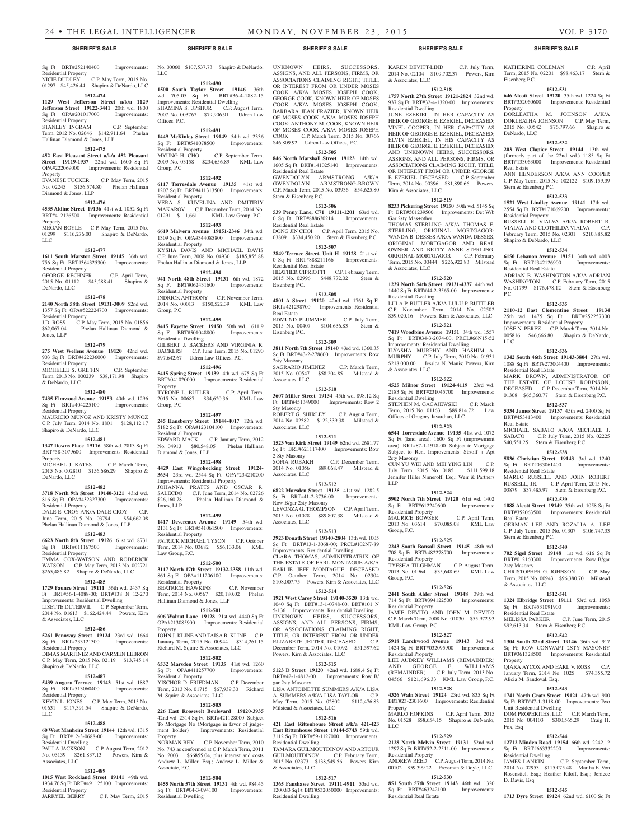## Sq Ft BRT#252140400 Improvements:

Residential Property NICIE DUDLEY C.P. May Term, 2015 No. 01297 \$45,426.44 Shapiro & DeNardo, LLC

## **1512-474**

**1129 West Jefferson Street a/k/a 1129 Jefferson Street 19122-3441** 20th wd. 1800 Sq Ft OPA#201017000 Improvements:

### Residential Property STANLEY INGRAM C.P. September

Term, 2012 No. 02646 \$142,911.64 Phelan Hallinan Diamond & Jones, LLP

### **1512-475**

**452 East Pleasant Street a/k/a 452 Pleasant Street 19119-1937** 22nd wd. 1600 Sq Ft OPA#222069000 Improvements: Residential Property

### EVANESE TUCKER C.P. May Term, 2015 No. 02245 \$156,574.80 Phelan Hallinan Diamond & Jones, LLP

### **1512-476**

**4535 Aldine Street 19136** 41st wd. 1052 Sq Ft BRT#412126500 Improvements: Residential Property MEGAN BOYLE C.P. May Term, 2015 No. 01299 \$116,276.00 Shapiro & DeNardo, LLC

#### **1512-477**

**1611 South Marston Street 19145** 36th wd. 756 Sq Ft BRT#364325300 Improvements: Residential Property GEORGE RECHNER C.P. April Term, 2015 No. 01112 \$45,288.41 Shapiro &

### DeNardo, LLC **1512-478**

**2140 North 58th Street 19131-3009** 52nd wd. 1357 Sq Ft OPA#522224700 Improvements: Residential Property<br>
I.D. ROSS C.P. N **J.D. ROSS C.P. May Term, 2015 No. 01856**<br>\$62,067.04 **Phelan Hallinan Diamond &** Phelan Hallinan Diamond &

### **1512-479**

Jones, LLP

**275 West Wellens Avenue 19120** 42nd wd. 903 Sq Ft BRT#422236000 Improvements: Residential Property

MICHELLE S. GRIFFIN C.P. September Term, 2013 No. 000239 \$38,171.98 Shapiro & DeNardo, LLC

### **1512-480**

**7435 Elmwood Avenue 19153** 40th wd. 1296 Sq Ft BRT#404225100 Improvements: Residential Property MAURICIO MUNOZ AND KRISTY MUNOZ C.P. July Term, 2014 No. 1801 \$128,112.17

### **1512-481**

Shapiro & DeNardo, LLC

**1347 Downs Place 19116** 58th wd. 2813 Sq Ft BRT#58-3079600 Improvements: Residential Property

MICHAEL J. KATES C.P. March Term, 2015 No. 002810 \$156,686.29 Shapiro & DeNardo, LLC

### **1512-482**

**3718 North 9th Street 19140-3121** 43rd wd. 816 Sq Ft OPA#432327300 Improvements: Residential Property DALE E. CROY A/K/A DALE CROY C.P. June Term, 2015 No. 03794 \$54,662.08 Phelan Hallinan Diamond & Jones, LLP

### **1512-483**

**6623 North 8th Street 19126** 61st wd. 8731 Sq Ft BRT#611167500 Improvements: Residential Property EMMA COX-WATSON AND RODERICK WATSON C.P. May Term, 2013 No. 002721 \$265,486.82 Shapiro & DeNardo, LLC

#### **1512-485**

**1729 Faunce Street 19111** 56th wd. 2437 Sq Ft BRT#56-1-4088-00; BRT#138 N 12-270 Improvements: Residential Dwelling<br>LISETTE DUTERVIL C.P. September Term, LISETTE DUTERVIL C.P. September Term, 2014 No. 01613 \$162,424.44 Powers, Kirn

### & Associates, LLC **1512-486**

#### **5261 Pennway Street 19124** 23rd wd. 1664<br>
Sq Ft BRT#233121300 Improvements: Sq Ft BRT#233121300 Residential Property

DIMAS MARTINEZ AND CARMEN LEBRON C.P. May Term, 2015 No. 02119 \$13,745.14 Shapiro & DeNardo, LLC

## **1512-487**

**5439 Angora Terrace 19143** 51st wd. 1887 Sq Ft BRT#513060400 Improvements: Residential Property

KEVIN L. JONES C.P. May Term, 2015 No. 01631 \$117,391.54 Shapiro & DeNardo, LLC

### **1512-488**

**60 West Manheim Street 19144** 12th wd. 1315 Sq Ft BRT#12-3-0688-00 Improvements: Residential Dwelling PAULA JACKSON C.P. August Term, 2012 No. 03139 \$261,837.13 Powers, Kirn & Associates, LLC

### **1512-489**

**1015 West Rockland Street 19141** 49th wd. 1934.76 Sq Ft BRT#491125100 Improvements: Residential Property<br>JARRYEL BERRY

C.P. May Term, 2015

No. 00060 \$107,537.73 Shapiro & DeNardo, LLC

#### **1512-490 1500 South Taylor Street 19146** 36th wd. 705.05 Sq Ft BRT#36-4-1882-15

Improvements: Residential Dwelling SHAMINA S. UPSHUR C.P. August Term, 2007 No. 003767 \$79,906.91 Udren Law Offices, P.C.

### **1512-491 1449 McKinley Street 19149** 54th wd. 2336

Sq Ft BRT#541078500 Improvements: Residential Property<br>MYUNG H. CHO C.P. September Term, 2009 No. 03158 \$234,656.89 KML Law Group, P.C.

### **1512-492**

**6117 Torresdale Avenue 19135** 41st wd. 1207 Sq Ft BRT#411313500 Improvements: Residential Property VERA S. KUVELINA AND DMITIRIY MAKAROV C.P. December Term, 2014 No. 01291 \$111,661.11 KML Law Group, P.C.

### **1512-493 6619 Malvern Avenue 19151-2346** 34th wd.

1309 Sq Ft OPA#344085800 Improvements: Residential Property KYSHA DAVIS AND MICHAEL DAVIS C.P. June Term, 2008 No. 04930 \$185,855.88 Phelan Hallinan Diamond & Jones, LLP

### **1512-494**

**941 North 48th Street 19131** 6th wd. 1872<br>
Sq Ft BRT#062431600 Improvements: Sq Ft BRT#062431600 Residential Property INDRICK ANTHONY C.P. November Term, 2014 No. 00013 \$150,522.39 KML Law Group, P.C.

#### **1512-495**

**8415 Fayette Street 19150** 50th wd. 1611.9 Sq Ft BRT#501048800 Improvements: Residential Dwelling GILBERT J. BACKERS AND VIRGINIA R. BACKERS C.P. June Term, 2015 No. 01290 \$97,642.67 Udren Law Offices, P.C.

#### **1512-496**

**5415 Spring Street 19139** 4th wd. 675 Sq Ft BRT#041020000 Improvements: Residential **Property** TYRONE L. BUTLER C.P. April Term, 2015 No. 00687 \$34,620.36 KML Law Group, P.C.

#### **1512-497**

**245 Hansberry Street 19144-4017** 12th wd. 5182 Sq Ft OPA#123104100 Improvements: Residential Property EDWARD MACK C.P. January Term, 2012 No. 04913 \$80,548.05 Phelan Hallinan Diamond & Jones, LLP

#### **1512-498**

**4429 East Wingohocking Street 19124- 3634** 23rd wd. 2544 Sq Ft OPA#234210200 Improvements: Residential Property

JOHANNA PRATTS AND OSCAR R. SALECDO C.P. June Term, 2014 No. 02726<br>\$26.160.78 Phelan Hallinan Diamond & Phelan Hallinan Diamond & Jones, LLP

### **1512-499**

**1417 Devereaux Avenue 19149** 54th wd. 2131 Sq Ft BRT#541061500 Improvements: Residential Property PATRICK MICHAEL TYSON C.P. October Term, 2014 No. 03682 \$56,133.06 KML Law Group, P.C.

### **1512-500**

**3117 North 17th Street 19132-2358** 11th wd. 861 Sq Ft OPA#111206100 Improvements: Residential Property BEATRICE HAWKINS C.P. November Term, 2014 No. 00567 \$20,180.02 Phelan Hallinan Diamond & Jones, LLP

### **1512-501**

**606 Walnut Lane 19128** 21st wd. 4440 Sq Ft OPA#213085900 Improvements: Residential Property JOHN J. KLINE AND TAISA R. KLINE C.P. January Term, 2015 No. 00944 \$314,261.15

## Richard M. Squire & Associates, LLC

**1512-502 6532 Marsden Street 19135** 41st wd. 1260 Sq Ft OPA#411257700 Improvements: Residential Property YISCHOR D. FRIEDMAN C.P. December Term, 2013 No. 01715 \$67,939.30 Richard M. Squire & Associates, LLC

### **1512-503**

**226 East Roosevelt Boulevard 19120-3935**  42nd wd. 2314 Sq Ft BRT#421128000 Subject To Mortgage No (Mortgage in favor of judgement holder) Improvements: Residential Property NORMAN BEY C.P. November Term, 2010 No. 743 as conformed at C.P. March Term, 2011

No. 2003 \$66855.04, plus interest and costs Andrew L. Miller, Esq.; Andrew L. Miller & Associate, P.C.

### **1512-504**

**1455 North 57th Street 19131** 4th wd. 984.45 Sq Ft BRT#04-3-094100 Improvements: Residential Dwelling

UNKNOWN HEIRS, SUCCESSORS, ASSIGNS, AND ALL PERSONS, FIRMS, OR ASSOCIATIONS CLAIMING RIGHT, TITLE, OR INTEREST FROM OR UNDER MOSES COOK A/K/A MOSES JOSEPH COOK; GEORGE COOK, KNOWN HEIR OF MOSES COOK A/K/A MOSES JOSEPH COOK; BARBARA JEAN FRAZIER, KNOWN HEIR OF MOSES COOK A/K/A MOSES JOSEPH COOK; ANTHONY M. COOK, KNOWN HEIR

KAREN DEVITT-LIND C.P. July Term, 2014 No. 02104 \$109,702.37 Powers, Kirn KATHERINE COLEMAN C.P. April Term, 2015 No. 02201 \$98,463.17 Stern &

**1512-531 646 Alcott Street 19120** 35th wd. 1224 Sq Ft BRT#352060600 Improvements: Residential

DORLEATHA M. JOHNSON A/K/A DORLEATHA JOHNSON C.P. May Term, 2015 No. 00542 \$76,797.66 Shapiro &

**1512-532 203 West Clapier Street 19144** 13th wd. (formerly part of the 22nd wd.) 1185 Sq Ft BRT#133063000 Improvements: Residential

ANN HENDERSON A/K/A ANN COOPER C.P. May Term, 2015 No. 002122 \$109,159.39

**1512-533 1521 West Lindley Avenue 19141** 17th wd. 2554 Sq Ft BRT#171069200 Improvements:

RUSSELL R. VIALVA A/K/A ROBERT R. VIALVA AND CLOTHILDA VIALVA C.P. February Term, 2015 No. 02301 \$210,885.82

**1512-534 6150 Lebanon Avenue 19151** 34th wd. 4003 Sq Ft BRT#342126900 Improvements:

ADRIAN B. WASHINGTON A/K/A ADRIAN WASHINGTON C.P. February Term, 2015 No. 01799 \$176,478.12 Stern & Eisenberg

**1512-535 2110-12 East Clementine Street 19134**  25th wd. 1475 Sq Ft BRT#252257300 Improvements: Residential Property JOSE N. PEREZ C.P. March Term, 2014 No. 005816 \$46,666.80 Shapiro & DeNardo,

**1512-536 1342 South 46th Street 19143-3804** 27th wd. 1088 Sq Ft BRT#273004400 Improvements:

MARK BROWN, ADMINISTRATOR OF THE ESTATE OF LOUISE ROBINSON, DECEASED C.P. December Term, 2014 No. 01308 \$65,360.77 Stern & Eisenberg P.C. **1512-537 5334 James Street 19137** 45th wd. 2400 Sq Ft BRT#453413400 Improvements: Residential

MICHAEL SABATO A/K/A MICHAEL J. SABATO C.P. July Term, 2015 No. 02225 \$40,551.25 Stern & Eisenberg P.C. **1512-538 5836 Christian Street 19143** 3rd wd. 1240<br>
Sq Ft BRT#033061400 Improvements:

MARLO RUSSELL AND JOHN ROBERT RUSSELL, JR. C.P. April Term, 2015 No. 03879 \$37,485.97 Stern & Eisenberg P.C. **1512-539 1088 Alcott Street 19149** 35th wd. 1058 Sq Ft BRT#352063500 Improvements: Residential

GERMAN LEE AND ROZALIA A. LEE C.P. July Term, 2015 No. 01307 \$106,747.33

**1512-540 702 Sigel Street 19148** 1st wd. 616 Sq Ft BRT#012160300 Improvements: Row B/gar

CHRISTOPHER G. JOHNSON C.P. May Term, 2015 No. 00943 \$96,380.70 Milstead

**1512-541 1324 Elbridge Street 19111** 53rd wd. 1053 Sq Ft BRT#531091900 Improvements:

MELISSA PARKER C.P. June Term, 2015 \$92,613.34 Stern & Eisenberg P.C. **1512-542 1304 South 22nd Street 19146** 36th wd. 917 Sq Ft; ROW CONV/APT 2STY MASONRY BRT#361328500 Improvements: Residential

QIARA AYCOX AND EARL V. ROSS C.P. January Term, 2014 No. 1025 \$74,355.72

**1512-543 1741 North Gratz Street 19121** 47th wd. 900 Sq Ft BRT#47-1-3118-00 Improvements: Two

DOM PROPERTIES, LLC C.P. March Term, 2015 No. 004103 \$300,565.29 Craig H.

**1512-544 12712 Minden Road 19154** 66th wd. 2242.12<br>
Sq Ft BRT#663332200 Improvements: Sq Ft BRT#663332200 Improvements:

JAMES LANKIN C.P. September Term, 2014 No. 02953 \$115,075.48 Martha E. Von Rosenstiel, Esq.; Heather Riloff, Esq.; Jeniece

**1512-545 1713 Dyre Street 19124** 62nd wd. 6100 Sq Ft

Eisenberg P.C.

DeNardo, LLC

Real Estate

Stern & Eisenberg P.C.

Residential Property

Shapiro & DeNardo, LLC

Residential Real Estate

Residential Real Estate

Sq Ft BRT#033061400 Residential Real Estate

P.C.

LLC

Real Estate

Real Estate

2sty Masonry

Property

Fox, Esq

& Associates, LLC

Residential Real Estate

Alicia M. Sandoval, Esq.

Unit Residential Dwelling

Residential Dwelling

D. Davis, Esq.

Stern & Eisenberg P.C.

Property

**1512-518 1757 North 27th Street 19121-2824** 32nd wd. 937 Sq Ft BRT#32-4-1320-00 Improvements:

JUNE EZEKIEL, IN HER CAPACITY AS HEIR OF GEORGE E. EZEKIEL, DECEASED; VINEL COOPER, IN HER CAPACITY AS HEIR OF GEORGE E. EZEKIEL, DECEASED; ELVIN EZEKIEL, IN HIS CAPACITY AS HEIR OF GEORGE E. EZEKIEL, DECEASED; AND UNKNOWN HEIRS, SUCCESSORS, ASSIGNS, AND ALL PERSONS, FIRMS, OR ASSOCIATIONS CLAIMING RIGHT, TITLE, OR INTEREST FROM OR UNDER GEORGE<br>E. EZEKIEL, DECEASED C.P. September

Term, 2014 No. 00396 \$81,890.66 Powers,

**1512-519 8233 Pickering Street 19150** 50th wd. 5145 Sq Ft BRT#501239500 Improvements: Det W/b

THOMAS STERLING A/K/A THOMAS E. STERLING, ORIGINAL MORTGAGOR; WANDA B. DESSES A/K/A WANDA DESSES, ORIGINAL MORTGAGOR AND REAL OWNER AND BETTY ANNE STERLING, ORIGINAL MORTGAGOR C.P. February Term, 2015 No. 00444 \$226,922.83 Milstead

**1512-520 1239 North 54th Street 19131-4337** 44th wd. 1440 Sq Ft BRT#44-2-3565-00 Improvements:

LULA P. BUTLER A/K/A LULU P. BUTTLER C.P. November Term, 2014 No. 02502 \$59,020.16 Powers, Kirn & Associates, LLC **1512-521 7419 Woodbine Avenue 19151** 34th wd. 1557 Sq Ft BRT#34-3-2074-00; PRCL#66N15-52 Improvements: Residential Dwelling ILYASHA MURPHY AND HASHIM A. MURPHY C.P. July Term, 2010 No. 01931 \$218,000.00 Jessica N. Manis; Powers, Kirn

**1512-522 4525 Milnor Street 19124-4119** 23rd wd. 2183 Sq Ft BRT#231045700 Improvements:

STEPHEN M. GAGAJEWSKI C.P. March Term, 2015 No. 01163 \$89,814.72 Law

CUN YU WEI AND MEI YING LIN C.P. July Term, 2015 No. 0185 \$111,599.18 Jennifer Hiller Nimeroff, Esq.; Weir & Partners

**1512-524 5902 North 7th Street 19120** 61st wd. 1402 Sq Ft BRT#612240600 Improvements:

MAURICE BOWSER C.P. April Term, 2013 No. 03614 \$70,085.08 KML Law

**1512-525 2243 South Bonsall Street 19145** 48th wd. 708 Sq Ft BRT#482278700 Improvements:

TYESHA TILGHMAN C.P. August Term, 2013 No. 01964 \$35,648.69 KML Law

**1512-526 2441 South Alder Street 19148** 39th wd. 714 Sq Ft BRT#394122500 Improvements:

JAMIE DEVITO AND JOHN M. DEVITO C.P. March Term, 2008 No. 01030 \$55,972.93

**1512-527 5918 Larchwood Avenue 19143** 3rd wd. 1424 Sq Ft BRT#032095900 Improvements:

LEE AUDREY WILLIAMS (REMAINDER) AND GEORGE E. WILLIAMS (REMAINDER) C.P. July Term, 2013 No. 04566 \$121,696.33 KML Law Group, P.C. **1512-528 4326 Waln Street 19124** 23rd wd. 835 Sq Ft BRT#23-2301600 Improvements: Residential

MARLO HOPKINS C.P. April Term, 2015 No. 01528 \$58,654.15 Shapiro & DeNardo,

**1512-529 2128 North Melvin Street 19131** 52nd wd. 1297 Sq Ft BRT#52-2-2511-00 Improvements:

ANDREW REED C.P. August Term, 2014 No. 00102 \$59,399.22 Pressman & Doyle, LLC **1512-530 851 South 57th Street 19143** 46th wd. 1320 Sq Ft BRT#463242100 Improvements:

Offices of Gregory Javardian, LLC **1512-523 6544 Torresdale Avenue 19135** 41st wd. 1072 Sq Ft (land area); 1600 Sq Ft (improvement area) BRT#87-1-1918-00 Subject to Mortgage Subject to Rent Improvements: Str/off + Apt

& Associates, LLC

Residential Dwelling

E. EZEKIEL, DECEASED

Kirn & Associates, LLC

Gar 2sty Mas+other

& Associates, LLC

Residential Dwelling

& Associates, LLC

Residential Dwelling

2sty Masonry

Residential Property

Residential Property

Residential Property

KML Law Group, P.C.

Residential Property

Residential Property

Residential Real Estate

Property

LLC

Group, P.C.

Group, P.C.

LLP

### OF MOSES COOK A/K/A MOSES JOSEPH COOK C.P. March Term, 2015 No. 00766 \$46,809.92 Udren Law Offices, P.C.

**1512-505 846 North Marshall Street 19123** 14th wd. 1605 Sq Ft BRT#141025140 Improvements: Residential Real Estate

GWENDOLYN ARMSTRONG A/K/A GWENDOLYN ARMSTRONG-BROWN C.P. March Term, 2015 No. 03936 \$54,625.80 Stern & Eisenberg P.C.

### **1512-506**

Eisenberg P.C.

**539 Penny Lane, C71 19111-1201** 63rd wd. 0 Sq Ft BRT#888630214 Improvements: Residential Real Estate DONG JIN CHOI C.P. April Term, 2015 No. 03809 \$334,450.20 Stern & Eisenberg P.C.

### **1512-507**

**3849 Terrace Street, Unit H 19128** 21st wd. 0 Sq Ft BRT#888211166 Improvements: Residential Real Estate HEATHER CIPRIOTTI C.P. February Term, 2015 No. 02996 \$448,772.02 Stern &

### **1512-508**

**4801 A Street 19120** 42nd wd. 1761 Sq Ft BRT#421298700 Improvements: Residential Real Estate EDMUND PLUMMER C.P. July Term, 2015 No. 00407 \$104,636.83 Stern & Eisenberg P.C.

### **1512-509**

**3811 North 7th Street 19140** 43rd wd. 1360.35 Sq Ft BRT#43-2-278600 Improvements: Row 2sty Masonry SAGRARIO JIMENEZ C.P. March Term,<br>2015 No. 00547 \$58,204.85 Milstead & 2015 No. 00547 \$58,204.85 Associates, LLC

#### **1512-510**

**3607 Miller Street 19134** 45th wd. 898.12 Sq Ft BRT#451349000 Improvements: Row 2 Sty Masonry ROBERT G. SHIRLEY C.P. August Term, 2014 No. 02582 \$122,339.38 Milstead &

Associates, LLC **1512-511**

### **1523 Van Kirk Street 19149** 62nd wd. 2681.77 Sq Ft BRT#621117400 Improvements: Row 2 Sty Masonry C.P. December Term,

2014 No. 01056 \$89,068.47 Milstead & Associates, LLC **1512-512**

### **6822 Marsden Street 19135** 41st wd. 1282.5 Sq Ft BRT#41-2-3736-00 Improvements:

Row B/gar 2sty Masonry LEVONZA G. THOMPSON C.P. April Term, 2015 No. 01028 \$89,807.38 Milstead & Associates, LLC

### **1512-513**

**3923 Donath Street 19140-2804** 13th wd. 1005 Sq Ft BRT#13-1-3068-00; PRCL#102N7-89 Improvements: Residential Dwelling CLARA THOMAS, ADMINISTRATRIX OF THE ESTATE OF EARL MONTAGUE A/K/A EARLIE JEFF MONTAGUE, DECEASED C.P. October Term, 2014 No. 02304 \$108,007.75 Powers, Kirn & Associates, LLC **1512-514**

**1921 West Carey Street 19140-3520** 13th wd. 1040 Sq Ft BRT#13-1-0748-00; BRT#101 N 5-136 Improvements: Residential Dwelling UNKNOWN HEIRS, SUCCESSORS, ASSIGNS, AND ALL PERSONS, FIRMS, OR ASSOCIATIONS CLAIMING RIGHT TITLE, OR INTEREST FROM OR UNDER ELIZABETH JETTER, DECEASED December Term, 2014 No. 01092 \$51,597.62 Powers, Kirn & Associates, LLC

#### **1512-515 5123 D Street 19120** 42nd wd. 1688.4 Sq Ft

gar 2sty Masonry

Milstead & Associates, LLC

Residential Dwelling

& Associates, LLC

Residential Dwelling

BRT#42-1-4812-00 Improvements: Row B/

LISA ANTOINETTE SUMMERS A/K/A LISA A. SUMMERS A/K/A LISA TAYLOR C.P. May Term, 2015 No. 02802 \$112,476.83

**1512-516 421 East Rittenhouse Street a/k/a 421-423 East Rittenhouse Street 19144-5743** 59th wd. 3112 Sq Ft BRT#59-1127000 Improvements:

TAMARA GUILMOUTDINOV AND ARTOUR GUILMOUTDINOV C.P. February Term, 2015 No. 02373 \$138,549.56 Powers, Kirn

**1512-517 1365 Fanshawe Street 19111-4911** 53rd wd. 1200.83 Sq Ft BRT#532050000 Improvements: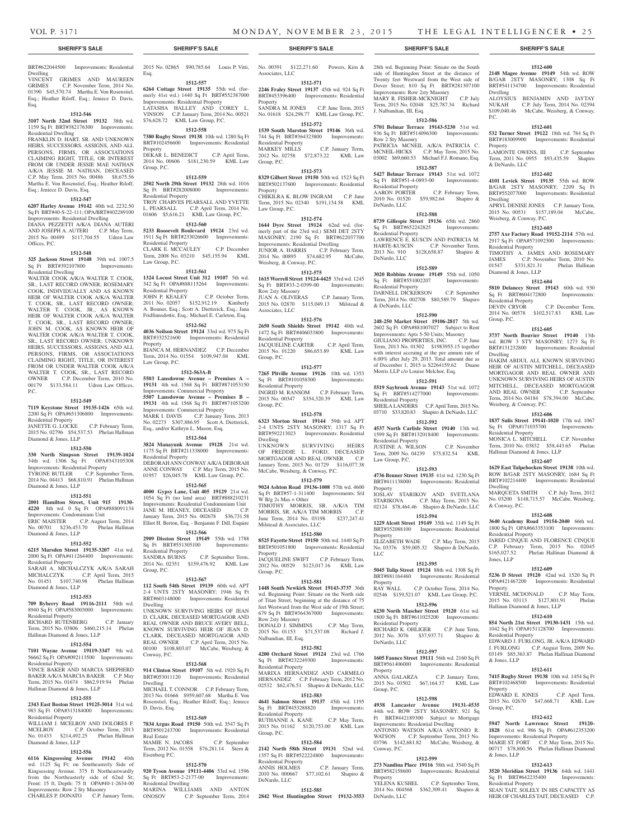### BRT#622044500 Improvements: Residential Dwelling

VINCENT GRIMES AND MAUREEN GRIMES C.P. November Term, 2014 No. 01390 \$45,570.74 Martha E. Von Rosenstiel, Esq.; Heather Riloff, Esq.; Jeniece D. Davis, Esq.

### **1512-546**

**3107 North 32nd Street 19132** 38th wd. 1159 Sq Ft BRT#382176300 Improvements: Residential Dwelling

FRANKLIN D. HART, SR. AND UNKNOWN HEIRS, SUCCESSORS, ASSIGNS, AND ALL PERSONS, FIRMS, OR ASSOCIATIONS CLAIMING RIGHT, TITLE, OR INTEREST FROM OR UNDER JESSIE MAE NATHAN A/K/A JESSIE M. NATHAN, DECEASED C.P. May Term, 2015 No. 00486 \$8,675.56 Martha E. Von Rosenstiel, Esq.; Heather Riloff, Esq.; Jeniece D. Davis, Esq.

#### **1512-547**

**6207 Harley Avenue 19142** 40th wd. 2232.50 Sq Ft BRT#40-S-22-111; OPA/BRT#402289100 Improvements: Residential Dwelling DIANA PEZZETTI A/K/A DIANA AUTERI AND JOSEPH A. AUTERI C.P. May Term, 2015 No. 00499 \$117,704.55 Udren Law Offices, P.C.

#### **1512-548**

**325 Jackson Street 19148** 39th wd. 1007.5<br>
Sq Ft BRT#392107800 Improvements: Sq Ft BRT#392107800 Residential Dwelling

WALTER COOK A/K/A WALTER T. COOK, SR., LAST RECORD OWNER; ROSEMARY COOK, INDIVIDUALLY AND AS KNOWN HEIR OF WALTER COOK A/K/A WALTER T. COOK, SR., LAST RECORD OWNER; WALTER T. COOK, JR., AS KNOWN HEIR OF WALTER COOK A/K/A WALTER T. COOK, SR., LAST RECORD OWNER; JOHN M. COOK, AS KNOWN HEIR OF WALTER COOK A/K/A WALTER T. COOK SR., LAST RECORD OWNER; UNKNOWN HEIRS, SUCCESSORS, ASSIGNS, AND ALL PERSONS, FIRMS, OR ASSOCIATIONS CLAIMING RIGHT, TITLE, OR INTEREST FROM OR UNDER WALTER COOK A/K/A WALTER T. COOK, SR., LAST RECORD OWNER C.P. December Term, 2010 No. 00179 \$133,584.11 Udren Law Offices, P.C.

### **1512-549**

**7119 Keystone Street 19135-1426** 65th wd. 2200 Sq Ft OPA#651306800 Improvements: Residential Property JANETTE G. LOCKE C.P. February Term,

2015 No. 02796 \$54,537.53 Phelan Hallinan Diamond & Jones, LLP

### **1512-550**

**330 North Simpson Street 19139-1024**  34th wd. 1306 Sq Ft OPA#343105308 Improvements: Residential Property TYRONE BUTLER C.P. September Term, 2014 No. 04413 \$68,810.91 Phelan Hallinan Diamond & Jones, LLP

### **1512-551**

**2001 Hamilton Street, Unit 915 19130- 4220** 8th wd. 0 Sq Ft OPA#888091134 Improvements: Condominium Unit ERIC MAISTER C.P. August Term, 2014 No. 00701 \$236,453.70 Phelan Hallinan Diamond & Jones, LLP

### **1512-552**

**6215 Marsden Street 19135-3207** 41st wd. 2000 Sq Ft OPA#411264400 Improvements: Residential Property SARAH A. MICHALCZYK A/K/A SARAH MICHALCZYK C.P. April Term, 2015 No. 01451 \$107,740.98 Phelan Hallinan Diamond & Jones, LLP

### **1512-553**

**709 Byberry Road 19116-2111** 58th wd. 8940 Sq Ft OPA#583003000 Improvements: Residential Property

RICHARD RUTENBERG C.P. January Term, 2015 No. 03806 \$460,215.14 Phelan

## Hallinan Diamond & Jones, LLP

**1512-554**

**7101 Wayne Avenue 19119-3347** 9th wd. 56662 Sq Ft OPA#092113500 Improvements: Residential Property VINCE BAKER AND MARCIA SHEPHERD

BAKER A/K/A MARCIA BAKER C.P. May Term, 2015 No. 01674 \$862,919.94 Phelan Hallinan Diamond & Jones, LLP

### **1512-555**

**2343 East Boston Street 19125-3014** 31st wd. 983 Sq Ft OPA#313184000 Improvements: Residential Property WILLIAM J. MCELROY AND DOLORES F. MCELROY C.P. October Term, 2013

### No. 01433 \$214,492.25 Phelan Hallinan Diamond & Jones, LLP **1512-556**

**6116 Kingsessing Avenue 19142** 40th wd. 1125 Sq Ft; on Southeasterly Side of Kingsessing Avenue. 375 ft Northeastwardly from the Northeasterly side of 62nd St; Front: 15 ft, Depth: 75 ft OPA#40-1-2634-00 Improvements: Row 2 Sty Masonry CHARLES P. DONATO C.P. January Term,

2015 No. 02865 \$90,785.64 Louis P. Vitti, Esq.

> **1512-557 6264 Cottage Street 19135** 55th wd. (for-

> merly 41st wd.) 1440 Sq Ft BRT#552387000 Improvements: Residential Property LATASHA HALLEY AND COREY L. VINSON C.P. January Term, 2014 No. 00521

### \$76,628.72 KML Law Group, P.C. **1512-558 7380 Rugby Street 19138** 10th wd. 1280 Sq Ft

BRT#102456600 Improvements: Residential Property DEKAR L. BENEDICT C.P. April Term,

2014 No. 00606 \$181,230.59 KML Law Group, P.C. **1512-559**

### **2502 North 29th Street 19132** 28th wd. 1016 Sq Ft BRT#282008000 Improvements: Residential Property TROY CHARVES PEARSALL AND YVETTE

L. PEARSALL C.P. April Term, 2014 No. 01606 \$5,616.21 KML Law Group, P.C. **1512-560 5233 Roosevelt Boulevard 19124** 23rd wd. 1911 Sq Ft BRT#233026600 Improvements:

Residential Property CLARK E. MCCAULEY C.P. December Term, 2008 No. 03210 \$45,155.94 KML Law Group, P.C.

### **1512-561**

**1324 Locust Street Unit 312 19107** 5th wd. 342 Sq Ft OPA#888115264 Improvements: Residential Property<br>JOHN P. KEALEY C.P. October Term, 2011 No. 02057 \$152,912.19 Kimberly A. Bonner, Esq.; Scott A. Dietterick, Esq.; Jana Fridfinnsdottir, Esq.; Michael E. Carleton, Esq.

### **1512-562**

**4036 Neilson Street 19124** 33rd wd. 975 Sq Ft BRT#332521600 Improvements: Residential Property

BIANCA M. HERNANDEZ C.P. December Term, 2014 No. 01554 \$109,947.04 KML Law Group, P.C.

### **1512-563A-B**

**5503 Lansdowne Avenue – Premises A – 19131** 4th wd. 1568 Sq Ft BRT#871053150 Improvements: Commercial Property **5507 Lansdowne Avenue – Premises B – 19131** 4th wd. 1568 Sq Ft BRT#871053200 Improvements: Commercial Property MARK I. DAVIS C.P. January Term, 2013 No. 02273 \$307,886.95 Scott A. Dietterick, Esq., and/or Kathryn L. Mason, Esq.

### **1512-564**

**3824 Manayunk Avenue 19128** 21st wd. 1175 Sq Ft BRT#211338000 Improvements: Residential Property DEBORAH ANN CONWAY A/K/A DEBORAH ANNE CONWAY C.P. May Term, 2015 No. 01957 \$26,045.78 KML Law Group, P.C.

### **1512-565**

**4000 Gypsy Lane, Unit 405 19129** 21st wd. 1054 Sq Ft (no land area) BRT#888210231 Improvements: Residential Condominium Unit JANE M. HEANEY, DECEASED C.P. January Term, 2015 No. 002678 \$36,731.58 Elliot H. Berton, Esq. - Benjamin F. Dill, Esquire

**1512-566**

**2909 Disston Street 19149** 55th wd. 1788 Sq Ft BRT#551305100 Improvements: Residential Property C.P. September Term, 2014 No. 02351 \$159,476.92 KML Law Group, P.C.

#### **1512-567**

**112 South 54th Street 19139** 60th wd. APT 2-4 UNTS 2STY MASONRY; 1946 Sq Ft BRT#603148000 Improvements: Residential Dwelling UNKNOWN SURVIVING HEIRS OF JEAN D. CLARK, DECEASED MORTGAGOR AND REAL OWNER AND BRUCE AVERY BELL, KNOWN SURVIVING HEIR OF JEAN D. CLARK, DECEASED MORTGAGOR AND REAL OWNER C.P. April Term, 2015 No. 00100 \$108,803.07 McCabe, Weisberg, & Conway, P.C.

### **1512-568**

**914 Clinton Street 19107** 5th wd. 1920 Sq Ft BRT#053011120 Improvements: Residential Dwelling MICHAEL T. CONNOR C.P. February Term. 2013 No. 01666 \$959,607.68 Martha E. Von Rosenstiel, Esq.; Heather Riloff, Esq.; Jeniece D. Davis, Esq.

### **1512-569**

**7834 Argus Road 19150** 50th wd. 3547 Sq Ft BRT#501243700 Improvements: Residential Real Estate MAMIE N. JACOBS C.P. September Term, 2012 No. 01558 \$76,281.14 Stern & Eisenberg P.C.

### **1512-570**

**920 Tyson Avenue 19111-4406** 53rd wd. 1596 Sq Ft BRT#53-2-2177-00 Improvements: Residential Dwelling MARINA WILLIAMS AND ANTON ONOSOV C.P. September Term, 2014

No. 00391 \$122,271.60 Powers, Kirn & Associates, LLC

#### **1512-571 2246 Fraley Street 19137** 45th wd. 924 Sq Ft

BRT#453396400 Improvements: Residential Property SANDRA M. JONES C.P. June Term, 2015 No. 01618 \$24,298.77 KML Law Group, P.C.

### **1512-572**

**1539 South Marston Street 19146** 36th wd. 744 Sq Ft BRT#364323800 Improvements: Residential Property<br>MARKEY MILLS C.P. January Term, 2012 No. 02758 \$72,873.22 KML Law Group, P.C.

### **1512-573**

**8329 Gilbert Street 19150** 50th wd. 1523 Sq Ft BRT#502137600 Improvements: Residential **Property** CHIKILRA K. BLOW INGRAM C.P. June Term, 2015 No. 02340 \$191,134.58 KML Law Group, P.C.

### **1512-574**

**1644 Dyre Street 19124** 62nd wd. (formerly part of the 23rd wd.) SEMI DET 2STY MASONRY; 2190 Sq Ft BRT#622037700 Improvements: Residential Dwelling JUNIOR A. HARRIS C.P. February Term, 2014 No. 00895 \$74,682.95 McCabe, Weisberg, & Conway, P.C.

**1512-575 1615 Worrell Street 19124-4425** 33rd wd. 1245 Sq Ft BRT#33-2-0399-00 Improvements:

Row 2sty Masonry<br>JUAN A. OLIVERAS C.P. January Term, 2015 No. 02870 \$115,049.13 Milstead & Associates, LLC

### **1512-576**

**2650 South Shields Street 19142** 40th wd. 1472 Sq Ft BRT#406033800 Improvements: Residential Property JACQUELINE CARTER C.P. April Term, 2015 No. 01220 \$86,653.89 KML Law Group, P.C.

### **1512-577**

**7265 Pitville Avenue 19126** 10th wd. 1353 Sq Ft BRT#101058300 Improvements: Residential Property INGRID M. RANSOM C.P. February Term, 2015 No. 00347 \$354,320.39 KML Law Group, P.C.

#### **1512-578**

**6323 Morton Street 19144** 59th wd. APT 2-4 UNTS 2STY MASONRY; 1317 Sq Ft BRT#592213023 Improvements: Residential Dwelling SURVIVING HEIRS OF FREDDIE L. FORD, DECEASED MORTGAGOR AND REAL OWNER C.P. January Term, 2015 No. 01729 \$116,077.38

## McCabe, Weisberg, & Conway, P.C.

**1512-579 9024 Ashton Road 19136-1008** 57th wd. 4600 Sq Ft BRT#57-1-311400 Improvements: S/d W B/g 2s Mas + Other TIMOTHY MORRIS, SR. A/K/A TIM MORRIS, SR. A/K/A TIM MORRIS C.P. June Term, 2014 No. 03198 \$237,247.41 Milstead & Associates, LLC

### **1512-580**

**8525 Fayette Street 19150** 50th wd. 1440 Sq Ft BRT#501051800 Improvements: Residential Property

JACQUELINE SWIFT C.P. February Term, 2012 No. 00529 \$123,017.16 KML Law Group, P.C.

### **1512-581**

**1448 South Newkirk Street 19143-3737** 36th wd. Beginning Point: Situate on the North side of Titan Street, beginning at the distance of 75 feet Westward from the West side of 19th Street; 679 Sq Ft BRT#364367000 Improvements: Row 2sty Masonry DONALD J. SIMMINS C.P. May Term,

2015 No. 01153 \$71,537.08 Richard J. Nalbandian, III, Esq. **1512-582 4200 Orchard Street 19124** 23rd wd. 1766

### Sq Ft BRT#232249300 Improvements: Residential Property MARIXA HERNANDEZ AND CARMELO HERNANDEZ C.P. February Term, 2012 No. 02532 \$62,476.51 Shapiro & DeNardo, LLC

**1512-583 4641 Salmon Street 19137** 45th wd. 1195 Sq Ft BRT#453288820 Improvements: Residential Property RUTHANNE A. KANE C.P. May Term,

## 2015 No. 01162 \$120,753.00 KML Law Group, P.C.

**1512-584 2142 North 58th Street 19131** 52nd wd. 1357 Sq Ft BRT#522224800 Improvements: Residential Property<br>ANNIS HOLMES C.P. January Term, 2010 No. 000667 \$77,102.61 Shapiro &

### **1512-585**

DeNardo, LLC

**2842 West Huntingdon Street 19132-3553** 

28th wd. Beginning Point: Situate on the South side of Huntingdon Street at the distance of Twenty feet Westward from the West side of Dover Street; 810 Sq Ft BRT#281307100 Improvements: Row 2sty Masonry MARY R. FISHER-MCKNIGHT C.P. July Term, 2015 No. 02048 \$25,787.34 Richard

**1512-600 2148 Magee Avenue 19149** 54th wd. ROW B/GAR 2STY MASONRY; 1308 Sq Ft BRT#541134700 Improvements: Residential

ALOYSIUS BENJAMIN AND JAYTAY NUKAH C.P. July Term, 2014 No. 02394 \$109,040.46 McCabe, Weisberg, & Conway,

**1512-601 532 Turner Street 19122** 18th wd. 784 Sq Ft BRT#183009900 Improvements: Residential

LAMONTE OWENS, III C.P. September Term, 2011 No. 0955 \$93,435.59 Shapiro

**1512-602 4101 Levick Street 19135** 55th wd. ROW B/GAR 2STY MASONRY; 2209 Sq Ft BRT#552077000 Improvements: Residential

APRYL DENISE JONES C.P. January Term, 2015 No. 00531 \$157,189.04 McCabe,

**1512-603 2757 Axe Factory Road 19152-2114** 57th wd. 2917 Sq Ft OPA#571092300 Improvements:

TIMOTHY A. JAMES AND ROSEMARY JAMES C.P. November Term, 2010 No. 01547 \$331,821.31 Phelan Hallinan

**1512-604 5810 Delancey Street 19143** 60th wd. 930 Sq Ft BRT#604172800 Improvements:

DEVIN CRYOR C.P. December Term. 2014 No. 00578 \$102,517.83 KML Law

**1512-605 3737 North Bouvier Street 19140** 13th wd. ROW 3 STY MASONRY; 1273 Sq Ft BRT#131232800 Improvements: Residential

HAKIM ABDUL ALI, KNOWN SURVIVING HEIR OF AUSTIN MITCHELL, DECEASED MORTGAGOR AND REAL OWNER AND UNKNOWN SURVIVING HEIRS OF AUSTIN MITCHELL, DECEASED MORTGAGOR AND REAL OWNER C.P. September Term, 2014 No. 04184 \$78,394.00 McCabe,

**1512-606 1837 Sulis Street 19141-1020** 17th wd. 1067 Sq Ft OPA#171035700 Improvements:

MONICA L. MITCHELL C.P. November Term, 2010 No. 03832 \$58,443.65 Phelan

**1512-607 1629 East Tulpehocken Street 19138** 10th wd. ROW B/GAR 2STY MASONRY; 1684 Sq Ft BRT#102214400 Improvements: Residential

MARQUETA SMITH C.P. July Term, 2012 No. 03200 \$148,715.57 McCabe, Weisberg,

**1512-608 3640 Academy Road 19154-2040** 66th wd. 1800 Sq Ft OPA#663353100 Improvements:

JARED CINQUE AND FLORENCE CINQUE C.P. February Term, 2015 No. 02045 \$165,027.52 Phelan Hallinan Diamond &

**1512-609 5236 D Street 19120** 42nd wd. 1520 Sq Ft OPA#421467200 Improvements: Residential

VERNEL MCDONALD C.P. May Term, 2015 No. 03113 \$127,801.91 Phelan

**1512-610 854 North 21st Street 19130-1431** 15th wd. 1042 Sq Ft OPA#151128700 Improvements:

EDWARD J. FURLONG, JR. A/K/A EDWARD J. FURLONG C.P. August Term, 2009 No. 03149 \$85,363.87 Phelan Hallinan Diamond

**1512-611 7415 Rugby Street 19138** 10th wd. 1454 Sq Ft BRT#102468500 Improvements: Residential

EDWARD E. JONES C.P. April Term, 2015 No. 02670 \$47,668.71 KML Law

**1512-612 5947 North Lawrence Street 19120- 1828** 61st wd. 986 Sq Ft OPA#612353200 Improvements: Residential Property MARIE ST. FORT C.P. May Term, 2015 No. 00717 \$78,800.56 Phelan Hallinan Diamond

**1512-613 3520 Meridian Street 19136** 64th wd. 1441 Sq Ft BRT#642235400 Improvements:

SEAN TAIT, SOLELY IN HIS CAPACITY AS HEIR OF CHARLES TAIT, DECEASED C.P.

Hallinan Diamond & Jones, LLP

Residential Property

& Jones, LLP

Property

Group, P.C.

& Jones, LLP

Residential Property

Dwelling

**Property** 

Dwelling

& DeNardo, LLC

Weisberg, & Conway, P.C.

Residential Property

Diamond & Jones, LLP

Residential Property

Weisberg, & Conway, P.C.

Hallinan Diamond & Jones, LLP

Residential Property

Dwelling

& Conway, P.C.

Residential Property

Jones, LLP

Property

Group, P.C.

Dwelling

P.C.

### **1512-586**

J. Nalbandian, III, Esq.

**5701 Belmar Terrace 19143-5230** 51st wd. 936 Sq Ft BRT#514096300 Improvements: Row 2 Sty Masonry PATRICIA MCNEIL A/K/A PATRICIA C. MCNEIL-HICKS C.P. May Term, 2015 No. 03002 \$69,660.53 Michael F.J. Romano, Esq.

### **1512-587**

**5427 Belmar Terrace 19143** 51st wd. 1072 Sq Ft BRT#51-4-0893-00 Improvements: Residential Property<br>AARON PORTER C.P. February Term, 2010 No. 01520 \$59,982.64 Shapiro & DeNardo, LLC

**8739 Gillespie Street 19136** 65th wd. 2860 Sq Ft BRT#652242825 Improvements:

LAWRENCE E. KUSCIN AND PATRICIA M. HARTE-KUSCIN C.P. November Term,

**1512-589 3020 Robbins Avenue 19149** 55th wd. 1050 Sq Ft BRT#551002207 Improvements:

DARNELL DICKERSON C.P. September Term, 2014 No. 002708 \$80,589.79 Shapiro

**1512-590 248-250 Market Street 19106-2817** 5th wd. 2602 Sq Ft OPA#881007027 Subject to Rent Improvements: Apts 5-50 Units; Masonry GIULIANO PROPERTIES, INC. C.P. June Term, 2013 No. 01502 \$1983955.15 together with interest accruing at the per annum rate of 6.00% after July 29, 2013. Total amount due as of December 1, 2015 is \$2264159.62 Duane Morris LLP c/o Louise Melchor, Esq. **1512-591 5519 Saybrook Avenue 19143** 51st wd. 1072 Sq Ft BRT#514277000 Improvements:

SHEILA LANDERS C.P. April Term, 2015 No. 03710 \$33,820.83 Shapiro & DeNardo, LLC **1512-592 4537 North Carlisle Street 19140** 13th wd. 1599 Sq Ft BRT#132018400 Improvements:

JUSTINE A. WILSON C.P. November Term, 2009 No. 04239 \$75,832.54 KML

**1512-593 4736 Benner Street 19135** 41st wd. 1230 Sq Ft BRT#411138000 Improvements: Residential

IOSLAV STARIKOV AND SVETLANA STARIKOVA C.P. May Term, 2015 No. 02124 \$78,464.46 Shapiro & DeNardo, LLC **1512-594 1229 Alcott Street 19149** 35th wd. 1149 Sq Ft BRT#352088100 Improvements: Residential

ELIZABETH WADE C.P. May Term, 2015 No. 03376 \$59,005.32 Shapiro & DeNardo,

**1512-595 5045 Tulip Street 19124** 88th wd. 1308 Sq Ft BRT#881164460 Improvements: Residential

02546 \$159,521.07 KML Law Group, P.C. **1512-596 6230 North Mascher Street 19120** 61st wd. 1800 Sq Ft BRT#611025200 Improvements:

RICHARD K. OHLIGER C.P. June Term, 2012 No. 3076 \$37,937.71 Shapiro &

**1512-597 1605 Faunce Street 19111** 56th wd. 2160 Sq Ft BRT#561406000 Improvements: Residential

ANNA GALARZA C.P. January Term, 2015 No. 03502 \$67,164.37 KML Law

**1512-598 4938 Lancaster Avenue 19131-4535**  44th wd. ROW 2STY MASONRY; 921 Sq Ft BRT#442189300 Subject to Mortgage Improvements: Residential Dwelling ANTONIO WATSON A/K/A ANTONIO R. WATSON C.P. September Term, 2013 No. 03796 \$142,681.82 McCabe, Weisberg, &

**1512-599 273 Nandina Place 19116** 58th wd. 3540 Sq Ft BRT#582158600 Improvements: Residential

YELENA KUSHEL C.P. September Term, 2014 No. 004568 \$362,309.41 Shapiro &

C.P. October Term, 2014 No.

### **1512-588**

2013 No. 910 \$128,658.87

Residential Property

Residential Property

& DeNardo, LLC

Residential Property

Residential Property

Law Group, P.C.

Property

Property

Property<br>RAY WALL

Residential Property

DeNardo, LLC

Property

Group, P.C.

Conway, P.C.

Property

DeNardo, LLC

LLC

DeNardo, LLC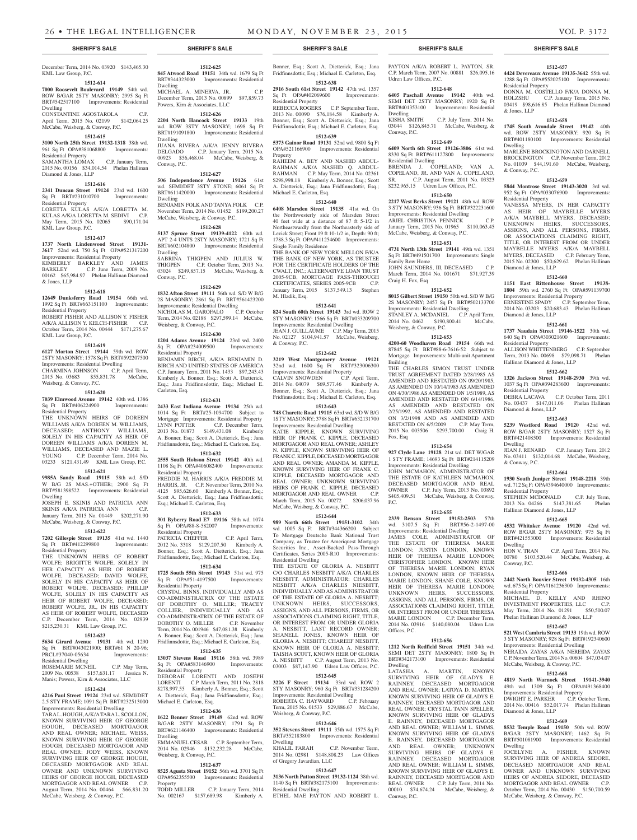### December Term, 2014 No. 03920 \$143,465.30 KML Law Group, P.C.

## **1512-614**

**7000 Roosevelt Boulevard 19149** 54th wd. ROW B/GAR 2STY MASONRY; 2995 Sq Ft BRT#542517100 Improvements: Residential

Dwelling CONSTANTINE AGOSTAROLA C.P.

April Term, 2015 No. 02199 \$142,064.25 McCabe, Weisberg, & Conway, P.C.

#### **1512-615**

**3100 North 25th Street 19132-1318** 38th wd. 961 Sq Ft OPA#381068800 Improvements:

#### Residential Property SAMANTHA LOMAX C.P. January Term,

2015 No. 00156 \$34,014.54 Phelan Hallinan Diamond & Jones, LLP

### **1512-616**

**2341 Duncan Street 19124** 23rd wd. 1600 Sq Ft BRT#231010700 Improvements: Residential Property LORETTA KULAS A/K/A LORETTA M. KULAS A/K/A LORETTA M. SEDIVI C.P. May Term, 2015 No. 02065 \$90,171.04 KML Law Group, P.C.

### **1512-617**

**1737 North Lindenwood Street 19131- 3617** 52nd wd. 750 Sq Ft OPA#521317200 Improvements: Residential Property KIMBERLY BARKLEY AND JAMES BARKLEY C.P. June Term, 2009 No. 00162 \$65,984.97 Phelan Hallinan Diamond & Jones, LLP

### **1512-618**

**12649 Dunksferry Road 19154** 66th wd. 1992 Sq Ft BRT#663151100 Improvements: Residential Property

ROBERT FISHER AND ALLISON Y. FISHER A/K/A ALLISON Y. KELCH-FISHER C.P. October Term, 2014 No. 00444 \$171,275.67 KML Law Group, P.C.

### **1512-619**

**6127 Morton Street 19144** 59th wd. ROW 2STY MASONRY; 1578 Sq Ft BRT#592207500 Improvements: Residential Dwelling CHARMINA JOHNSON C.P. April Term, 2015 No. 03683 \$55,831.78 McCabe, Weisberg, & Conway, P.C.

### **1512-620**

**7039 Elmwood Avenue 19142** 40th wd. 1386 Sq Ft BRT#406224900 Residential Property

THE UNKNOWN HEIRS OF DOREEN WILLIAMS A/K/A DOREEN M. WILLIAMS, DECEASED; ANTHONY WILLIAMS, SOLELY IN HIS CAPACITY AS HEIR OF DOREEN WILLIAMS A/K/A DOREEN M. WILLIAMS, DECEASED AND MAZIE L. YOUNG C.P. December Term, 2014 No. 03233 \$121,431.49 KML Law Group, P.C.

### **1512-621**

**9985A Sandy Road 19115** 58th wd. S/D W B/G 2S MAS.+OTHER; 2900 Sq Ft BRT#581398522 Improvements: Residential Dwelling

JOSEPH E. SKINIS AND PATRICIA ANN SKINIS A/K/A PATRICIA ANN C.P. January Term, 2015 No. 01449 \$202,271.90 McCabe, Weisberg, & Conway, P.C.

### **1512-622**

**7202 Gillespie Street 19135** 41st wd. 1440 Sq Ft BRT#412299800 Improvements: Residential Property

THE UNKNOWN HEIRS OF ROBERT WOLFE; BRIGITTE WOLFE, SOLELY IN HER CAPACITY AS HEIR OF ROBERT WOLFE, DECEASED; DAVID WOLFE, SOLELY IN HIS CAPACITY AS HEIR OF ROBERT WOLFE, DECEASED; PHILLIP WOLFE, SOLELY IN HIS CAPACITY AS HEIR OF ROBERT WOLFE, DECEASED: ROBERT WOLFE, JR., IN HIS CAPACITY AS HEIR OF ROBERT WOLFE, DECEASED C.P. December Term, 2014 No. 02939 \$215,230.31 KML Law Group, P.C.

### **1512-623**

**5634 Girard Avenue 19131** 4th wd. 1290 Sq Ft BRT#043021900; BRT#61 N 20-96; PRCL#37040-05634 Improvements:

Residential Dwelling ROSEMARIE MCNEIL C.P. May Term, 2009 No. 00538 \$157,631.17 Jessica N. Manis; Powers, Kirn & Associates, LLC

### **1512-624**

**4216 Paul Street 19124** 23rd wd. SEMI/DET 2.5 STY FRAME; 1091 Sq Ft BRT#232513000 Improvements: Residential Dwelling

TARA L. HOUGH, A/K/A TARA L. SCOLLON, KNOWN SURVIVING HEIR OF GEORGE HOUGH, DECEASED MORTGAGOR AND REAL OWNER; MICHAEL WEISS, KNOWN SURVIVING HEIR OF GEORGE HOUGH, DECEASED MORTGAGOR AND REAL OWNER; JODY WEISS, KNOWN SURVIVING HEIR OF GEORGE HOUGH, DECEASED MORTGAGOR AND REAL OWNER AND UNKNOWN SURVIVING HEIRS OF GEORGE HOUGH, DECEASED MORTGAGOR AND REAL OWNER C.P. August Term, 2014 No. 00464 \$66,831.20 McCabe, Weisberg, & Conway, P.C.

**1512-625 845 Atwood Road 19151** 34th wd. 1679 Sq Ft BRT#344323000 Improvements: Residential Dwelling MICHAEL A. MINERVA, JR. C.P.

December Term, 2013 No. 00899 \$97,859.73 Powers, Kirn & Associates, LLC **1512-626**

**2204 North Hancock Street 19133** 19th wd. ROW 3STY MASONRY; 1698 Sq Ft BRT#191091800 Improvements: Residential Dwelling

JUANA RIVERA A/K/A JENNY RIVERA DELGADO C.P. January Term, 2015 No. 00923 \$56,468.04 McCabe, Weisberg, & Conway, P.C.

### **1512-627**

**506 Independence Avenue 19126** 61st wd. SEMI/DET 3STY STONE; 6061 Sq Ft BRT#611420000 Improvements: Residential Dwelling BENJAMIN FOLK AND TANYA FOLK C.P. November Term, 2014 No. 01452 \$199,200.27 McCabe, Weisberg, & Conway, P.C.

### **1512-628**

**5137 Spruce Street 19139-4122** 60th wd. APT 2-4 UNTS 2STY MASONRY; 1721 Sq Ft BRT#602104800 Improvements: Residential Dwelling SABRINA THIGPEN AND JULIUS W. THIGPEN C.P. October Term, 2013 No. 03024 \$249,857.15 McCabe, Weisberg, & Conway, P.C.

**1512-629 1832 Afton Street 19111** 56th wd. S/D W B/G 2S MASONRY; 2861 Sq Ft BRT#561423200 Improvements: Residential Dwelling NICHOLAS M. GAROFALO C.P. October Term, 2014 No. 02188 \$297,599.14 McCabe, Weisberg, & Conway, P.C.

### **1512-630**

**1204 Adams Avenue 19124** 23rd wd. 2400 Sq Ft OPA#234009500 Improvements: Residential Property BENJAMIN BIRCH, A/K/A BENJAMIN D. BIRCH AND UNITED STATES OF AMERICA C.P. January Term, 2011 No. 1433 \$97,243.43 Kimberly A. Bonner, Esq.; Scott A. Dietterick, Esq.; Jana Fridfinnsdottir, Esq.; Michael E. Carleton, Esq.

### **1512-631**

**2433 East Indiana Avenue 19134** 25th wd. 1014 Sq Ft BRT#25-1094700 Subject to Mortgage Improvements: Residential Property<br>LYNN POTTER C.P. December Term, C.P. December Term, 2013 No. 01873 \$149,431.08 Kimberly A. Bonner, Esq.; Scott A. Dietterick, Esq.; Jana Fridfinnsdottir, Esq.; Michael E. Carleton, Esq.

### **1512-632**

**2555 South Hobson Street 19142** 40th wd. 1108 Sq Ft OPA#406082400 Improvements: Residential Property FREDDIE M. HARRIS A/K/A FREDDIE M. HARRIS, JR. C.P. November Term, 2010 No. 4125 \$95,626.60 Kimberly A. Bonner, Esq.;

Scott A. Dietterick, Esq.; Jana Fridfinnsdottir, Esq.; Michael E. Carleton, Esq. **1512-633**

**301 Byberry Road E7 19116** 58th wd. 1074 Sq Ft OPA#88-8-582007 Improvements: Residential Property PATRICIA CHEFFER C.P. April Term, 2012 No. 3318 \$129,207.50 Kimberly A.

### Bonner, Esq.; Scott A. Dietterick, Esq.; Jana Fridfinnsdottir, Esq.; Michael E. Carleton, Esq. **1512-634**

**1725 South 55th Street 19143** 51st wd. 975 Sq Ft OPA#51-4197500 Improvements: Residential Property CRYSTAL BINNS, INDIVIDUALLY AND AS CO-ADMINISTRATRIX OF THE ESTATE OF DOROTHY O. MILLER; TRACEY COLLIER, INDIVIDUALLY AND AS CO-ADMINISTRATRIX OF THE ESTATE OF DOROTHY O. MILLER C.P. November Term, 2014 No. 001946 \$47,081.38 Kimberly A. Bonner, Esq.; Scott A. Dietterick, Esq.; Jana Fridfinnsdottir, Esq.; Michael E. Carleton, Esq. **1512-635**

**13037 Stevens Road 19116** 58th wd. 3989 Sq Ft OPA#583146900 Improvements: Residential Property DEBORAH LORENTI AND JOSEPH LORENTI C.P. March Term, 2011 No. 2818 \$278,997.55 Kimberly A. Bonner, Esq.; Scott A. Dietterick, Esq.; Jana Fridfinnsdottir, Esq.; Michael E. Carleton, Esq.

## **1512-636**

**1622 Benner Street 19149** 62nd wd. ROW B/GAR 2STY MASONRY; 1791 Sq Ft BRT#621146400 Improvements: Residential Dwelling EMMANUEL CESAR C.P. September Term, 2014 No. 02946 \$132,232.28 McCabe, Weisberg, & Conway, P.C.

### **1512-637**

**8525 Agusta Street 19152** 56th wd. 3701 Sq Ft OPA#562355500 Improvements: Residential

Property<br>TODD MILLER C.P. January Term, 2014<br>689.98 Kimberly A. No. 002167 \$157,689.98

Bonner, Esq.; Scott A. Dietterick, Esq.; Jana Fridfinnsdottir, Esq.; Michael E. Carleton, Esq.

**1512-638 2916 South 61st Street 19142** 47th wd. 1357 Sq Ft OPA#402069600 Improvements:

Residential Property REBECCA ROGERS C.P. September Term, 2013 No. 00090 \$76,184.58 Kimberly A. Bonner, Esq.; Scott A. Dietterick, Esq.; Jana Fridfinnsdottir, Esq.; Michael E. Carleton, Esq.

**1512-639 5373 Gainor Road 19131** 52nd wd. 9800 Sq Ft OPA#521166900 Improvements: Residential

Property RAHEEM A. BEY AND NASHID ABDUL-RAHMAN A/K/A NASHID Q. ABDUL-RAHMAN C.P. May Term, 2014 No. 02361 \$298,998.18 Kimberly A. Bonner, Esq.; Scott A. Dietterick, Esq.; Jana Fridfinnsdottir, Esq.; Michael E. Carleton, Esq.

### **1512-640**

**6408 Marsden Street 19135** 41st wd. On the Northwesterly side of Marsden Street 40 feet wide at a distance of 87 ft 5-1/2 in Northeastwardly from the Northeasterly side of Levick Street; Front 19 ft 10-1/2 in, Depth: 90 ft; 1788.3 Sq Ft OPA#411254600 Improvements: Single Family Residence THE BANK OF NEW YORK MELLON F/K/A THE BANK OF NEW YORK, AS TRUSTEE FOR THE CERTIFICATE HOLDERS OF THE

CWALT, INC.; ALTERNATIVE LOAN TRUST 2005-9CB, MORTGAGE PASS-THROUGH CERTIFICATES, SERIES 2005-9CB C.P. January Term, 2015 \$137,549.13 Stephen M. Hladik, Esq.

### **1512-641**

**824 South 60th Street 19143** 3rd wd. ROW 2 STY MASONRY: 1566 Sq Ft BRT#033209700 Improvements: Residential Dwelling JEAN J. GUILLAUME C.P. May Term, 2015 No. 02127 \$104,941.57 McCabe, Weisberg, & Conway, P.C.

### **1512-642**

**3219 West Montgomery Avenue 19121**  32nd wd. 1600 Sq Ft BRT#323006300 Improvements: Residential Property<br>CALVIN SNOWDEN C.P. April Term,

CALVIN SNOWDEN C.P. April Term, 2014 No. 04079 \$69,577.46 Kimberly A. Bonner, Esq.; Scott A. Dietterick, Esq.; Jana Fridfinnsdottir, Esq.; Michael E. Carleton, Esq.

### **1512-643**

**748 Charette Road 19115** 63rd wd. S/D W B/G 1STY MASONRY; 3788 Sq Ft BRT#632131700 Improvements: Residential Dwelling

KATIE KIPPLE, KNOWN SURVIVING HEIR OF FRANK C. KIPPLE, DECEASED MORTGAGOR AND REAL OWNER; ASHLEY N. KIPPLE, KNOWN SURVIVING HEIR OF FRANK C. KIPPLE, DECEASED MORTGAGOR AND REAL OWNER; AMANDA M. KIPPLE, KNOWN SURVIVING HEIR OF FRANK C. KIPPLE, DECEASED MORTGAGOR AND REAL OWNER; UNKNOWN SURVIVING HEIRS OF FRANK C. KIPPLE, DECEASED MORTGAGOR AND REAL OWNER C.P. March Term, 2015 No. 00272 \$206,037.96 McCabe, Weisberg, & Conway, P.C.

### **1512-644**

**989 North 66th Street 19151-3102** 34th wd. 1005 Sq Ft BRT#344366200 Subject To Mortgage Deutsche Bank National Trust Company, as Trustee for Ameriquest Mortgage Securities Inc., Asset-Backed Pass-Through Certificates, Series 2005-R10 Improvements: Residential Dwelling

THE ESTATE OF GLORIA A. NESBITT C/O CHARLES NESBITT A/K/A CHARLES NIESBITT, ADMINISTRATOR; CHARLES NESBITT A/K/A CHARLES NIESBITT, INDIVIDUALLY AND AS ADMINISTRATOR OF THE ESTATE OF GLORIA A. NESBITT; UNKNOWN HEIRS, SUCCESSORS, ASSIGNS, AND ALL PERSONS, FIRMS, OR ASSOCIATIONS CLAIMING RIGHT, TITLE, OR INTEREST FROM OR UNDER GLORIA A. NESBITT, LAST RECORD OWNER; SHANELL JONES, KNOWN HEIR OF GLORIA A. NESBITT; CHAREEF NESBITT, KNOWN HEIR OF GLORIA A. NESBITT; TAISHA SCOTT, KNOWN HEIR OF GLORIA A. NESBITT C.P. August Term, 2013 No. 03003 \$87,147.90 Udren Law Offices, P.C.

### **1512-645**

**3226 F Street 19134** 33rd wd. ROW 2 STY MASONRY; 960 Sq Ft BRT#331284200 Improvements: Residential Dwelling ROBERTA C. HAYWARD C.P. February Term, 2015 No. 01533 \$29,886.67 McCabe, Weisberg, & Conway, P.C.

### **1512-646**

**352 Stevens Street 19111** 35th wd. 1575 Sq Ft BRT#352183800 Improvements: Residential Dwelling<br>KHALIL FARAH C.P. November Term,

2014 No. 02981 \$148,808.23 Law Offices of Gregory Javardian, LLC **1512-647**

**3136 North Patton Street 19132-1124** 38th wd. 1140 Sq Ft BRT#382175100 Improvements: Residential Dwelling ETHEL MAE PAYTON AND ROBERT L.

### **SHERIFF'S SALE SHERIFF'S SALE SHERIFF'S SALE SHERIFF'S SALE SHERIFF'S SALE**

PAYTON A/K/A ROBERT L. PAYTON, SR. C.P. March Term, 2007 No. 00881 \$26,095.16 Udren Law Offices, P.C.

**1512-657 4424 Devereaux Avenue 19135-3642** 55th wd. 1288 Sq Ft OPA#552025100 Improvements:

DONNA M. COSTELLO F/K/A DONNA M.<br>HOLZSHU C.P. January Term. 2015 No.

03419 \$98,616.85 Phelan Hallinan Diamond

**1512-658 1745 South Avondale Street 19142** 40th wd. ROW 2STY MASONRY; 920 Sq Ft BRT#401180100 Improvements: Residential

MARLENE BROCKINGTON AND DARNELL BROCKINGTON C.P. November Term, 2012 No. 01039 \$44,191.60 McCabe, Weisberg,

**1512-659 5844 Montrose Street 19143-3020** 3rd wd. 952 Sq Ft OPA#033076900 Improvements:

VANESSA MYERS, IN HER CAPACITY AS HEIR OF MAYBELLE MYERS A/K/A MAYBELL MYERS, DECEASED; UNKNOWN HEIRS, SUCCESSORS, ASSIGNS, AND ALL PERSONS, FIRMS, OR ASSOCIATIONS CLAIMING RIGHT, TITLE, OR INTEREST FROM OR UNDER MAYBELLE MYERS A/K/A MAYBELL MYERS, DECEASED C.P. February Term, 2015 No. 02300 \$50,629.62 Phelan Hallinan

**1512-660 1151 East Rittenhouse Street 19138- 1804** 59th wd. 2760 Sq Ft OPA#591139700 Improvements: Residential Property

ERNESTINE SPADY C.P. September Term, 2014 No. 03203 \$20,683.43 Phelan Hallinan

**1512-661 1737 Naudain Street 19146-1522** 30th wd. 640 Sq Ft OPA#303021600 Improvements:

ALLISON WHITTENBERG C.P. September Term, 2013 No. 00698 \$79,098.71 Phelan

**1512-662 1326 Jackson Street 19148-2930** 39th wd. 1037 Sq Ft OPA#394283600 Improvements:

DEBRA LACAVA C.P. October Term, 2011 No. 03437 \$147,011.06 Phelan Hallinan

**1512-663 5239 Westford Road 19120** 42nd wd. ROW B/GAR 2STY MASONRY; 1527 Sq Ft BRT#421408500 Improvements: Residential

JEAN J. RENARD C.P. January Term, 2012 No. 03411 \$132,014.68 McCabe, Weisberg,

**1512-664 1930 South Juniper Street 19148-2218** 39th wd. 712 Sq Ft OPA#394640000 Improvements:

STEPHEN MCDONALD C.P. July Term, 2013 No. 04266 \$147,381.65 Phelan

**1512-665 4532 Whitaker Avenue 19120** 42nd wd. ROW B/GAR 2STY MASONRY; 975 Sq Ft BRT#421553000 Improvements: Residential

00780 \$103,520.44 McCabe, Weisberg, &

**1512-666 2442 North Bouvier Street 19132-4305** 16th wd. 675 Sq Ft OPA#161236300 Improvements:

MICHAEL D. KELLY AND RHINO INVESTMENT PROPERTIES, LLC C.P. May Term, 2014 No. 01291 \$50,500.07 Phelan Hallinan Diamond & Jones, LLP **1512-667 521 West Cambria Street 19133** 19th wd. ROW 3 STY MASONRY; 928 Sq Ft BRT#192340600 Improvements: Residential Dwelling NERAIDA ZAYAS A/K/A NEREIDA ZAYAS C.P. November Term, 2014 No. 00604 \$47,034.07

McCabe, Weisberg, & Conway, P.C. **1512-668 4819 North Warnock Street 19141-3940**  49th wd. 1309 Sq Ft OPA#491368400

Improvements: Residential Property DWIGHT E. PARKER  $CP$  October 2014 No. 00416 \$52,017.74 Phelan Hallinan

**1512-669 8532 Temple Road 19150** 50th wd. ROW B/GAR 2STY MASONRY; 1462 Sq Ft BRT#501081900 Improvements: Residential

JOCELYNE A. FISHER, KNOWN SURVIVING HEIR OF ANDREA SEDORE, DECEASED MORTGAGOR AND REAL OWNER AND UNKNOWN SURVIVING HEIRS OF ANDREA SEDORE, DECEASED<br>MORTGAGOR AND REAL OWNER MORTGAGOR AND REAL OWNER C.P. October Term, 2014 No. 00430 \$150,700.59 McCabe, Weisberg, & Conway, P.C.

Diamond & Jones, LLP

Dwelling

C.P. April Term, 2014 No.

C.P. January Term, 2015 No.

Residential Property

& Jones, LLP

Dwelling

& Conway, P.C.

Residential Property

Diamond & Jones, LLP

Diamond & Jones, LLP

Residential Property

Residential Property

Dwelling

& Conway, P.C.

Residential Property

Dwelling<br>HON V. TRAN

Residential Property

Conway, P.C.

Hallinan Diamond & Jones, LLP

Diamond & Jones, LLP

Hallinan Diamond & Jones, LLP

### **1512-648**

**6405 Paschall Avenue 19142** 40th wd. SEMI DET 2STY MASONRY; 1920 Sq Ft BRT#401353100 Improvements: Residential Dwelling<br>KISHA SMITH C.P. July Term, 2014 No. 03044 \$126,845.71 McCabe, Weisberg, &

### Conway, P.C. **1512-649**

**6409 North 6th Street 19126-3806** 61st wd. 8330 Sq Ft BRT#611127800 Improvements: Residential Dwelling BRENDA J. COPELAND; VAN A. COPELAND, JR. AND VAN A. COPELAND,

SR. C.P. August Term, 2011 No. 03323 \$232,965.15 Udren Law Offices, P.C. **1512-650**

**2217 West Berks Street 19121** 48th wd. ROW 3 STY MASONRY; 936 Sq Ft BRT#322231600 Improvements: Residential Dwelling ARIEL CHRISTINA PENNICK C.P. January Term, 2015 No. 01965 \$110,063.45

McCabe, Weisberg, & Conway, P.C. **1512-651**

## **4731 North 13th Street 19141** 49th wd. 1351

Sq Ft BRT#491501700 Improvements: Single Family Row Home JOHN SAUNDERS, III, DECEASED March Term, 2014 No. 001671 \$71,927.39 Craig H. Fox, Esq

### **1512-652**

Building

Fox, Esq

P.C.

Offices, P.C.

Dwelling

Conway, P.C.

**8015 Gilbert Street 19150** 50th wd. S/D W B/G 2S MASONRY; 2457 Sq Ft BRT#502133700 Improvements: Residential Dwelling STANLEY A. MCDANIEL C.P. April Term, 2014 No. 0462 \$190,800.41 McCabe, Weisberg, & Conway, P.C.

**1512-653 4200-60 Woodhaven Road 19154** 66th wd. 87845 Sq Ft BRT#88-6-7616-52 Subject to Mortgage Improvements: Multi-unit Apartment

THE CHARLES SIMON TRUST UNDER TRUST AGREEMENT DATED 2/28/1985 AS AMENDED AND RESTATED ON 09/20/1985, AS AMENDED ON 10/14/1985 AS AMENDED ON 4/30/1986 AS AMENDED ON 1/5/1989, AS AMENDED AND RESTATED ON 6/14/1986, AS AMENDED AND RESTATED ON 2/25/1992, AS AMENDED AND RESTATED ON 3/2/1998 AND AS AMENDED AND RESTATED ON 6/5/2009 C.P. May Term, 2015 No. 003506 \$293,700.00 Craig H.

**1512-654 927 Clyde Lane 19128** 21st wd. DET W/GAR 1 STY FRAME; 14693 Sq Ft BRT#214115209 Improvements: Residential Dwelling JOHN MCMAHON, ADMINISTRATOR OF THE ESTATE OF KATHLEEN MCMAHON, DECEASED MORTGAGOR AND REAL OWNER C.P. July Term, 2013 No. 03892 \$405,409.51 McCabe, Weisberg, & Conway,

**1512-655 2339 Benson Street 19152-2503** 57th wd. 3107.5 Sq Ft BRT#56-2-1497-00 Improvements: Residential Dwelling JAMES COLE, ADMINISTRATOR OF THE ESTATE OF THERESA MARIE LONDON; JUSTIN LONDON, KNOWN HEIR OF THERESA MARIE LONDON; CHRISTOPHER LONDON, KNOWN HEIR OF THERESA MARIE LONDON; RYAN LONDON, KNOWN HEIR OF THERESA MARIE LONDON; SHANE COLE, KNOWN HEIR OF THERESA MARIE LONDON; UNKNOWN HEIRS, SUCCESSORS, ASSIGNS, AND ALL PERSONS, FIRMS, OR ASSOCIATIONS CLAIMING RIGHT, TITLE, OR INTEREST FROM OR UNDER THERESA MARIE LONDON C.P. December Term, 2014 No. 03916 \$140,080.04 Udren Law

**1512-656 1212 North Redfield Street 19151** 34th wd. SEMI DET 2STY MASONRY; 1800 Sq Ft BRT#342173100 Improvements: Residential

LATASHA A. MARTIN, KNOWN SURVIVING HEIR OF GLADYS E. RAINNEY, DECEASED MORTGAGOR AND REAL OWNER; LATOYA D. MARTIN, KNOWN SURVIVING HEIR OF GLADYS E. RAINNEY, DECEASED MORTGAGOR AND REAL OWNER; CRYSTAL TANN SPELLER, KNOWN SURVIVING HEIR OF GLADYS E. RAINNEY, DECEASED MORTGAGOR AND REAL OWNER; WILLIAM L. SIMMS, KNOWN SURVIVING HEIR OF GLADYS E. RAINNEY, DECEASED MORTGAGOR AND REAL OWNER; UNKNOWN SURVIVING HEIRS OF GLADYS E. RAINNEY, DECEASED MORTGAGOR AND REAL OWNER; WILLIAM L. SIMMS, KNOWN SURVIVING HEIR OF GLADYS E. RAINNEY, DECEASED MORTGAGOR AND REAL OWNER C.P. July Term, 2014 No. 00010 \$74,674.24 McCabe, Weisberg, &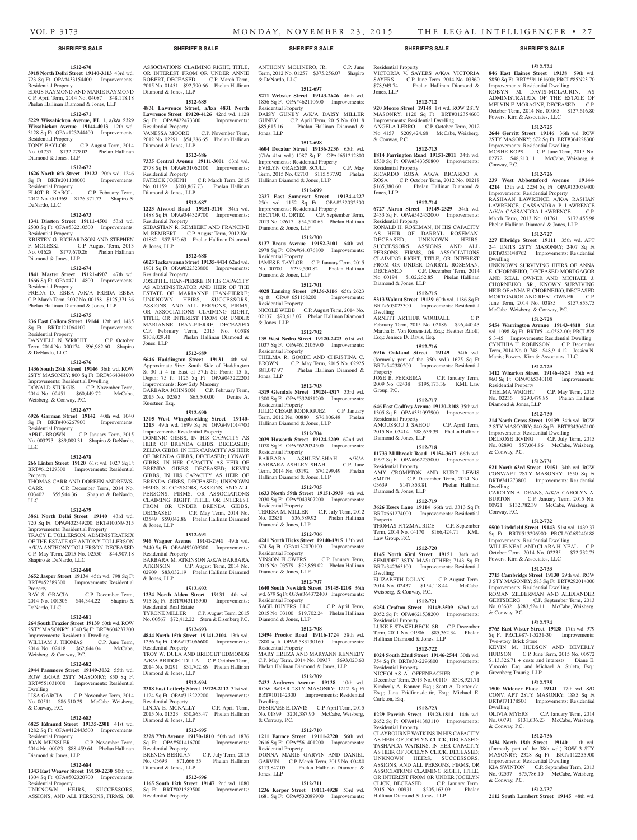VICTORIA V. SAYERS A/K/A VICTORIA SAYERS C.P. June Term, 2014 No. 03360<br>\$78,949.74 Phelan Hallinan Diamond &

**1512-712 920 Moore Street 19148** 1st wd. ROW 2STY MASONRY; 1120 Sq Ft BRT#012354600 Improvements: Residential Dwelling ANGELA LERRO C.P. October Term, 2012 No. 4157 \$209,424.68 McCabe, Weisberg,

**1512-713 1814 Farrington Road 19151-2011** 34th wd. 1530 Sq Ft OPA#343350800 Improvements:

RICARDO ROSA A/K/A RICARDO A. ROSA C.P. October Term, 2012 No. 00218<br>\$165,380.60 Phelan Hallinan Diamond &

**1512-714 6727 Akron Street 19149-2329** 54th wd. 2433 Sq Ft OPA#542432000 Improvements:

RONALD H. ROSEMAN, IN HIS CAPACITY AS HEIR OF DARRYL ROSEMAN, DECEASED; UNKNOWN HEIRS, SUCCESSORS, ASSIGNS, AND ALL PERSONS, FIRMS, OR ASSOCIATIONS CLAIMING RIGHT, TITLE, OR INTEREST FROM OR UNDER DARRYL ROSEMAN DECEASED C.P. December Term, 2014 No. 00194 \$102,262.85 Phelan Hallinan

**1512-715 5313 Walnut Street 19139** 60th wd. 1186 Sq Ft BRT#603023300 Improvements: Residential

ARNETT ARTHUR WOODALL C.P. February Term, 2015 No. 02186 \$96,440.43 Martha E. Von Rosenstiel, Esq.; Heather Riloff,

**1512-716 6916 Oakland Street 19149** 54th wd. (formerly part of the 35th wd.) 1625 Sq Ft BRT#542380200 Improvements: Residential

JOSE B. FERREIRA C.P. January Term, 2009 No. 02438 \$195,173.36 KML Law

**1512-717 646 East Godfrey Avenue 19120-2108** 35th wd. 1305 Sq Ft OPA#351097900 Improvements:

AMOUSSOU J. SAHOU C.P. April Term, 2015 No. 03414 \$88,639.39 Phelan Hallinan

**1512-718 11733 Millbrook Road 19154-3617** 66th wd. 1997 Sq Ft OPA#662235000 Improvements:

AMY CROMPTON AND KURT LEWIS SMITH C.P. December Term, 2014 No.<br>03639 \$147,853.81 Phelan Hallinan 03639 \$147,853.81 Phelan Hallinan

**1512-719 3626 Essex Lane 19114** 66th wd. 3313 Sq Ft BRT#661274000 Improvements: Residential

THOMAS FITZMAURICE C.P. September Term, 2014 No. 04170 \$166,424.71 KML

**1512-720 1145 North 63rd Street 19151** 34th wd. SEMI/DET 3STY MAS+OTHER; 7143 Sq Ft BRT#342365100 Improvements: Residential

ELIZABETH DOLAN C.P. August Term, 2014 No. 02437 \$154,118.44 McCabe,

**1512-721 6254 Crafton Street 19149-3509** 62nd wd. 2052 Sq Ft OPA#621538200 Improvements:

LUKE F. STAKELBECK, SR C.P. December Term, 2011 No. 01906 \$85,362.34 Phelan

**1512-722 1024 South 22nd Street 19146-2544** 30th wd. 754 Sq Ft BRT#30-2296800 Improvements:

NICHOLAS A. OFFENBACHER C.P. December Term, 2013 No. 00110 \$308,921.71 Kimberly A. Bonner, Esq.; Scott A. Dietterick, Esq.; Jana Fridfinnsdottir, Esq.; Michael E.

**1512-723 1229 Parrish Street 19123-1814** 14th wd. 2652 Sq Ft OPA#141383110 Improvements:

CLAYBOURNE WATKINS IN HIS CAPACITY AS HEIR OF JOCELYN CLICK, DECEASED; TASHANDA WATKINS, IN HER CAPACITY AS HEIR OF JOCELYN CLICK, DECEASED; UNKNOWN HEIRS, SUCCESSORS, ASSIGNS, AND ALL PERSONS, FIRMS, OR ASSOCIATIONS CLAIMING RIGHT, TITLE, OR INTEREST FROM OR UNDER JOCELYN CLICK, DECEASED C.P. January Term, 2015 No. 00931 \$205,163.09 Phelan

Phelan Hallinan Diamond &

**1512-724 846 East Haines Street 19138** 59th wd. 5850 Sq Ft BRT#591161600; PRCL#85N23 70 Improvements: Residential Dwelling ROBYN M. DAVIS-MCLAURIN, AS ADMINISTRATRIX OF THE ESTATE OF MELVIN F. MORAGNE, DECEASED C.P. October Term, 2014 No. 01065 \$137,616.80

**1512-725 2644 Gerritt Street 19146** 36th wd. ROW 2STY MASONRY; 672 Sq Ft BRT#364228300 Improvements: Residential Dwelling MOSHE KOPS C.P. June Term, 2015 No. 02772 \$48,210.11 McCabe, Weisberg, &

**1512-726 239 West Abbottsford Avenue 19144- 4214** 13th wd. 2254 Sq Ft OPA#133039400 Improvements: Residential Property RASHAAN LAWRENCE A/K/A RASHAN LAWRENCE; CASSANDRA P. LAWRENCE<br>A/K/A CASSANDRA LAWRENCE C.P. A/K/A CASSANDRA LAWRENCE C.P. March Term, 2013 No. 01761 \$172,455.98 Phelan Hallinan Diamond & Jones, LLP **1512-727 227 Elbridge Street 19111** 35th wd. APT 2-4 UNITS 2STY MASONRY; 2407 Sq Ft BRT#353048762 Improvements: Residential

UNKNOWN SURVIVING HEIRS OF ANNA E. CHORNEIKO, DECEASED MORTGAGOR AND REAL OWNER AND MICHAEL J. CHORNEIKO, SR., KNOWN SURVIVING HEIR OF ANNA E. CHORNEIKO, DECEASED MORTGAGOR AND REAL OWNER C.P. June Term, 2014 No. 03885 \$157,853.75 McCabe, Weisberg, & Conway, P.C. **1512-728 5454 Warrington Avenue 19143-4810** 51st wd. 1098 Sq Ft BRT#51-4-0582-00; PRCL#28 S 3-45 Improvements: Residential Dwelling CYNTHIA H. ROBINSON C.P. December Term, 2014 No. 01748 \$48,914.12 Jessica N. Manis; Powers, Kirn & Associates, LLC **1512-729 1412 Wharton Street 19146-4824** 36th wd. 960 Sq Ft OPA#365340100 Improvements:

THELMA WRIGHT C.P. May Term, 2015 No. 02236 \$290,479.85 Phelan Hallinan

**1512-730 214 North Gross Street 19139** 34th wd. ROW 2 STY MASONRY; 840 Sq Ft BRT#343062100 Improvements: Residential Dwelling DELROSE IRVING C.P. July Term, 2015 No. 02890 \$57,064.86 McCabe, Weisberg,

**1512-731 521 North 63rd Street 19151** 34th wd. ROW CONV/APT 2STY MASONRY; 1650 Sq Ft BRT#341273800 Improvements: Residential

CAROLYN A. DEANS, A/K/A CAROLYN A. BURTON C.P. January Term, 2015 No. 00921 \$132,782.39 McCabe, Weisberg, &

**1512-732 5500 Litchfield Street 19143** 51st wd. 1439.37 Sq Ft BRT#513296900; PRCL#026S240188 Improvements: Residential Dwelling WILLIE NEAL AND CLARA H. NEAL C.P. October Term, 2014 No. 02235 \$72,732.75

**1512-733 2715 Cambridge Street 19130** 29th wd. ROW 3 STY MASONRY; 583 Sq Ft BRT#292014000 Improvements: Residential Dwelling ROMAN ZILBERMAN AND ALEXANDER GERTSBERG C.P. September Term, 2013 No. 03632 \$283,524.11 McCabe, Weisberg,

**1512-734 5765 East Wister Street 19138** 17th wd. 979 Sq Ft PRCL#87-1-5231-30 Improvements:

KEVIN M. HUDSON AND BEVERLY HUDSON C.P. June Term, 2015 No. 00572  $$113,326.71 + \text{costs}$  and interests Diane E. Vuocolo, Esq. and Michael A. Suleta, Esq.;

**1512-735 1500 Widener Place 19141** 17th wd. S/D CONV. APT 2STY MASONRY; 1885 Sq Ft BRT#171178500 Improvements: Residential

OLIVIA MYERS C.P. January Term, 2014 No. 00791 \$131,636.23 McCabe, Weisberg,

**1512-736 3434 North 18th Street 19140** 11th wd. (formerly part of the 38th wd.) ROW 3 STY MASONRY; 2328 Sq Ft BRT#112255900 Improvements: Residential Dwelling KIA SWINTON C.P. September Term, 2013 No. 02537 \$75,786.10 McCabe, Weisberg,

**1512-737 2112 South Lambert Street 19145** 48th wd.

Powers, Kirn & Associates, LLC

Powers, Kirn & Associates, LLC

 $Convay$ ,  $PC$ .

Dwelling

Residential Property

Diamond & Jones, LLP

& Conway, P.C.

Dwelling

Conway, P.C.

& Conway, P.C.

Two-story Brick Store

Greenberg Traurig, LLP

Dwelling

& Conway, P.C.

& Conway, P.C.

Phelan Hallinan Diamond &

Residential Property

Jones, LLP

& Conway, P.C.

Residential Property

Residential Property

Diamond & Jones, LLP

Esq.; Jeniece D. Davis, Esq.

Dwelling

Property

Group, P.C.

Residential Property

Residential Property

Diamond & Jones, LLP

Property

Dwelling

Law Group, P.C.

Weisberg, & Conway, P.C.

Hallinan Diamond & Jones, LLP

Residential Property

Residential Property

eton, Esq.

Residential Property

Hallinan Diamond & Jones, LLP

Diamond & Jones, LLP

Jones, LLP

#### **SHERIFF'S SALE SHERIFF'S SALE SHERIFF'S SALE SHERIFF'S SALE SHERIFF'S SALE**

### **1512-670**

**3918 North Delhi Street 19140-3113** 43rd wd. 723 Sq Ft OPA#433154400 Improvements: Residential Property EDRIS RAYMOND AND MARIE RAYMOND

C.P. April Term, 2014 No. 04087 \$48,118.18 Phelan Hallinan Diamond & Jones, LLP **1512-671**

**5229 Wissahickon Avenue, FL 1, a/k/a 5229 Wissahickon Avenue 19144-4013** 12th wd. 3128 Sq Ft OPA#123244400 Improvements: Residential Property TONY BAYLOR C.P. August Term, 2014

No. 01737 \$132,279.02 Phelan Hallinan Diamond & Jones, LLP

### **1512-672**

**1626 North 6th Street 19122** 20th wd. 1246<br>Sq Ft BRT#201108000 Improvements:

Sq Ft BRT#201108000 Residential Property ELIOT B. KAROL C.P. February Term. 2012 No. 001969 \$126,371.73 Shapiro & DeNardo, LLC

## **1512-673**

**1341 Disston Street 19111-4501** 53rd wd. 2500 Sq Ft OPA#532210500 Improvements: Residential Property KRISTEN G. RICHARDSON AND STEPHEN

F. MOLESKI C.P. August Term, 2013 No. 01628 \$177,670.26 Phelan Hallinan Diamond & Jones, LLP

### **1512-674**

**1841 Master Street 19121-4907** 47th wd. 1666 Sq Ft OPA#471114800 Improvements: Residential Property

FREDA D. EBBA A/K/A FREDA EBBA C.P. March Term, 2007 No. 00158 \$125,371.36 Phelan Hallinan Diamond & Jones, LLP

### **1512-675**

**236 East Collom Street 19144** 12th wd. 1485 Sq Ft BRT#121064100 Improvements: Residential Property DANYIELL N. WRIGHT C.P. October

Term, 2014 No. 000174 \$96,982.60 Shapiro & DeNardo, LLC

#### **1512-676**

**1436 South 28th Street 19146** 36th wd. ROW 2STY MASONRY; 800 Sq Ft BRT#364344600 Improvements: Residential Dwelling DONALD STURGIS C.P. November Term, 2014 No. 02451 \$60,449.72 McCabe, Weisberg, & Conway, P.C.

#### **1512-677**

**6926 Garman Street 19142** 40th wd. 1040<br>
Sq Ft BRT#406267900 Improvements: Sq Ft BRT#406267900 Improvements: Residential Property

APRIL BROWN C.P. January Term, 2015 No. 003273 \$89,089.31 Shapiro & DeNardo, LLC

### **1512-678**

**266 Linton Street 19120** 61st wd. 1027 Sq Ft BRT#612129300 Improvements: Residential Property THOMAS CARR AND DOREEN ANDREWS-

CARR C.P. December Term, 2014 No. 003402 \$55,944.36 Shapiro & DeNardo, LLC

### **1512-679**

**3861 North Delhi Street 19140** 43rd wd. 720 Sq Ft OPA#432349200; BRT#100N9-315 Improvements: Residential Property TRACY E. TOLLERSON, ADMINISTRATRIX OF THE ESTATE OF ANTONY TOLLERSON A/K/A ANTHONY TOLLERSON, DECEASED C.P. May Term, 2015 No. 02550 \$44,907.18

## Shapiro & DeNardo, LLC

**1512-680 3652 Jasper Street 19134** 45th wd. 798 Sq Ft BRT#452389300 Improvements: Residential

Property<br>RAY S. GRACIA C.P. December Term, 2014 No. 001306 \$44,344.22 Shapiro & DeNardo, LLC

#### **1512-681**

**264 South Frazier Street 19139** 60th wd. ROW 2STY MASONRY; 1040 Sq Ft BRT#604237200 Improvements: Residential Dwelling WILLIAM J. THOMAS C.P. June Term, 2014 No. 02418 \$62,644.04 McCabe, Weisberg, & Conway, P.C.

### **1512-682**

**2944 Passmore Street 19149-3032** 55th wd. ROW B/GAR 2STY MASONRY; 850 Sq Ft BRT#551031000 Improvements: Residential Dwelling C.P. November Term, 2014

No. 00511 \$86,510.29 McCabe, Weisberg, & Conway, P.C.

### **1512-683**

**6825 Edmund Street 19135-2301** 41st wd. 1282 Sq Ft OPA#412443500 Improvements: Residential Property

JOAN MEISSLER C.P. November Term, 2014 No. 00023 \$88,459.64 Phelan Hallinan Diamond & Jones, LLP

### **1512-684**

**1343 East Weaver Street 19150-2230** 50th wd. 1304 Sq Ft OPA#502320700 Improvements: Residential Property UNKNOWN HEIRS, SUCCESSORS, ASSIGNS, AND ALL PERSONS, FIRMS, OR

ASSOCIATIONS CLAIMING RIGHT, TITLE OR INTEREST FROM OR UNDER ANNIE ROBERT, DECEASED C.P. March Term, 2015 No. 01451 \$92,790.66 Phelan Hallinan Diamond & Jones, LLP

### **1512-685**

**4831 Lawrence Street, a/k/a 4831 North Lawrence Street 19120-4126** 42nd wd. 1128 Sq Ft OPA#422473300 Improvements:

Residential Property C.P. November Term, 2012 No. 02291 \$54,286.65 Phelan Hallinan Diamond & Jones, LLP

### **1512-686**

**7335 Central Avenue 19111-3001** 63rd wd. 2778 Sq Ft OPA#631062100 Improvements: Residential Property PATRICK JOSEPH C.P. March Term, 2015 No. 01159 \$203,867.73 Phelan Hallinan

Diamond & Jones, LLP

### **1512-687**

**1223 Atwood Road 19151-3110** 34th wd. 1488 Sq Ft OPA#344329700 Improvements: Residential Property SEBASTIAN R. REMBERT AND FRANCINE M. REMBERT C.P. August Term, 2012 No. 01882 \$57,550.63 Phelan Hallinan Diamond & Jones, LLP

**1512-688**

**6023 Tackawanna Street 19135-4414** 62nd wd. 1901 Sq Ft OPA#622323800 Improvements: Residential Property JOSEPH L. JEAN-PIERRE, IN HIS CAPACITY

AS ADMINISTRATOR AND HEIR OF THE ESTATE OF MARIANNE JEAN-PIERRE; UNKNOWN HEIRS, SUCCESSORS, ASSIGNS, AND ALL PERSONS, FIRMS, OR ASSOCIATIONS CLAIMING RIGHT. TITLE, OR INTEREST FROM OR UNDER MARIANNE JEAN-PIERRE, DECEASED C.P. February Term, 2015 No. 00588 \$108,029.41 Phelan Hallinan Diamond & Jones, LLP

#### **1512-689**

**5646 Haddington Street 19131** 4th wd. Approximate Size: South Side of Haddington St 30 ft 4 in East of 57th St; Front: 15 ft, Depth: 75 ft; 1125 Sq Ft OPA#043222200 Improvements: Row 2sty Masonry BARBARA JOHNSON C.P. February Term, 2015 No. 02583 \$65,500.00 Denise A. Kuestner, Esq.

### **1512-690**

**1305 West Wingohocking Street 19140- 1213** 49th wd. 1699 Sq Ft OPA#491014700 Improvements: Residential Property DOMINIC GIBBS, IN HIS CAPACITY AS HEIR OF BRENDA GIBBS, DECEASED; ZELDA GIBBS, IN HER CAPACITY AS HEIR OF BRENDA GIBBS, DECEASED; LYNAYE GIBBS, IN HER CAPACITY AS HEIR OF BRENDA GIBBS, DECEASED; KEVIN GIBBS, IN HIS CAPACITY AS HEIR OF BRENDA GIBBS, DECEASED; UNKNOWN HEIRS, SUCCESSORS, ASSIGNS, AND ALL PERSONS, FIRMS, OR ASSOCIATIONS CLAIMING RIGHT, TITLE, OR INTEREST FROM OR UNDER BRENDA GIBBS, DECEASED C.P. May Term, 2014 No. 03549 \$59,042.86 Phelan Hallinan Diamond

**1512-691**

& Jones, LLP

**946 Wagner Avenue 19141-2941** 49th wd. 2440 Sq Ft OPA#492009300 Improvements: Residential Property BARBARA M. ATKINSON A/K/A BARBARA ATKINSON C.P. August Term, 2014 No. 02909 \$83,032.19 Phelan Hallinan Diamond & Jones, LLP

### **1512-692**

**1234 North Alden Street 19131** 4th wd. 915 Sq Ft BRT#043116900 Improvements: Residential Real Estate TYRONE MILLER C.P. August Term, 2015 No. 00567 \$72,412.22 Stern & Eisenberg P.C.

## **1512-693**

**4844 North 15th Street 19141-2104** 13th wd. 1236 Sq Ft OPA#132066600 Improvements: Residential Property TROY W. DULA AND BRIDGET EDMONDS A/K/A BRIDGET DULA C.P. October Term, 2014 No. 00291 \$31,702.86 Phelan Hallinan Diamond & Jones, LLP

#### **1512-694**

**2318 East Letterly Street 19125-2112** 31st wd. 1124 Sq Ft OPA#313222200 Improvements: Residential Property LINDA E. MCNALLY C.P. April Term, 2015 No. 01323 \$50,863.47 Phelan Hallinan

Diamond & Jones, LLP **1512-695**

**2328 77th Avenue 19150-1810** 50th wd. 1876<br>
Sq. Ft OPA#501416700 Improvements: Sq Ft OPA#501416700 Residential Property BRENDA BERRIAN C.P. July Term, 2015 No. 03693 \$71,666.35 Phelan Hallinan Diamond & Jones, LLP

### **1512-696**

**1165 South 12th Street 19147** 2nd wd. 1080 Sq Ft BRT#021589500 Improvements: Residential Property

ANTHONY MOLINERO, JR. C.P. June Term, 2012 No. 01257 \$375,256.07 Shapiro & DeNardo, LLC

### **1512-697**

**5211 Webster Street 19143-2626** 46th wd. 1856 Sq Ft OPA#462110600 Improvements: Residential Property DAISY GUNBY A/K/A DAISY MILLER GUNBY C.P. April Term, 2015 No. 00118 \$85,615.16 Phelan Hallinan Diamond & Jones, LLP

### **1512-698**

**4604 Decatur Street 19136-3236** 65th wd. (f/k/a 41st wd.) 1087 Sq Ft OPA#651212800 Improvements: Residential Property EVELYN GRAESER SCULL C.P. May Term, 2015 No. 02700 \$115,537.92 Phelan Hallinan Diamond & Jones, LLP

### **1512-699**

**2327 East Somerset Street 19134-4227**  25th wd. 1152 Sq Ft OPA#252032500 Improvements: Residential Property HECTOR O. ORTIZ C.P. September Term, 2013 No. 02617 \$54,510.65 Phelan Hallinan Diamond & Jones, LLP

### **1512-700**

**8137 Brous Avenue 19152-3101** 64th wd. 2978 Sq Ft OPA#641076800 Improvements: Residential Property JAMES E. TAYLOR C.P. January Term, 2015

No. 00700 \$239,530.82 Phelan Hallinan Diamond & Jones, LLP

## **1512-701**

**4028 Lansing Street 19136-3116** 65th 2623 sq ft OPA# 651168200 Improvements: Residential Property NICOLE WEBB C.P. August Term, 2014 No. 02137 \$90,613.07 Phelan Hallinan Diamond & Jones, LLP

#### **1512-702**

**135 West Nedro Street 19120-2423** 61st wd. 1037 Sq Ft OPA#612105900 Improvements: Residential Property THELMA R. GOODE AND CHRISTINA C.<br>BROWN C.P. May Term, 2015 No. 02925<br>\$81,047.97 Phelan Hallinan Diamond & C.P. May Term, 2015 No. 02925 Phelan Hallinan Diamond & Jones, LLP

### **1512-703**

**4319 Glendale Street 19124-4317** 33rd wd. 1300 Sq Ft OPA#332451200 Improvements: Residential Property JULIO CESAR RODRIGUEZ C.P. January Term, 2012 No. 00880 \$76,806.48 Phelan Hallinan Diamond & Jones, LLP

### **1512-704**

**2039 Haworth Street 19124-2209** 62nd wd. 1078 Sq Ft OPA#622034500 Improvements: Residential Property BARBARA ASHLEY-SHAH A/K/A BARBARA ASHLEY SHAH C.P. June Term, 2014 No. 03192 \$70,299.49 Phelan Hallinan Diamond & Jones, LLP

### **1512-705**

**1633 North 59th Street 19151-3939** 4th wd. 2030 Sq Ft OPA#043307200 Improvements: Residential Property TERESA M. MILLER C.P. July Term, 2012 No. 02851 \$36,589.92 Phelan Hallinan Diamond & Jones, LLP

### **1512-706**

**4241 North Hicks Street 19140-1915** 13th wd. 674 Sq Ft OPA#132070100 Improvements: Residential Property<br>VINSON FLOWERS C.P. January Term. 2015 No. 03579 \$23,859.02 Phelan Hallinan Diamond & Jones, LLP

#### **1512-707**

**1640 South Newkirk Street 19145-1208** 36th wd. 679 Sq Ft OPA#364372400 Improvements: Residential Property SAGE BUYERS, LLC C.P. April Term, 2015 No. 03100 \$19,702.24 Phelan Hallinan Diamond & Jones, LLP

### **1512-708**

**13494 Proctor Road 19116-1724** 58th wd. 7800 sq ft OPA# 583130160 Improvements: Residential Property MARY HRUZA AND MARYANN KENNEDY

C.P. May Term, 2014 No. 00937 \$693,020.60 Phelan Hallinan Diamond & Jones, LLP **1512-709**

**7433 Andrews Avenue 19138** 10th wd. ROW B/GAR 2STY MASONRY; 1212 Sq Ft BRT#101142300 Improvements: Residential

DESIRAEE E. DAVIS C.P. April Term, 2015 No. 01899 \$201,387.90 McCabe, Weisberg,

**1512-710 1211 Faunce Street 19111-2720** 56th wd. 2616 Sq Ft OPA#561401200 Improvements:

DONNA MARIE GARVIN AND DANIEL GARVIN C.P. March Term, 2015 No. 00480 \$113,847.05 Phelan Hallinan Diamond &

**1512-711 1236 Kerper Street 19111-4928** 53rd wd. 1681 Sq Ft OPA#532089900 Improvements:

Dwelling

& Conway, P.C.

Residential Property

Jones, LLP